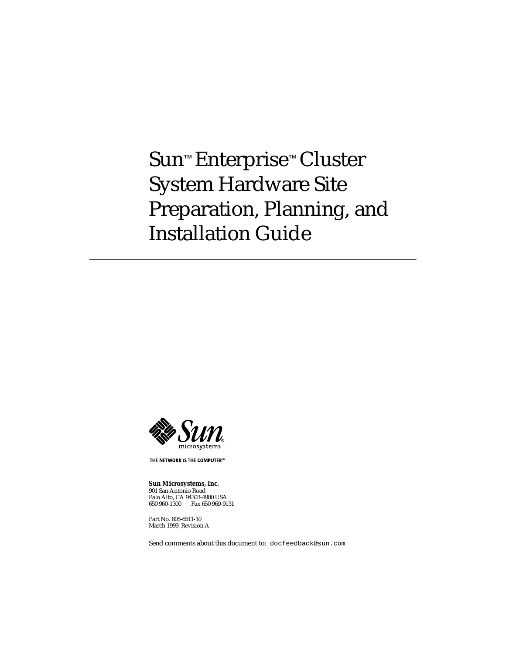# Sun™ Enterprise™ Cluster System Hardware Site Preparation, Planning, and Installation Guide



THE NETWORK IS THE COMPUTER™

901 San Antonio Road Palo Alto, CA 94303-4900 USA 650 960-1300 Fax 650 969-9131 **Sun Microsystems, Inc.**

Part No. 805-6511-10 March 1999, Revision A

Send comments about this document to: docfeedback@sun.com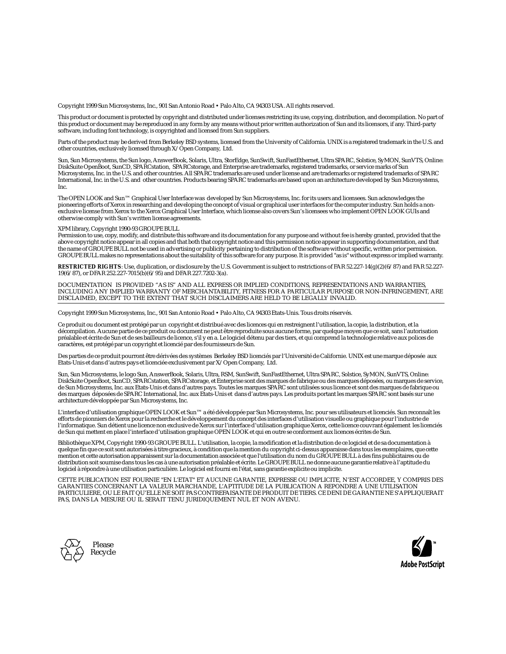Copyright 1999 Sun Microsystems, Inc., 901 San Antonio Road • Palo Alto, CA 94303 USA. All rights reserved.

This product or document is protected by copyright and distributed under licenses restricting its use, copying, distribution, and decompilation. No part of this product or document may be reproduced in any form by any means without prior written authorization of Sun and its licensors, if any. Third-party software, including font technology, is copyrighted and licensed from Sun suppliers.

Parts of the product may be derived from Berkeley BSD systems, licensed from the University of California. UNIX is a registered trademark in the U.S. and other countries, exclusively licensed through X/Open Company, Ltd.

Sun, Sun Microsystems, the Sun logo, AnswerBook, Solaris, Ultra, StorEdge, SunSwift, SunFastEthernet, Ultra SPARC, Solstice, SyMON, SunVTS, Online: DiskSuite OpenBoot, SunCD, SPARCstation, SPARCstorage, and Enterprise are trademarks, registered trademarks, or service marks of Sun Microsystems, Inc. in the U.S. and other countries. All SPARC trademarks are used under license and are trademarks or registered trademarks of SPARC International, Inc. in the U.S. and other countries. Products bearing SPARC trademarks are based upon an architecture developed by Sun Microsystems, Inc.

The OPEN LOOK and Sun™ Graphical User Interface was developed by Sun Microsystems, Inc. for its users and licensees. Sun acknowledges the pioneering efforts of Xerox in researching and developing the concept of visual or graphical user interfaces for the computer industry. Sun holds a nonexclusive license from Xerox to the Xerox Graphical User Interface, which license also covers Sun's licensees who implement OPEN LOOK GUIs and otherwise comply with Sun's written license agreements.

XPM library, Copyright 1990-93 GROUPE BULL

Permission to use, copy, modify, and distribute this software and its documentation for any purpose and without fee is hereby granted, provided that the above copyright notice appear in all copies and that both that copyright notice and this permission notice appear in supporting documentation, and that the name of GROUPE BULL not be used in advertising or publicity pertaining to distribution of the software without specific, written prior permission. GROUPE BULL makes no representations about the suitability of this software for any purpose. It is provided "as is" without express or implied warranty.

**RESTRICTED RIGHTS**: Use, duplication, or disclosure by the U.S. Government is subject to restrictions of FAR 52.227-14(g)(2)(6/87) and FAR 52.227- 19(6/87), or DFAR 252.227-7015(b)(6/95) and DFAR 227.7202-3(a).

DOCUMENTATION IS PROVIDED "AS IS" AND ALL EXPRESS OR IMPLIED CONDITIONS, REPRESENTATIONS AND WARRANTIES, INCLUDING ANY IMPLIED WARRANTY OF MERCHANTABILITY, FITNESS FOR A PARTICULAR PURPOSE OR NON-INFRINGEMENT, ARE DISCLAIMED, EXCEPT TO THE EXTENT THAT SUCH DISCLAIMERS ARE HELD TO BE LEGALLY INVALID.

Copyright 1999 Sun Microsystems, Inc., 901 San Antonio Road • Palo Alto, CA 94303 Etats-Unis. Tous droits réservés.

Ce produit ou document est protégé par un copyright et distribué avec des licences qui en restreignent l'utilisation, la copie, la distribution, et la décompilation. Aucune partie de ce produit ou document ne peut être reproduite sous aucune forme, par quelque moyen que ce soit, sans l'autorisation préalable et écrite de Sun et de ses bailleurs de licence, s'il y en a. Le logiciel détenu par des tiers, et qui comprend la technologie relative aux polices de caractères, est protégé par un copyright et licencié par des fournisseurs de Sun.

Des parties de ce produit pourront être dérivées des systèmes Berkeley BSD licenciés par l'Université de Californie. UNIX est une marque déposée aux Etats-Unis et dans d'autres pays et licenciée exclusivement par X/Open Company, Ltd.

Sun, Sun Microsystems, le logo Sun, AnswerBook, Solaris, Ultra, RSM, SunSwift, SunFastEthernet, Ultra SPARC, Solstice, SyMON, SunVTS, Online: DiskSuite OpenBoot, SunCD, SPARCstation, SPARCstorage, et Enterprise sont des marques de fabrique ou des marques déposées, ou marques de service, de Sun Microsystems, Inc. aux Etats-Unis et dans d'autres pays. Toutes les marques SPARC sont utilisées sous licence et sont des marques de fabrique ou des marques déposées de SPARC International, Inc. aux Etats-Unis et dans d'autres pays. Les produits portant les marques SPARC sont basés sur une architecture développée par Sun Microsystems, Inc.

L'interface d'utilisation graphique OPEN LOOK et Sun™ a été développée par Sun Microsystems, Inc. pour ses utilisateurs et licenciés. Sun reconnaît les efforts de pionniers de Xerox pour la recherche et le développement du concept des interfaces d'utilisation visuelle ou graphique pour l'industrie de l'informatique. Sun détient une licence non exclusive de Xerox sur l'interface d'utilisation graphique Xerox, cette licence couvrant également les licenciés de Sun qui mettent en place l'interface d'utilisation graphique OPEN LOOK et qui en outre se conforment aux licences écrites de Sun.

Bibliothèque XPM, Copyright 1990-93 GROUPE BULL. L'utilisation, la copie, la modification et la distribution de ce logiciel et de sa documentation à quelque fin que ce soit sont autorisées à titre gracieux, à condition que la mention du copyright ci-dessus apparaisse dans tous les exemplaires, que cette mention et cette autorisation apparaissent sur la documentation associée et que l'utilisation du nom du GROUPE BULL à des fins publicitaires ou de distribution soit soumise dans tous les cas à une autorisation préalable et écrite. Le GROUPE BULL ne donne aucune garantie relative à l'aptitude du logiciel à répondre à une utilisation particulière. Le logiciel est fourni en l'état, sans garantie explicite ou implicite.

CETTE PUBLICATION EST FOURNIE "EN L'ETAT" ET AUCUNE GARANTIE, EXPRESSE OU IMPLICITE, N'EST ACCORDEE, Y COMPRIS DES GARANTIES CONCERNANT LA VALEUR MARCHANDE, L'APTITUDE DE LA PUBLICATION A REPONDRE A UNE UTILISATION PARTICULIERE, OU LE FAIT QU'ELLE NE SOIT PAS CONTREFAISANTE DE PRODUIT DE TIERS. CE DENI DE GARANTIE NE S'APPLIQUERAIT PAS, DANS LA MESURE OU IL SERAIT TENU JURIDIQUEMENT NUL ET NON AVENU.



Please Recycle

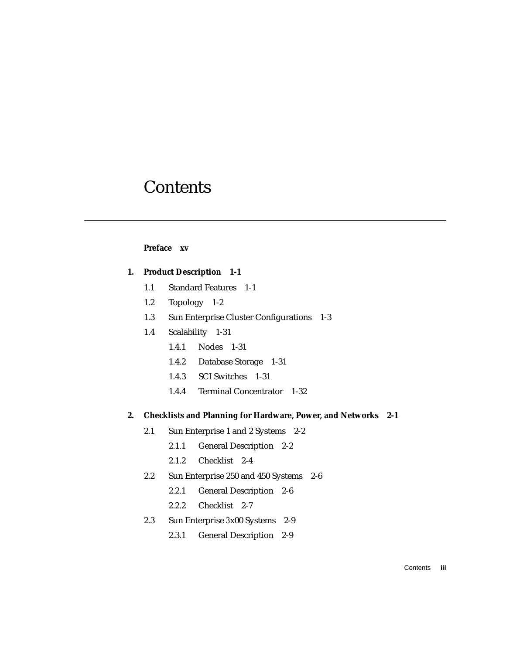### **Contents**

#### **Preface xv**

#### **1. Product Description 1-1**

- 1.1 Standard Features 1-1
- 1.2 Topology 1-2
- 1.3 Sun Enterprise Cluster Configurations 1-3
- 1.4 Scalability 1-31
	- 1.4.1 Nodes 1-31
	- 1.4.2 Database Storage 1-31
	- 1.4.3 SCI Switches 1-31
	- 1.4.4 Terminal Concentrator 1-32

#### **2. Checklists and Planning for Hardware, Power, and Networks 2-1**

- 2.1 Sun Enterprise 1 and 2 Systems 2-2
	- 2.1.1 General Description 2-2
	- 2.1.2 Checklist 2-4
- 2.2 Sun Enterprise 250 and 450 Systems 2-6
	- 2.2.1 General Description 2-6
	- 2.2.2 Checklist 2-7
- 2.3 Sun Enterprise *3*x00 Systems 2-9
	- 2.3.1 General Description 2-9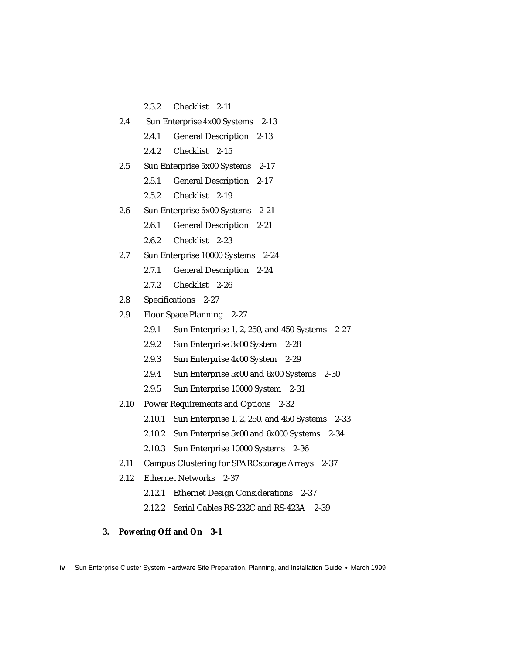2.3.2 Checklist 2-11

- 2.4 Sun Enterprise *4*x00 Systems 2-13
	- 2.4.1 General Description 2-13
	- 2.4.2 Checklist 2-15
- 2.5 Sun Enterprise *5*x00 Systems 2-17
	- 2.5.1 General Description 2-17
	- 2.5.2 Checklist 2-19
- 2.6 Sun Enterprise *6*x00 Systems 2-21
	- 2.6.1 General Description 2-21
	- 2.6.2 Checklist 2-23
- 2.7 Sun Enterprise 10000 Systems 2-24
	- 2.7.1 General Description 2-24
	- 2.7.2 Checklist 2-26
- 2.8 Specifications 2-27
- 2.9 Floor Space Planning 2-27
	- 2.9.1 Sun Enterprise 1, 2, 250, and 450 Systems 2-27
	- 2.9.2 Sun Enterprise 3*x*00 System 2-28
	- 2.9.3 Sun Enterprise 4*x*00 System 2-29
	- 2.9.4 Sun Enterprise 5*x*00 and 6*x*00 Systems 2-30
	- 2.9.5 Sun Enterprise 10000 System 2-31
- 2.10 Power Requirements and Options 2-32
	- 2.10.1 Sun Enterprise 1, 2, 250, and 450 Systems 2-33
	- 2.10.2 Sun Enterprise 5*x*00 and 6*x*000 Systems 2-34
	- 2.10.3 Sun Enterprise 10000 Systems 2-36
- 2.11 Campus Clustering for SPARCstorage Arrays 2-37
- 2.12 Ethernet Networks 2-37
	- 2.12.1 Ethernet Design Considerations 2-37
	- 2.12.2 Serial Cables RS-232C and RS-423A 2-39

#### **3. Powering Off and On 3-1**

**iv** Sun Enterprise Cluster System Hardware Site Preparation, Planning, and Installation Guide • March 1999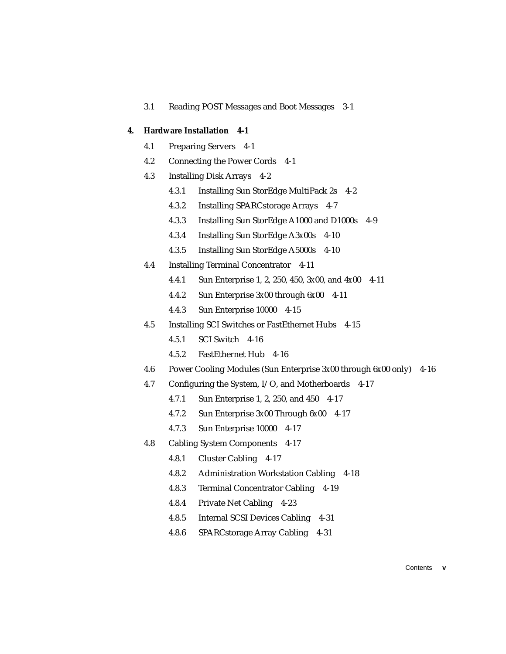3.1 Reading POST Messages and Boot Messages 3-1

#### **4. Hardware Installation 4-1**

- 4.1 Preparing Servers 4-1
- 4.2 Connecting the Power Cords 4-1
- 4.3 Installing Disk Arrays 4-2
	- 4.3.1 Installing Sun StorEdge MultiPack 2s 4-2
	- 4.3.2 Installing SPARCstorage Arrays 4-7
	- 4.3.3 Installing Sun StorEdge A1000 and D1000s 4-9
	- 4.3.4 Installing Sun StorEdge A3*x*00s 4-10
	- 4.3.5 Installing Sun StorEdge A5000s 4-10
- 4.4 Installing Terminal Concentrator 4-11
	- 4.4.1 Sun Enterprise 1, 2, 250, 450, 3*x*00, and 4*x*00 4-11
	- 4.4.2 Sun Enterprise 3*x*00 through 6*x*00 4-11
	- 4.4.3 Sun Enterprise 10000 4-15
- 4.5 Installing SCI Switches or FastEthernet Hubs 4-15
	- 4.5.1 SCI Switch 4-16
	- 4.5.2 FastEthernet Hub 4-16
- 4.6 Power Cooling Modules (Sun Enterprise 3*x*00 through 6*x*00 only) 4-16
- 4.7 Configuring the System, I/O, and Motherboards 4-17
	- 4.7.1 Sun Enterprise 1, 2, 250, and 450 4-17
	- 4.7.2 Sun Enterprise 3*x*00 Through 6*x*00 4-17
	- 4.7.3 Sun Enterprise 10000 4-17
- 4.8 Cabling System Components 4-17
	- 4.8.1 Cluster Cabling 4-17
	- 4.8.2 Administration Workstation Cabling 4-18
	- 4.8.3 Terminal Concentrator Cabling 4-19
	- 4.8.4 Private Net Cabling 4-23
	- 4.8.5 Internal SCSI Devices Cabling 4-31
	- 4.8.6 SPARCstorage Array Cabling 4-31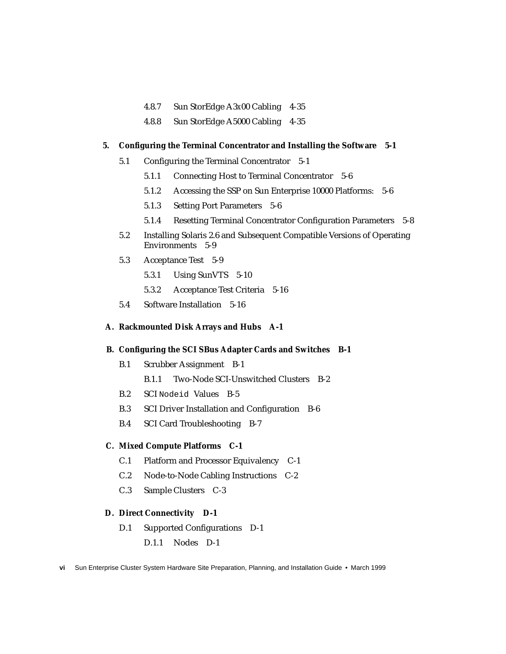- 4.8.7 Sun StorEdge A3*x*00 Cabling 4-35
- 4.8.8 Sun StorEdge A5000 Cabling 4-35

#### **5. Configuring the Terminal Concentrator and Installing the Software 5-1**

- 5.1 Configuring the Terminal Concentrator 5-1
	- 5.1.1 Connecting Host to Terminal Concentrator 5-6
	- 5.1.2 Accessing the SSP on Sun Enterprise 10000 Platforms: 5-6
	- 5.1.3 Setting Port Parameters 5-6
	- 5.1.4 Resetting Terminal Concentrator Configuration Parameters 5-8
- 5.2 Installing Solaris 2.6 and Subsequent Compatible Versions of Operating Environments 5-9
- 5.3 Acceptance Test 5-9
	- 5.3.1 Using SunVTS 5-10
	- 5.3.2 Acceptance Test Criteria 5-16
- 5.4 Software Installation 5-16

#### **A. Rackmounted Disk Arrays and Hubs A-1**

#### **B. Configuring the SCI SBus Adapter Cards and Switches B-1**

B.1 Scrubber Assignment B-1

B.1.1 Two-Node SCI-Unswitched Clusters B-2

- B.2 SCI Nodeid Values B-5
- B.3 SCI Driver Installation and Configuration B-6
- B.4 SCI Card Troubleshooting B-7

#### **C. Mixed Compute Platforms C-1**

- C.1 Platform and Processor Equivalency C-1
- C.2 Node-to-Node Cabling Instructions C-2
- C.3 Sample Clusters C-3

#### **D. Direct Connectivity D-1**

D.1 Supported Configurations D-1

D.1.1 Nodes D-1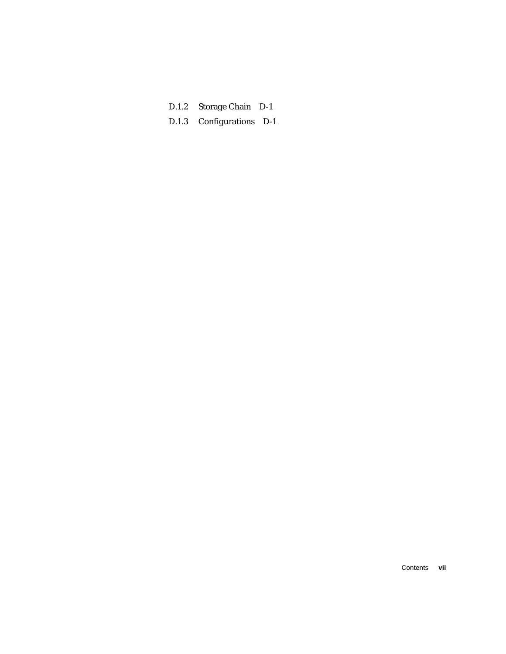- D.1.2 Storage Chain D-1
- D.1.3 Configurations D-1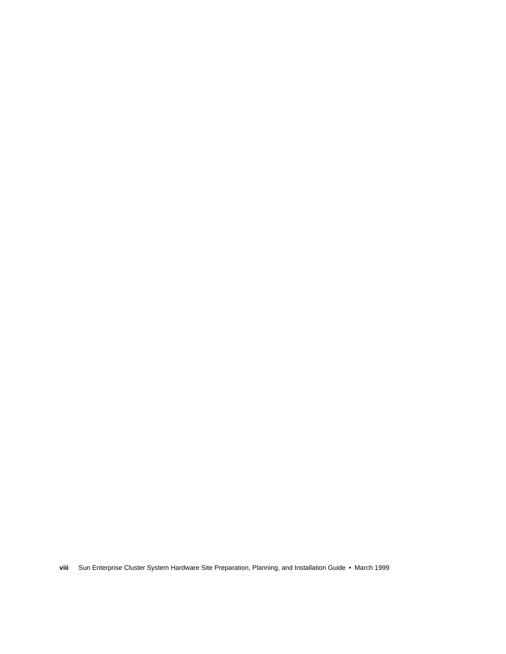**viii** Sun Enterprise Cluster System Hardware Site Preparation, Planning, and Installation Guide • March 1999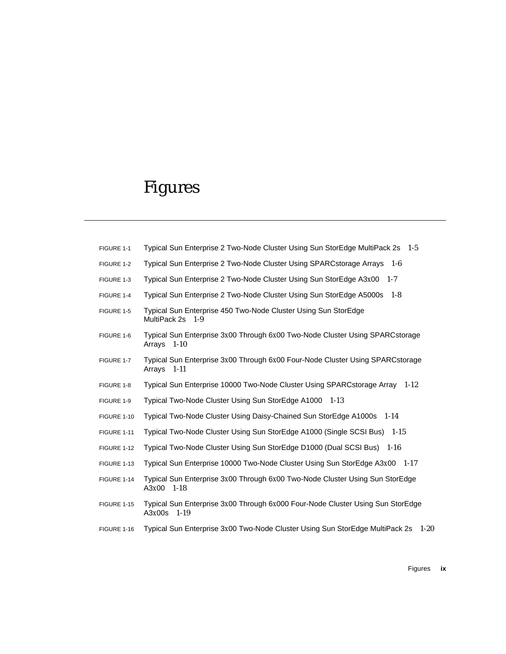# Figures

| FIGURE 1-1  | Typical Sun Enterprise 2 Two-Node Cluster Using Sun StorEdge MultiPack 2s 1-5                 |
|-------------|-----------------------------------------------------------------------------------------------|
| FIGURE 1-2  | Typical Sun Enterprise 2 Two-Node Cluster Using SPARCstorage Arrays 1-6                       |
| FIGURE 1-3  | Typical Sun Enterprise 2 Two-Node Cluster Using Sun StorEdge A3x00 1-7                        |
| FIGURE 1-4  | Typical Sun Enterprise 2 Two-Node Cluster Using Sun StorEdge A5000s 1-8                       |
| FIGURE 1-5  | Typical Sun Enterprise 450 Two-Node Cluster Using Sun StorEdge<br>MultiPack 2s 1-9            |
| FIGURE 1-6  | Typical Sun Enterprise 3x00 Through 6x00 Two-Node Cluster Using SPARCstorage<br>Arrays 1-10   |
| FIGURE 1-7  | Typical Sun Enterprise 3x00 Through 6x00 Four-Node Cluster Using SPARCstorage<br>Arrays 1-11  |
| FIGURE 1-8  | Typical Sun Enterprise 10000 Two-Node Cluster Using SPARCstorage Array 1-12                   |
| FIGURE 1-9  | Typical Two-Node Cluster Using Sun StorEdge A1000 1-13                                        |
| FIGURE 1-10 | Typical Two-Node Cluster Using Daisy-Chained Sun StorEdge A1000s 1-14                         |
| FIGURE 1-11 | Typical Two-Node Cluster Using Sun StorEdge A1000 (Single SCSI Bus) 1-15                      |
| FIGURE 1-12 | Typical Two-Node Cluster Using Sun StorEdge D1000 (Dual SCSI Bus) 1-16                        |
| FIGURE 1-13 | Typical Sun Enterprise 10000 Two-Node Cluster Using Sun StorEdge A3x00 1-17                   |
| FIGURE 1-14 | Typical Sun Enterprise 3x00 Through 6x00 Two-Node Cluster Using Sun StorEdge<br>A3x00 1-18    |
| FIGURE 1-15 | Typical Sun Enterprise 3x00 Through 6x000 Four-Node Cluster Using Sun StorEdge<br>A3x00s 1-19 |
| FIGURE 1-16 | Typical Sun Enterprise 3x00 Two-Node Cluster Using Sun StorEdge MultiPack 2s 1-20             |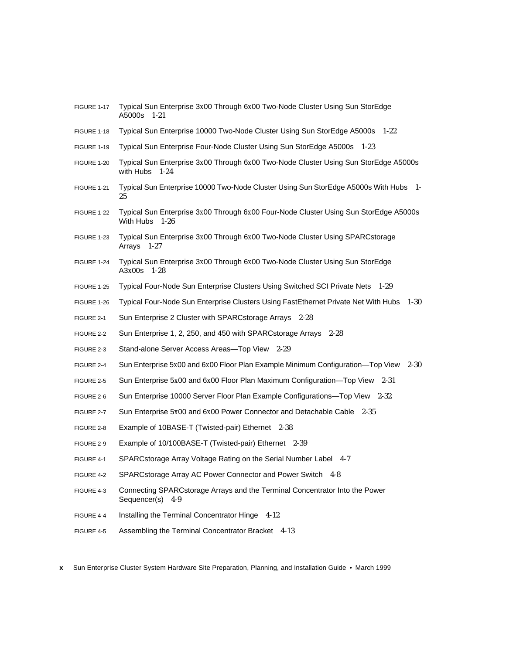| FIGURE 1-17 | Typical Sun Enterprise 3x00 Through 6x00 Two-Node Cluster Using Sun StorEdge<br>A5000s 1-21             |
|-------------|---------------------------------------------------------------------------------------------------------|
| FIGURE 1-18 | Typical Sun Enterprise 10000 Two-Node Cluster Using Sun StorEdge A5000s 1-22                            |
| FIGURE 1-19 | Typical Sun Enterprise Four-Node Cluster Using Sun StorEdge A5000s 1-23                                 |
| FIGURE 1-20 | Typical Sun Enterprise 3x00 Through 6x00 Two-Node Cluster Using Sun StorEdge A5000s<br>with Hubs $1-24$ |
| FIGURE 1-21 | Typical Sun Enterprise 10000 Two-Node Cluster Using Sun StorEdge A5000s With Hubs 1-<br>25              |
| FIGURE 1-22 | Typical Sun Enterprise 3x00 Through 6x00 Four-Node Cluster Using Sun StorEdge A5000s<br>With Hubs 1-26  |
| FIGURE 1-23 | Typical Sun Enterprise 3x00 Through 6x00 Two-Node Cluster Using SPARCstorage<br>Arrays 1-27             |
| FIGURE 1-24 | Typical Sun Enterprise 3x00 Through 6x00 Two-Node Cluster Using Sun StorEdge<br>$A3x00s$ 1-28           |
| FIGURE 1-25 | Typical Four-Node Sun Enterprise Clusters Using Switched SCI Private Nets 1-29                          |
| FIGURE 1-26 | Typical Four-Node Sun Enterprise Clusters Using FastEthernet Private Net With Hubs 1-30                 |
| FIGURE 2-1  | Sun Enterprise 2 Cluster with SPARCstorage Arrays 2-28                                                  |
| FIGURE 2-2  | Sun Enterprise 1, 2, 250, and 450 with SPARCstorage Arrays 2-28                                         |
| FIGURE 2-3  | Stand-alone Server Access Areas—Top View 2-29                                                           |
| FIGURE 2-4  | Sun Enterprise 5x00 and 6x00 Floor Plan Example Minimum Configuration—Top View 2-30                     |
| FIGURE 2-5  | Sun Enterprise 5x00 and 6x00 Floor Plan Maximum Configuration-Top View 2-31                             |
| FIGURE 2-6  | Sun Enterprise 10000 Server Floor Plan Example Configurations-Top View 2-32                             |
| FIGURE 2-7  | Sun Enterprise 5x00 and 6x00 Power Connector and Detachable Cable 2-35                                  |
| FIGURE 2-8  | Example of 10BASE-T (Twisted-pair) Ethernet 2-38                                                        |
| FIGURE 2-9  | Example of 10/100BASE-T (Twisted-pair) Ethernet 2-39                                                    |
| FIGURE 4-1  | SPARCstorage Array Voltage Rating on the Serial Number Label 4-7                                        |
| FIGURE 4-2  | SPARCstorage Array AC Power Connector and Power Switch 4-8                                              |
| FIGURE 4-3  | Connecting SPARCstorage Arrays and the Terminal Concentrator Into the Power<br>Sequencer(s) 4-9         |
| FIGURE 4-4  | Installing the Terminal Concentrator Hinge 4-12                                                         |
| FIGURE 4-5  | Assembling the Terminal Concentrator Bracket 4-13                                                       |
|             |                                                                                                         |

**x** Sun Enterprise Cluster System Hardware Site Preparation, Planning, and Installation Guide • March 1999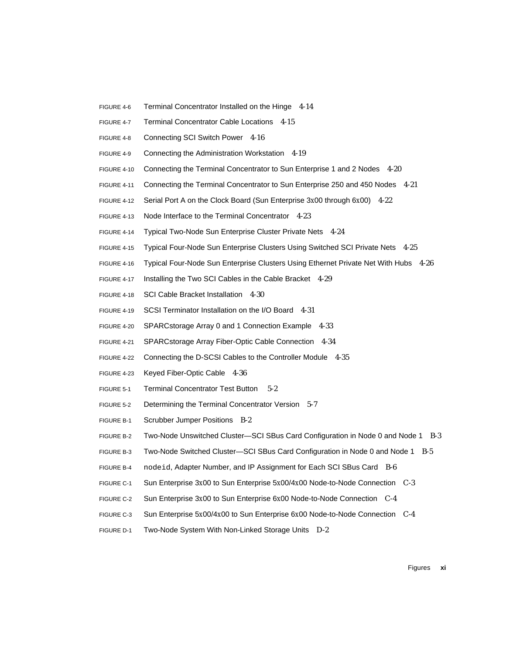- FIGURE 4-6 Terminal Concentrator Installed on the Hinge 4-14
- FIGURE 4-7 Terminal Concentrator Cable Locations 4-15
- FIGURE 4-8 Connecting SCI Switch Power 4-16
- FIGURE 4-9 Connecting the Administration Workstation 4-19
- FIGURE 4-10 Connecting the Terminal Concentrator to Sun Enterprise 1 and 2 Nodes 4-20
- FIGURE 4-11 Connecting the Terminal Concentrator to Sun Enterprise 250 and 450 Nodes 4-21
- FIGURE 4-12 Serial Port A on the Clock Board (Sun Enterprise 3*x*00 through 6*x*00) 4-22
- FIGURE 4-13 Node Interface to the Terminal Concentrator 4-23
- FIGURE 4-14 Typical Two-Node Sun Enterprise Cluster Private Nets 4-24
- FIGURE 4-15 Typical Four-Node Sun Enterprise Clusters Using Switched SCI Private Nets 4-25
- FIGURE 4-16 Typical Four-Node Sun Enterprise Clusters Using Ethernet Private Net With Hubs 4-26
- FIGURE 4-17 Installing the Two SCI Cables in the Cable Bracket 4-29
- FIGURE 4-18 SCI Cable Bracket Installation 4-30
- FIGURE 4-19 SCSI Terminator Installation on the I/O Board 4-31
- FIGURE 4-20 SPARCstorage Array 0 and 1 Connection Example 4-33
- FIGURE 4-21 SPARCstorage Array Fiber-Optic Cable Connection 4-34
- FIGURE 4-22 Connecting the D-SCSI Cables to the Controller Module 4-35
- FIGURE 4-23 Keyed Fiber-Optic Cable 4-36
- FIGURE 5-1 Terminal Concentrator Test Button 5-2
- FIGURE 5-2 Determining the Terminal Concentrator Version 5-7
- FIGURE B-1 Scrubber Jumper Positions B-2
- FIGURE B-2 Two-Node Unswitched Cluster—SCI SBus Card Configuration in Node 0 and Node 1 B-3
- FIGURE B-3 Two-Node Switched Cluster—SCI SBus Card Configuration in Node 0 and Node 1 B-5
- FIGURE B-4 nodeid, Adapter Number, and IP Assignment for Each SCI SBus Card B-6
- FIGURE C-1 Sun Enterprise 3*x*00 to Sun Enterprise 5*x*00/4*x*00 Node-to-Node Connection C-3
- FIGURE C-2 Sun Enterprise 3*x*00 to Sun Enterprise 6*x*00 Node-to-Node Connection C-4
- FIGURE C-3 Sun Enterprise 5*x*00/4*x*00 to Sun Enterprise 6*x*00 Node-to-Node Connection C-4
- FIGURE D-1 Two-Node System With Non-Linked Storage Units D-2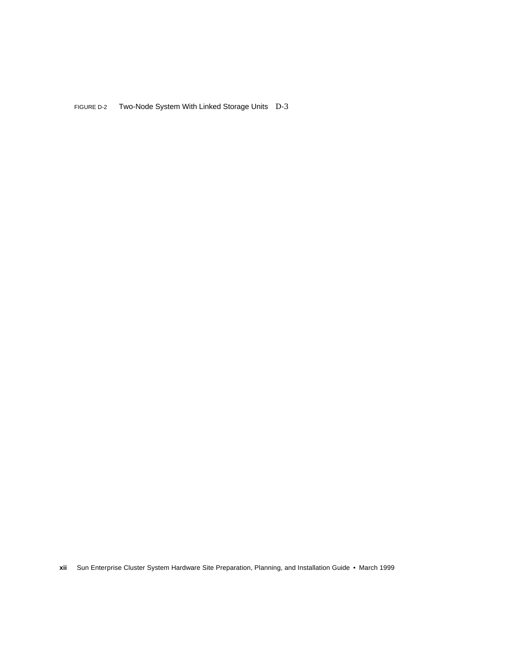FIGURE D-2 Two-Node System With Linked Storage Units D-3

**xii** Sun Enterprise Cluster System Hardware Site Preparation, Planning, and Installation Guide • March 1999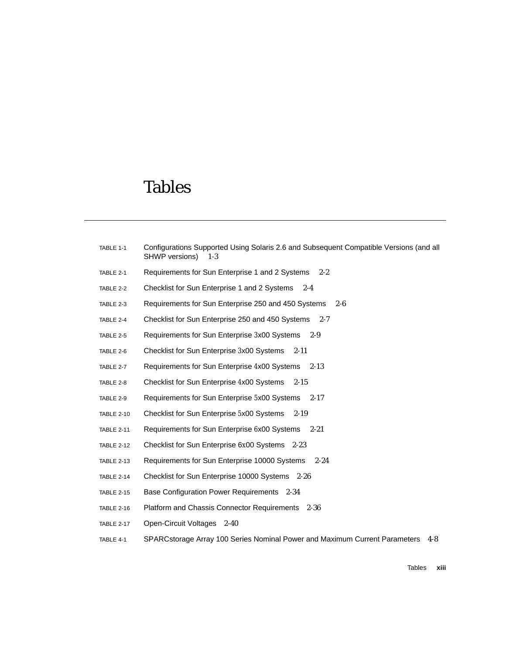## Tables

| TABLE 1-1         | Configurations Supported Using Solaris 2.6 and Subsequent Compatible Versions (and all<br>SHWP versions)<br>$1-3$ |
|-------------------|-------------------------------------------------------------------------------------------------------------------|
| TABLE 2-1         | Requirements for Sun Enterprise 1 and 2 Systems<br>$2 - 2$                                                        |
| TABLE 2-2         | Checklist for Sun Enterprise 1 and 2 Systems<br>$2 - 4$                                                           |
| TABLE 2-3         | Requirements for Sun Enterprise 250 and 450 Systems<br>$2 - 6$                                                    |
| TABLE 2-4         | Checklist for Sun Enterprise 250 and 450 Systems<br>$2 - 7$                                                       |
| TABLE 2-5         | Requirements for Sun Enterprise 3x00 Systems<br>$2-9$                                                             |
| TABLE 2-6         | Checklist for Sun Enterprise 3x00 Systems<br>$2 - 11$                                                             |
| TABLE 2-7         | Requirements for Sun Enterprise 4x00 Systems<br>2-13                                                              |
| TABLE 2-8         | Checklist for Sun Enterprise 4x00 Systems<br>$2 - 15$                                                             |
| TABLE 2-9         | Requirements for Sun Enterprise 5x00 Systems<br>2-17                                                              |
| <b>TABLE 2-10</b> | Checklist for Sun Enterprise 5x00 Systems<br>$2 - 19$                                                             |
| <b>TABLE 2-11</b> | Requirements for Sun Enterprise 6x00 Systems 2-21                                                                 |
| <b>TABLE 2-12</b> | Checklist for Sun Enterprise 6x00 Systems 2-23                                                                    |
| <b>TABLE 2-13</b> | Requirements for Sun Enterprise 10000 Systems<br>$2 - 24$                                                         |
| <b>TABLE 2-14</b> | Checklist for Sun Enterprise 10000 Systems 2-26                                                                   |
| <b>TABLE 2-15</b> | Base Configuration Power Requirements 2-34                                                                        |
| <b>TABLE 2-16</b> | Platform and Chassis Connector Requirements 2-36                                                                  |
| <b>TABLE 2-17</b> | Open-Circuit Voltages 2-40                                                                                        |
| TABLE 4-1         | SPARCstorage Array 100 Series Nominal Power and Maximum Current Parameters 4-8                                    |

Tables **xiii**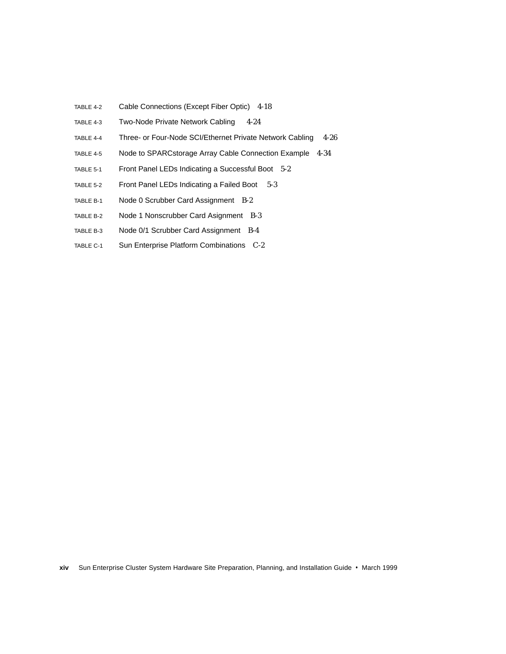- TABLE 4-2 Cable Connections (Except Fiber Optic) 4-18
- TABLE 4-3 Two-Node Private Network Cabling 4-24
- TABLE 4-4 Three- or Four-Node SCI/Ethernet Private Network Cabling 4-26
- TABLE 4-5 Node to SPARCstorage Array Cable Connection Example 4-34
- TABLE 5-1 Front Panel LEDs Indicating a Successful Boot 5-2
- TABLE 5-2 Front Panel LEDs Indicating a Failed Boot 5-3
- TABLE B-1 Node 0 Scrubber Card Assignment B-2
- TABLE B-2 Node 1 Nonscrubber Card Asignment B-3
- TABLE B-3 Node 0/1 Scrubber Card Assignment B-4
- TABLE C-1 Sun Enterprise Platform Combinations C-2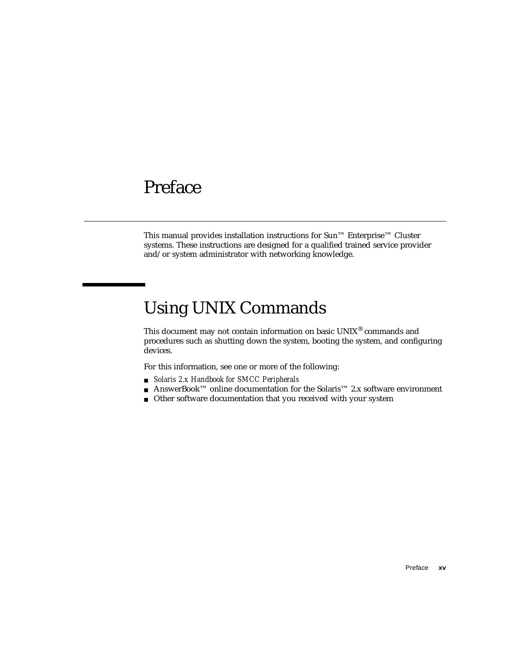### Preface

This manual provides installation instructions for Sun™ Enterprise™ Cluster systems. These instructions are designed for a qualified trained service provider and/or system administrator with networking knowledge.

### Using UNIX Commands

This document may not contain information on basic  $UNIX^{\circledast}$  commands and procedures such as shutting down the system, booting the system, and configuring devices.

For this information, see one or more of the following:

- *Solaris 2.x Handbook for SMCC Peripherals*
- AnswerBook™ online documentation for the Solaris™ 2.x software environment
- Other software documentation that you received with your system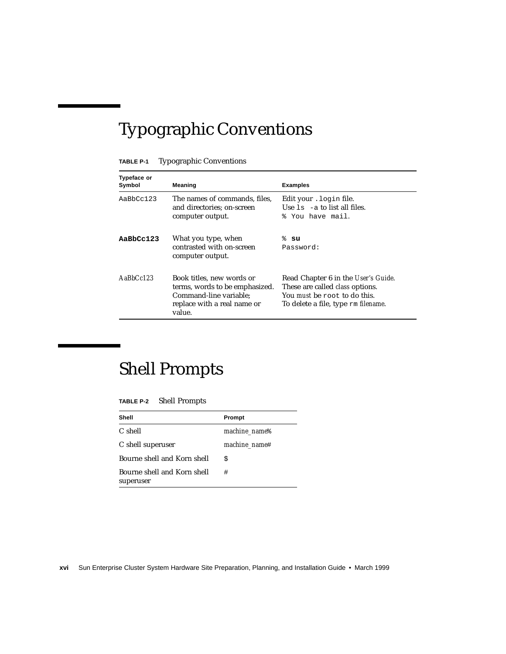## Typographic Conventions

#### **TABLE P-1** Typographic Conventions

| <b>Typeface or</b><br>Symbol | Meaning                                                                                                                        | <b>Examples</b>                                                                                                                                              |
|------------------------------|--------------------------------------------------------------------------------------------------------------------------------|--------------------------------------------------------------------------------------------------------------------------------------------------------------|
| $A$ a $BbCc123$              | The names of commands, files,<br>and directories; on-screen<br>computer output.                                                | Edit your . login file.<br>Use $1s$ -a to list all files.<br>% You have mail.                                                                                |
| AaBbCc123                    | What you type, when<br>contrasted with on-screen<br>computer output.                                                           | ៖ su<br>Password:                                                                                                                                            |
| $A$ a $BhCr123$              | Book titles, new words or<br>terms, words to be emphasized.<br>Command-line variable:<br>replace with a real name or<br>value. | Read Chapter 6 in the User's Guide.<br>These are called <i>class</i> options.<br>You must be root to do this.<br>To delete a file, type rm <i>filename</i> . |

## Shell Prompts

| TABLE P-2 |  | <b>Shell Prompts</b> |
|-----------|--|----------------------|
|-----------|--|----------------------|

| Shell                                    | Prompt                    |
|------------------------------------------|---------------------------|
| C shell                                  | machine name <sup>§</sup> |
| C shell superuser                        | machine name#             |
| Bourne shell and Korn shell              | Ŝ                         |
| Bourne shell and Korn shell<br>superuser | #                         |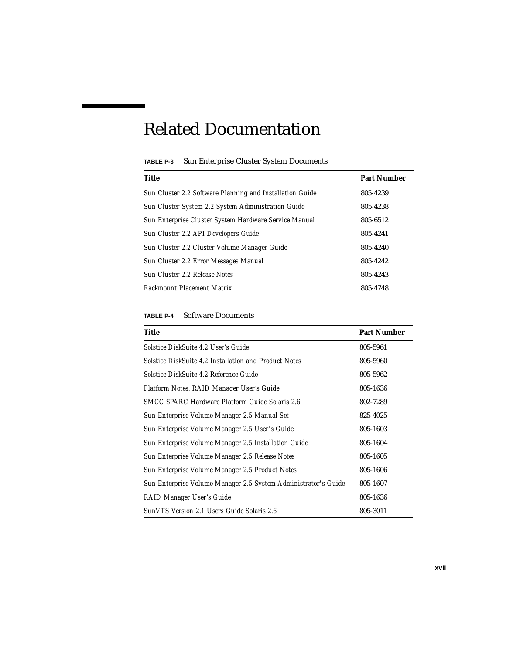## Related Documentation

#### **TABLE P-3** Sun Enterprise Cluster System Documents

| Title                                                    | <b>Part Number</b> |
|----------------------------------------------------------|--------------------|
| Sun Cluster 2.2 Software Planning and Installation Guide | 805-4239           |
| Sun Cluster System 2.2 System Administration Guide       | 805-4238           |
| Sun Enterprise Cluster System Hardware Service Manual    | 805-6512           |
| Sun Cluster 2.2 API Developers Guide                     | 805-4241           |
| Sun Cluster 2.2 Cluster Volume Manager Guide             | 805-4240           |
| Sun Cluster 2.2 Error Messages Manual                    | 805-4242           |
| <b>Sun Cluster 2.2 Release Notes</b>                     | 805-4243           |
| Rackmount Placement Matrix                               | 805-4748           |

#### **TABLE P-4** Software Documents

| Title                                                          | <b>Part Number</b> |
|----------------------------------------------------------------|--------------------|
| Solstice DiskSuite 4.2 User's Guide                            | 805-5961           |
| Solstice DiskSuite 4.2 Installation and Product Notes          | 805-5960           |
| Solstice DiskSuite 4.2 Reference Guide                         | 805-5962           |
| Platform Notes: RAID Manager User's Guide                      | 805-1636           |
| SMCC SPARC Hardware Platform Guide Solaris 2.6                 | 802-7289           |
| Sun Enterprise Volume Manager 2.5 Manual Set                   | 825-4025           |
| Sun Enterprise Volume Manager 2.5 User's Guide                 | 805-1603           |
| Sun Enterprise Volume Manager 2.5 Installation Guide           | 805-1604           |
| Sun Enterprise Volume Manager 2.5 Release Notes                | 805-1605           |
| Sun Enterprise Volume Manager 2.5 Product Notes                | 805-1606           |
| Sun Enterprise Volume Manager 2.5 System Administrator's Guide | 805-1607           |
| RAID Manager User's Guide                                      | 805-1636           |
| SunVTS Version 2.1 Users Guide Solaris 2.6                     | 805-3011           |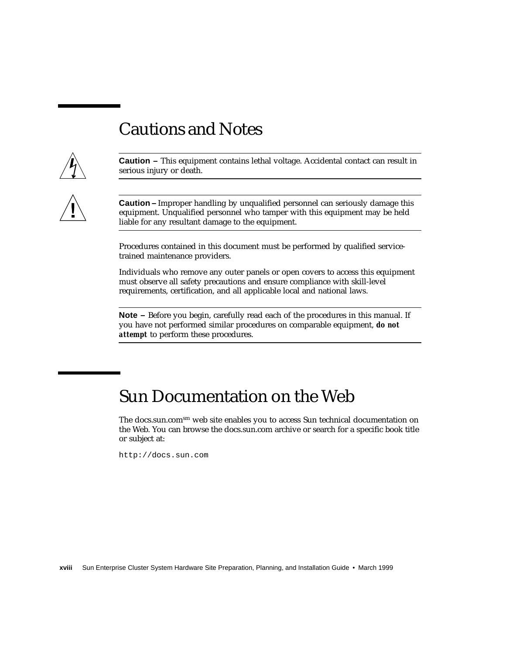### Cautions and Notes



**Caution –** This equipment contains lethal voltage. Accidental contact can result in serious injury or death.

**Caution –** Improper handling by unqualified personnel can seriously damage this equipment. Unqualified personnel who tamper with this equipment may be held liable for any resultant damage to the equipment.

Procedures contained in this document must be performed by qualified servicetrained maintenance providers.

Individuals who remove any outer panels or open covers to access this equipment must observe all safety precautions and ensure compliance with skill-level requirements, certification, and all applicable local and national laws.

**Note –** Before you begin, carefully read each of the procedures in this manual. If you have not performed similar procedures on comparable equipment, *do not attempt* to perform these procedures.

### Sun Documentation on the Web

The docs.sun.comsm web site enables you to access Sun technical documentation on the Web. You can browse the docs.sun.com archive or search for a specific book title or subject at:

http://docs.sun.com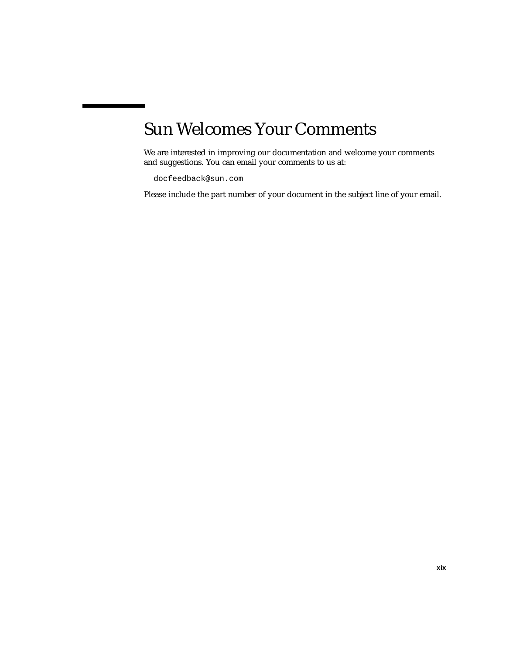## Sun Welcomes Your Comments

We are interested in improving our documentation and welcome your comments and suggestions. You can email your comments to us at:

docfeedback@sun.com

Please include the part number of your document in the subject line of your email.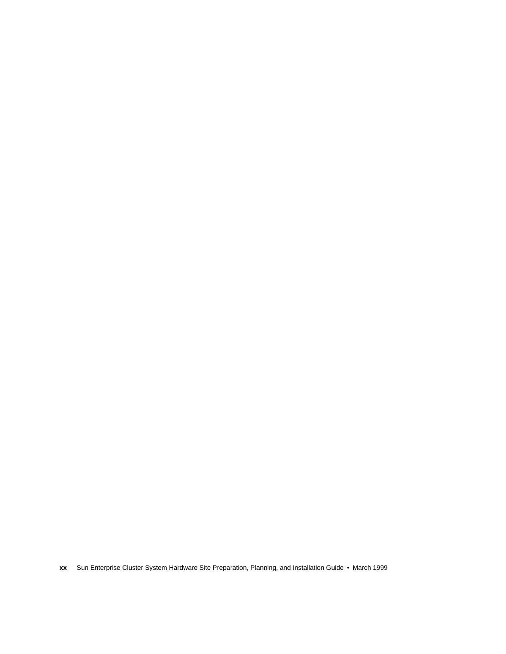**xx** Sun Enterprise Cluster System Hardware Site Preparation, Planning, and Installation Guide • March 1999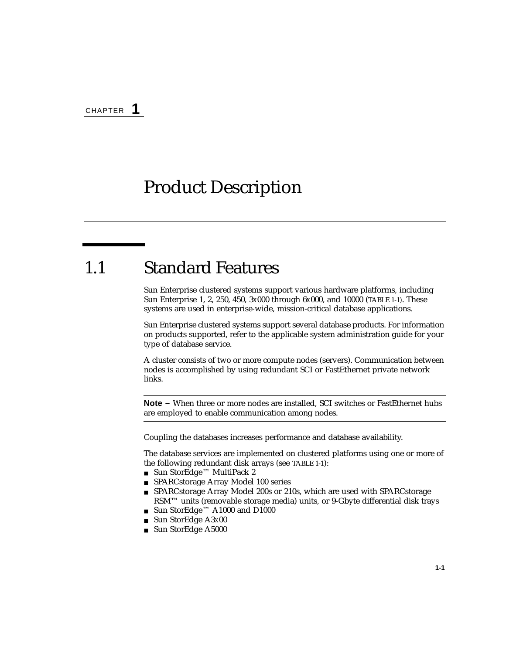#### CHAPTER **1**

### Product Description

### 1.1 Standard Features

Sun Enterprise clustered systems support various hardware platforms, including Sun Enterprise 1, 2, 250, 450, 3*x*000 through 6*x*000, and 10000 (TABLE 1-1). These systems are used in enterprise-wide, mission-critical database applications.

Sun Enterprise clustered systems support several database products. For information on products supported, refer to the applicable system administration guide for your type of database service.

A cluster consists of two or more compute nodes (servers). Communication between nodes is accomplished by using redundant SCI or FastEthernet private network links.

**Note –** When three or more nodes are installed, SCI switches or FastEthernet hubs are employed to enable communication among nodes.

Coupling the databases increases performance and database availability.

The database services are implemented on clustered platforms using one or more of the following redundant disk arrays (see TABLE 1-1):

- Sun StorEdge™ MultiPack 2
- SPARCstorage Array Model 100 series
- SPARCstorage Array Model 200s or 210s, which are used with SPARCstorage RSM™ units (removable storage media) units, or 9-Gbyte differential disk trays
- Sun StorEdge™ A1000 and D1000
- Sun StorEdge A3*x*00
- Sun StorEdge A5000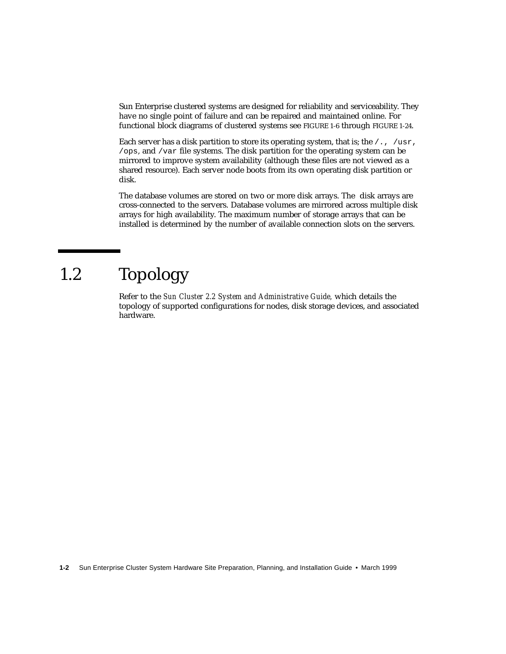Sun Enterprise clustered systems are designed for reliability and serviceability. They have no single point of failure and can be repaired and maintained online. For functional block diagrams of clustered systems see FIGURE 1-6 through FIGURE 1-24.

Each server has a disk partition to store its operating system, that is; the  $/$ .,  $/$ usr, /ops, and /var file systems. The disk partition for the operating system can be mirrored to improve system availability (although these files are not viewed as a shared resource). Each server node boots from its own operating disk partition or disk.

The database volumes are stored on two or more disk arrays. The disk arrays are cross-connected to the servers. Database volumes are mirrored across multiple disk arrays for high availability. The maximum number of storage arrays that can be installed is determined by the number of available connection slots on the servers.

## 1.2 Topology

Refer to the *Sun Cluster 2.2 System and Administrative Guide,* which details the topology of supported configurations for nodes, disk storage devices, and associated hardware.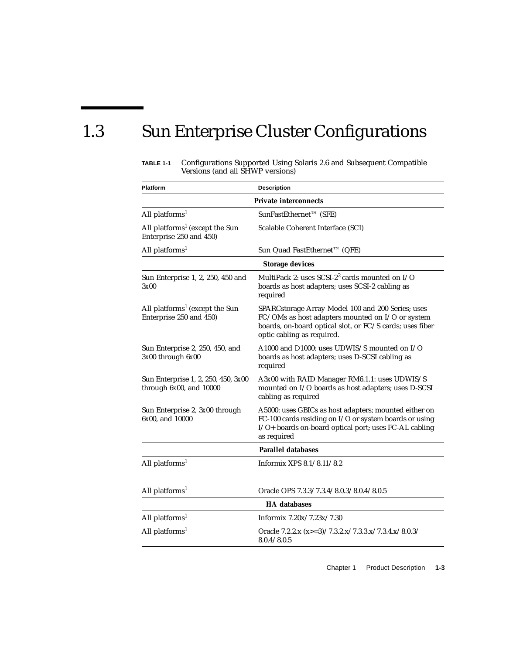## 1.3 Sun Enterprise Cluster Configurations

| <b>Platform</b>                                                       | <b>Description</b>                                                                                                                                                                              |  |  |
|-----------------------------------------------------------------------|-------------------------------------------------------------------------------------------------------------------------------------------------------------------------------------------------|--|--|
|                                                                       | <b>Private interconnects</b>                                                                                                                                                                    |  |  |
| All platforms <sup>1</sup>                                            | SunFastEthernet™ (SFE)                                                                                                                                                                          |  |  |
| All platforms <sup>1</sup> (except the Sun<br>Enterprise 250 and 450) | Scalable Coherent Interface (SCI)                                                                                                                                                               |  |  |
| All platforms <sup>1</sup>                                            | Sun Quad FastEthernet™ (QFE)                                                                                                                                                                    |  |  |
|                                                                       | <b>Storage devices</b>                                                                                                                                                                          |  |  |
| Sun Enterprise 1, 2, 250, 450 and<br>3x00                             | MultiPack 2: uses SCSI-2 <sup>2</sup> cards mounted on I/O<br>boards as host adapters; uses SCSI-2 cabling as<br>required                                                                       |  |  |
| All platforms <sup>1</sup> (except the Sun<br>Enterprise 250 and 450) | SPARCstorage Array Model 100 and 200 Series; uses<br>FC/OMs as host adapters mounted on I/O or system<br>boards, on-board optical slot, or FC/S cards; uses fiber<br>optic cabling as required. |  |  |
| Sun Enterprise 2, 250, 450, and<br>3x00 through 6x00                  | A1000 and D1000: uses UDWIS/S mounted on I/O<br>boards as host adapters; uses D-SCSI cabling as<br>required                                                                                     |  |  |
| Sun Enterprise 1, 2, 250, 450, 3x00<br>through $6x00$ , and $10000$   | A3x00 with RAID Manager RM6.1.1: uses UDWIS/S<br>mounted on I/O boards as host adapters; uses D-SCSI<br>cabling as required                                                                     |  |  |
| Sun Enterprise 2, 3x00 through<br>6x00, and 10000                     | A5000: uses GBICs as host adapters; mounted either on<br>FC-100 cards residing on I/O or system boards or using<br>I/O+ boards on-board optical port; uses FC-AL cabling<br>as required         |  |  |
|                                                                       | <b>Parallel databases</b>                                                                                                                                                                       |  |  |
| All platforms <sup>1</sup>                                            | Informix XPS 8.1/8.11/8.2                                                                                                                                                                       |  |  |
| All platforms <sup>1</sup>                                            | Oracle OPS 7.3.3/7.3.4/8.0.3/8.0.4/8.0.5                                                                                                                                                        |  |  |
| <b>HA</b> databases                                                   |                                                                                                                                                                                                 |  |  |
| All platforms <sup>1</sup>                                            | Informix 7.20x/7.23x/7.30                                                                                                                                                                       |  |  |
| All platforms <sup>1</sup>                                            | Oracle 7.2.2.x $(x>=3)/7.3.2.x/7.3.3.x/7.3.4.x/8.0.3/$<br>8.0.4 / 8.0.5                                                                                                                         |  |  |

**TABLE 1-1** Configurations Supported Using Solaris 2.6 and Subsequent Compatible Versions (and all SHWP versions)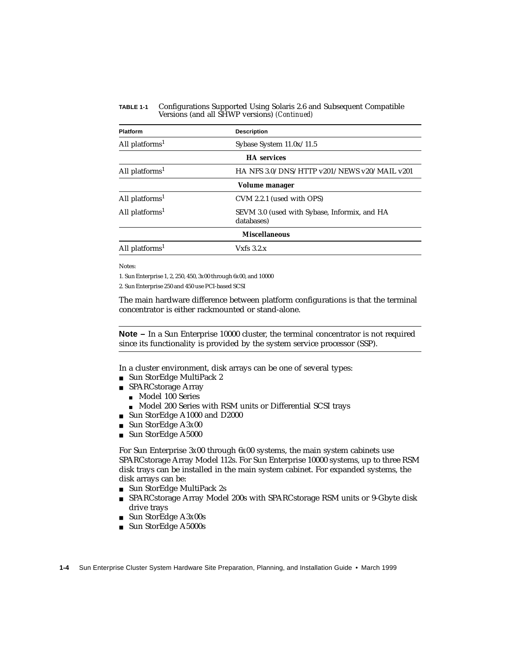#### **TABLE 1-1** Configurations Supported Using Solaris 2.6 and Subsequent Compatible Versions (and all SHWP versions) *(Continued)*

| <b>Platform</b>            | <b>Description</b>                                         |
|----------------------------|------------------------------------------------------------|
| All platforms <sup>1</sup> | Sybase System $11.0x/11.5$                                 |
|                            | <b>HA</b> services                                         |
| All platforms <sup>1</sup> | HA NFS 3.0/DNS/HTTP v201/NEWS v20/MAIL v201                |
|                            | Volume manager                                             |
| All platforms <sup>1</sup> | CVM 2.2.1 (used with OPS)                                  |
| All platforms <sup>1</sup> | SEVM 3.0 (used with Sybase, Informix, and HA<br>databases) |
|                            | <b>Miscellaneous</b>                                       |
| All platforms <sup>1</sup> | Vxfs $3.2.x$                                               |

Notes:

1. Sun Enterprise 1, 2, 250, 450, 3*x*00 through 6*x*00, and 10000

2. Sun Enterprise 250 and 450 use PCI-based SCSI

The main hardware difference between platform configurations is that the terminal concentrator is either rackmounted or stand-alone.

**Note –** In a Sun Enterprise 10000 cluster, the terminal concentrator is not required since its functionality is provided by the system service processor (SSP).

In a cluster environment, disk arrays can be one of several types:

- Sun StorEdge MultiPack 2
- SPARCstorage Array
	- Model 100 Series
	- Model 200 Series with RSM units or Differential SCSI trays
- Sun StorEdge A1000 and D2000
- Sun StorEdge A3*x*00
- Sun StorEdge A5000

For Sun Enterprise 3*x*00 through 6*x*00 systems, the main system cabinets use SPARCstorage Array Model 112s. For Sun Enterprise 10000 systems, up to three RSM disk trays can be installed in the main system cabinet. For expanded systems, the disk arrays can be:

- Sun StorEdge MultiPack 2s
- SPARCstorage Array Model 200s with SPARCstorage RSM units or 9-Gbyte disk drive trays
- Sun StorEdge A3*x*00s
- Sun StorEdge A5000s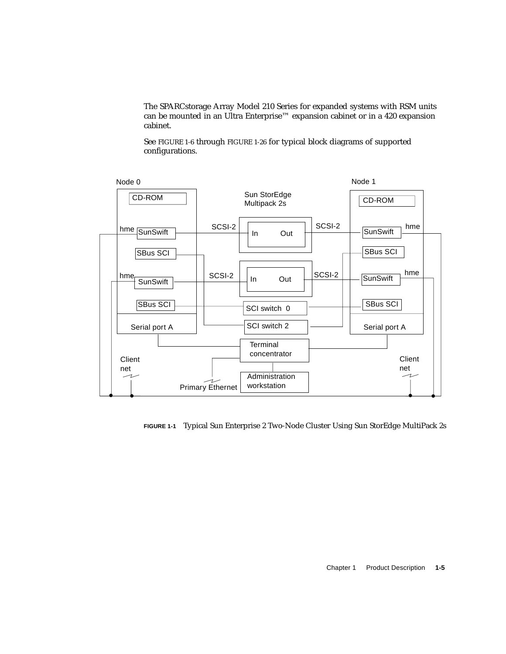The SPARCstorage Array Model 210 Series for expanded systems with RSM units can be mounted in an Ultra Enterprise™ expansion cabinet or in a 420 expansion cabinet.

See FIGURE 1-6 through FIGURE 1-26 for typical block diagrams of supported configurations.



**FIGURE 1-1** Typical Sun Enterprise 2 Two-Node Cluster Using Sun StorEdge MultiPack 2s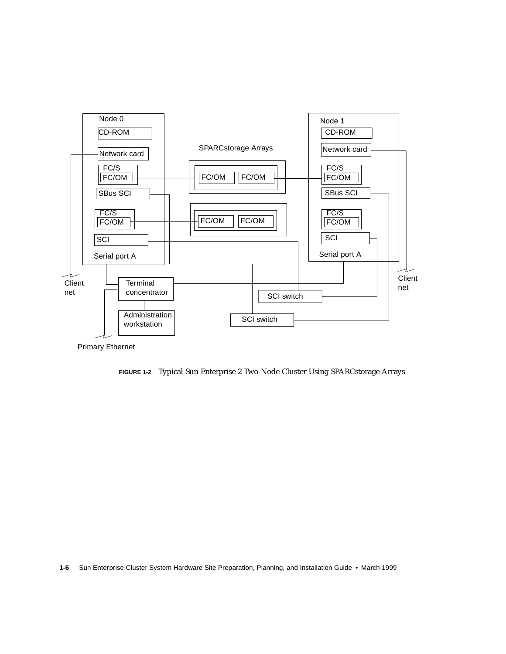

Primary Ethernet



**1-6** Sun Enterprise Cluster System Hardware Site Preparation, Planning, and Installation Guide • March 1999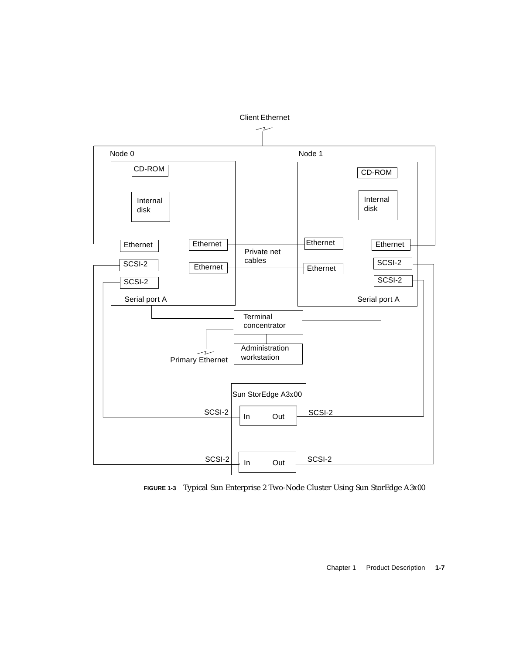

**FIGURE 1-3** Typical Sun Enterprise 2 Two-Node Cluster Using Sun StorEdge A3*x*00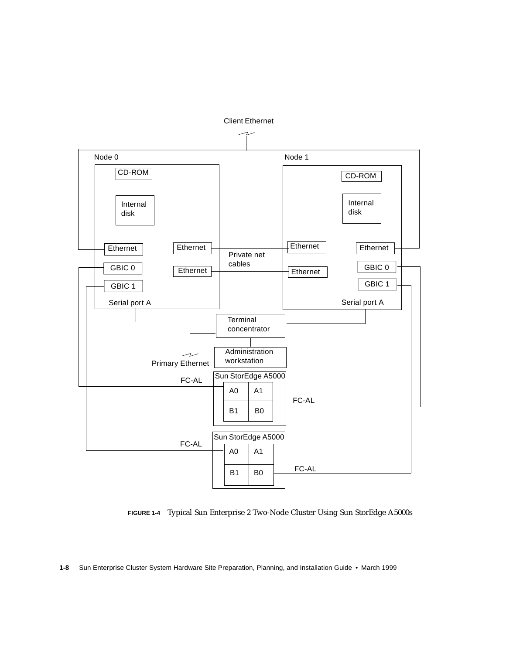

**FIGURE 1-4** Typical Sun Enterprise 2 Two-Node Cluster Using Sun StorEdge A5000s

**1-8** Sun Enterprise Cluster System Hardware Site Preparation, Planning, and Installation Guide • March 1999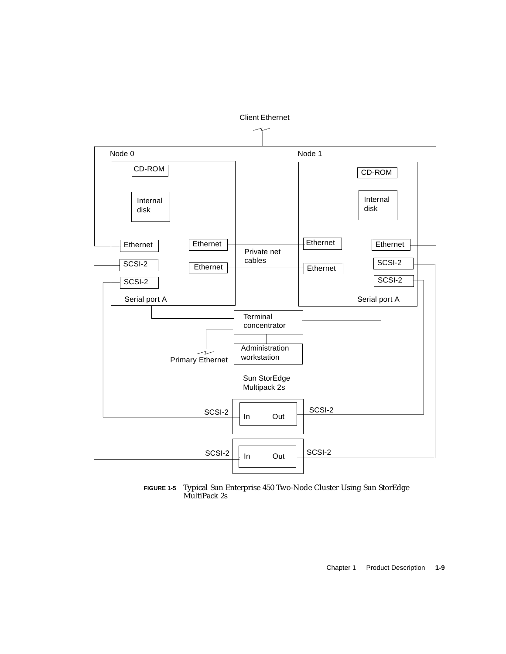

**FIGURE 1-5** Typical Sun Enterprise 450 Two-Node Cluster Using Sun StorEdge MultiPack 2s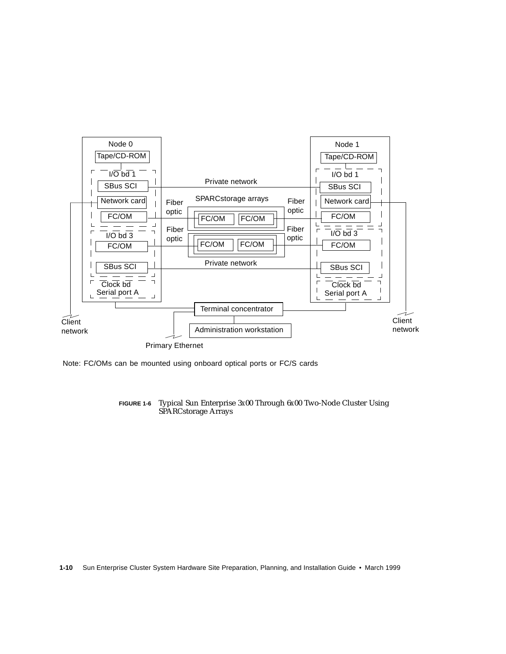

Note: FC/OMs can be mounted using onboard optical ports or FC/S cards

**FIGURE 1-6** Typical Sun Enterprise 3*x*00 Through 6*x*00 Two-Node Cluster Using SPARCstorage Arrays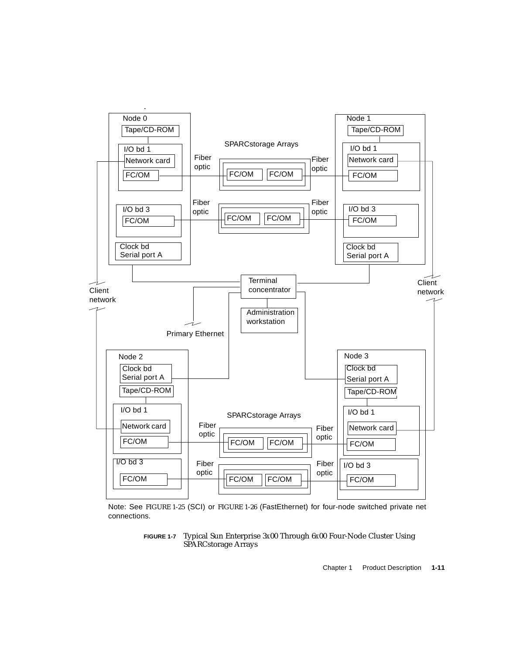

Note: See FIGURE 1-25 (SCI) or FIGURE 1-26 (FastEthernet) for four-node switched private net connections.

> **FIGURE 1-7** Typical Sun Enterprise 3*x*00 Through 6*x*00 Four-Node Cluster Using SPARCstorage Arrays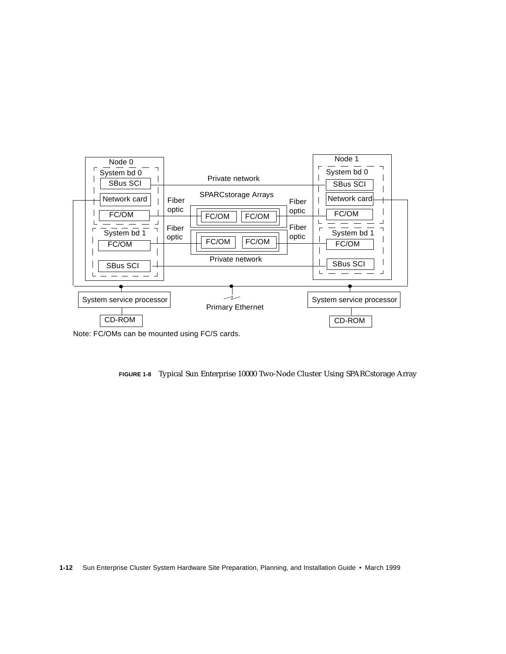

Note: FC/OMs can be mounted using FC/S cards.

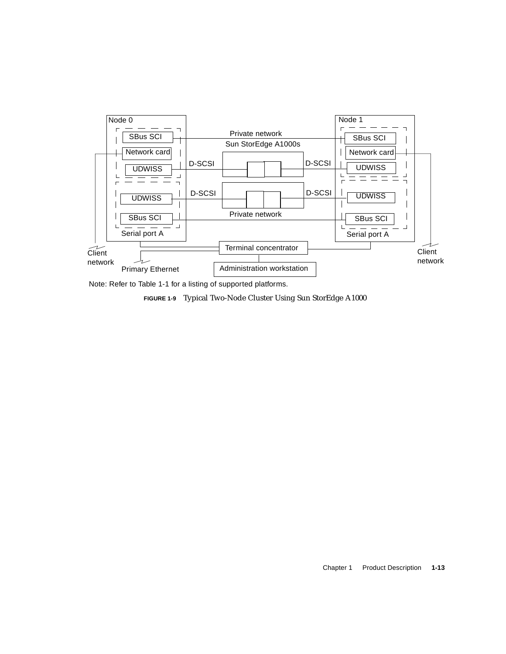

Note: Refer to Table 1-1 for a listing of supported platforms.

**FIGURE 1-9** Typical Two-Node Cluster Using Sun StorEdge A1000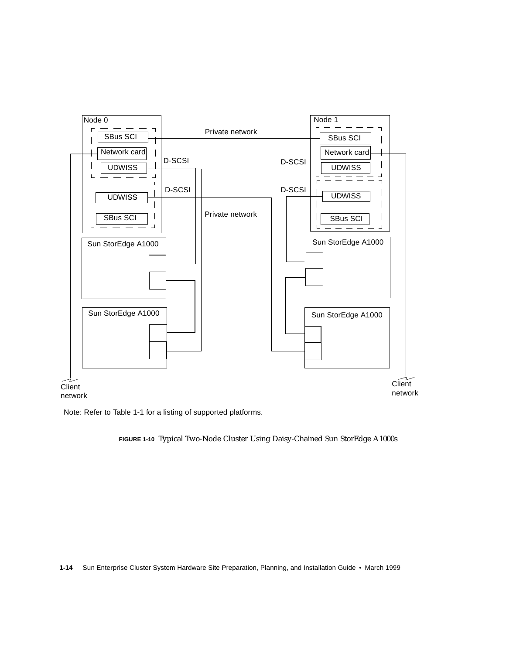

Note: Refer to Table 1-1 for a listing of supported platforms.

**FIGURE 1-10** Typical Two-Node Cluster Using Daisy-Chained Sun StorEdge A1000s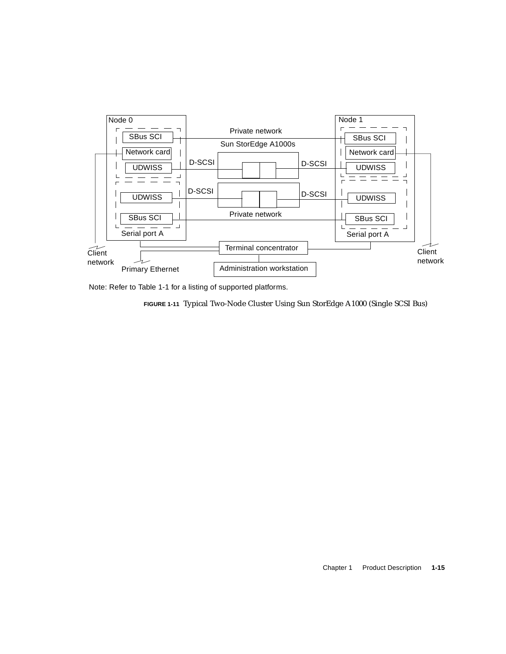

Note: Refer to Table 1-1 for a listing of supported platforms.

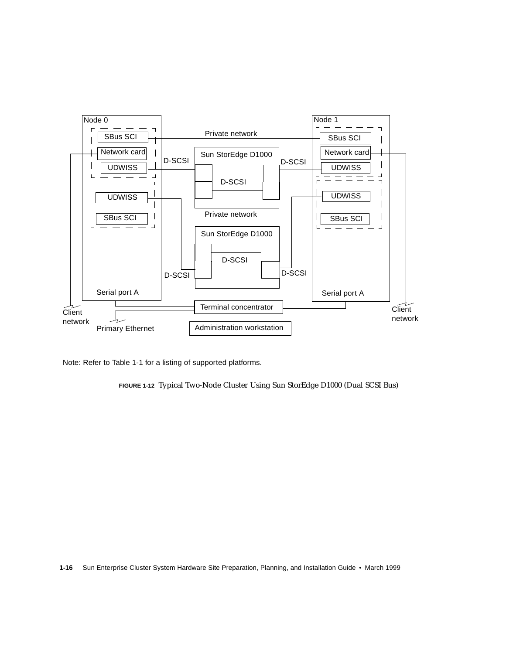

Note: Refer to Table 1-1 for a listing of supported platforms.

**FIGURE 1-12** Typical Two-Node Cluster Using Sun StorEdge D1000 (Dual SCSI Bus)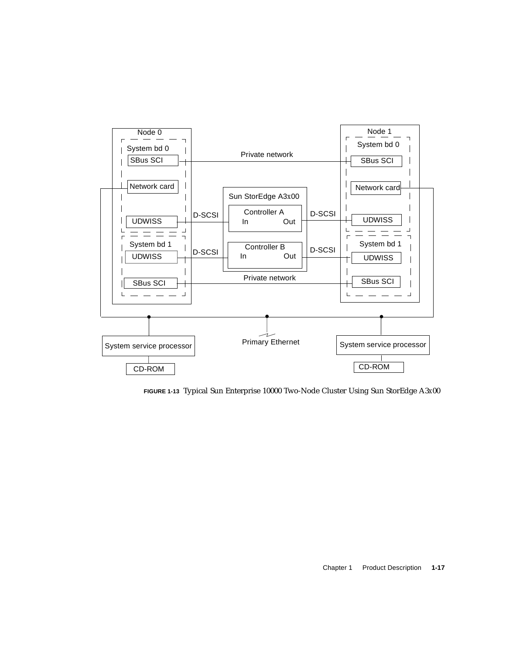

**FIGURE 1-13** Typical Sun Enterprise 10000 Two-Node Cluster Using Sun StorEdge A3*x*00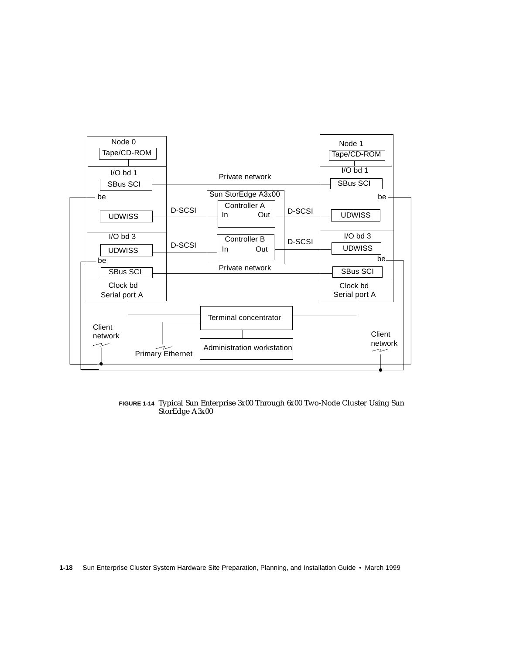

**FIGURE 1-14** Typical Sun Enterprise 3*x*00 Through 6*x*00 Two-Node Cluster Using Sun StorEdge A3*x*00

**1-18** Sun Enterprise Cluster System Hardware Site Preparation, Planning, and Installation Guide • March 1999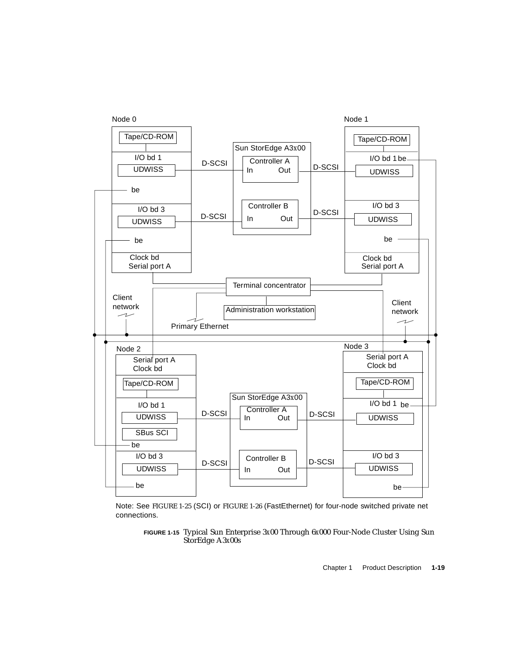

Note: See FIGURE 1-25 (SCI) or FIGURE 1-26 (FastEthernet) for four-node switched private net connections.

**FIGURE 1-15** Typical Sun Enterprise 3*x*00 Through 6*x*000 Four-Node Cluster Using Sun StorEdge A3*x*00s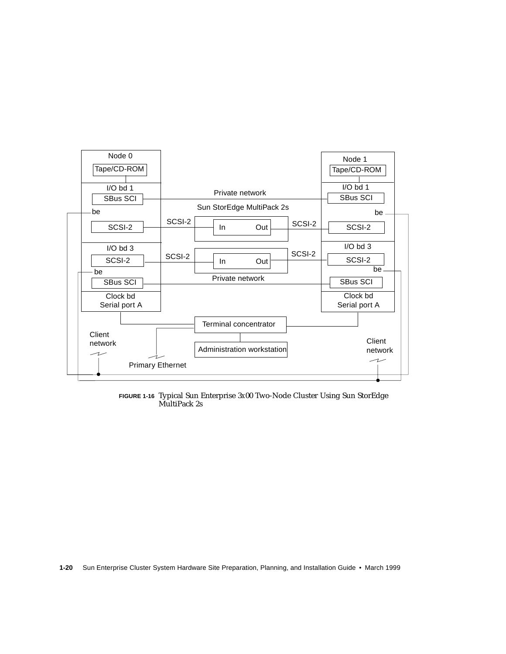

**FIGURE 1-16** Typical Sun Enterprise 3*x*00 Two-Node Cluster Using Sun StorEdge MultiPack 2s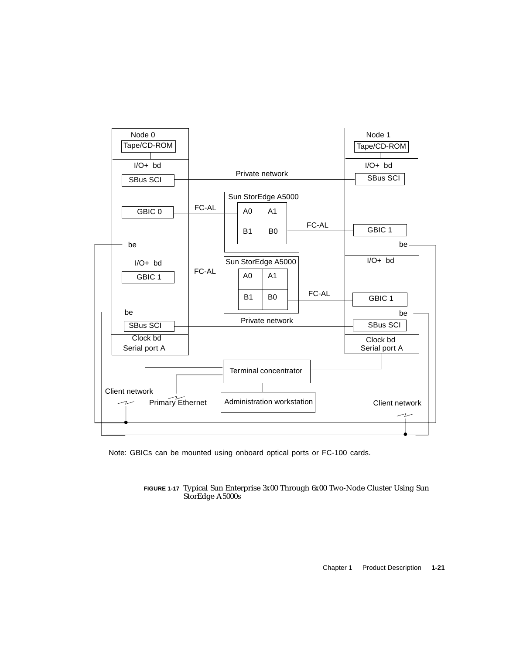

Note: GBICs can be mounted using onboard optical ports or FC-100 cards.

**FIGURE 1-17** Typical Sun Enterprise 3*x*00 Through 6*x*00 Two-Node Cluster Using Sun StorEdge A5000s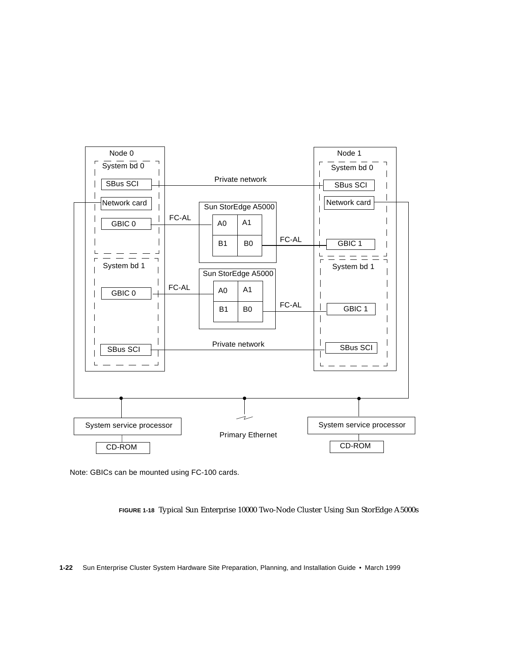



**FIGURE 1-18** Typical Sun Enterprise 10000 Two-Node Cluster Using Sun StorEdge A5000s

**1-22** Sun Enterprise Cluster System Hardware Site Preparation, Planning, and Installation Guide • March 1999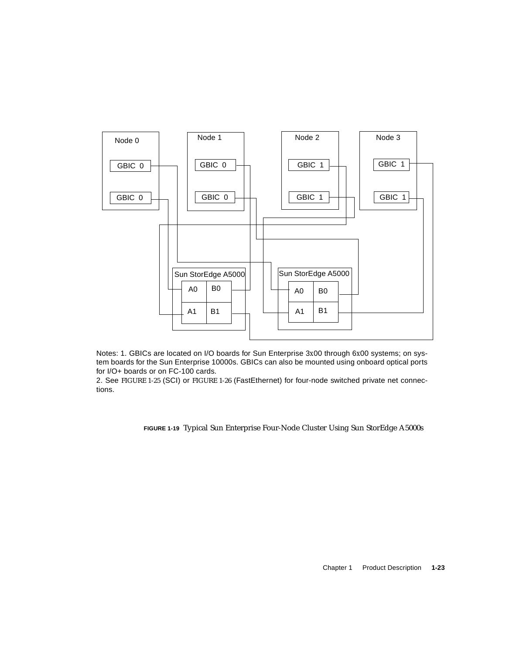



2. See FIGURE 1-25 (SCI) or FIGURE 1-26 (FastEthernet) for four-node switched private net connections.

**FIGURE 1-19** Typical Sun Enterprise Four-Node Cluster Using Sun StorEdge A5000s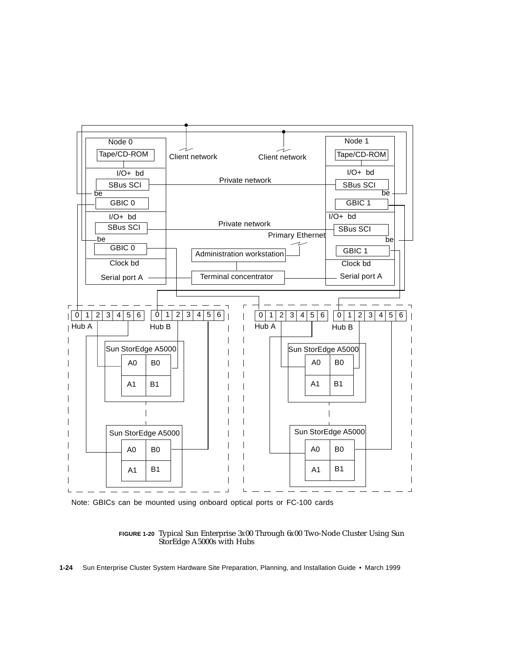

Note: GBICs can be mounted using onboard optical ports or FC-100 cards



**1-24** Sun Enterprise Cluster System Hardware Site Preparation, Planning, and Installation Guide • March 1999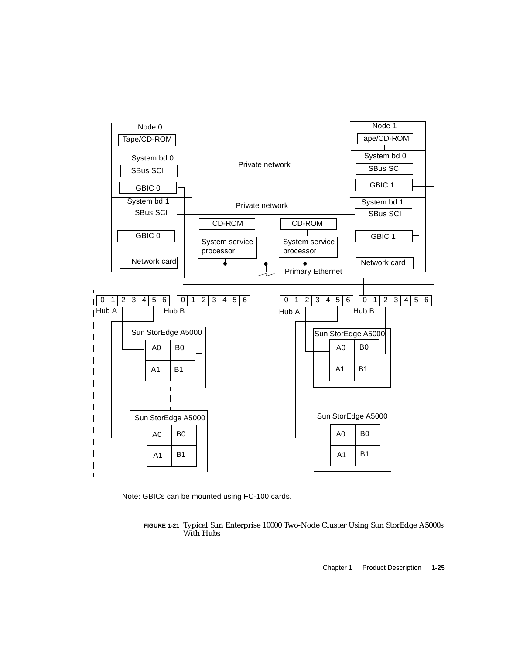

Note: GBICs can be mounted using FC-100 cards.

**FIGURE 1-21** Typical Sun Enterprise 10000 Two-Node Cluster Using Sun StorEdge A5000s With Hubs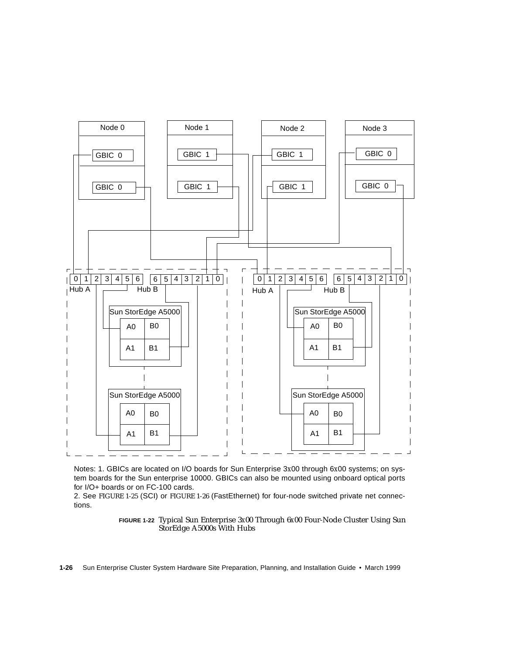

Notes: 1. GBICs are located on I/O boards for Sun Enterprise 3*x*00 through 6*x*00 systems; on system boards for the Sun enterprise 10000. GBICs can also be mounted using onboard optical ports for I/O+ boards or on FC-100 cards.

2. See FIGURE 1-25 (SCI) or FIGURE 1-26 (FastEthernet) for four-node switched private net connections.

> **FIGURE 1-22** Typical Sun Enterprise 3*x*00 Through 6*x*00 Four-Node Cluster Using Sun StorEdge A5000s With Hubs

**1-26** Sun Enterprise Cluster System Hardware Site Preparation, Planning, and Installation Guide • March 1999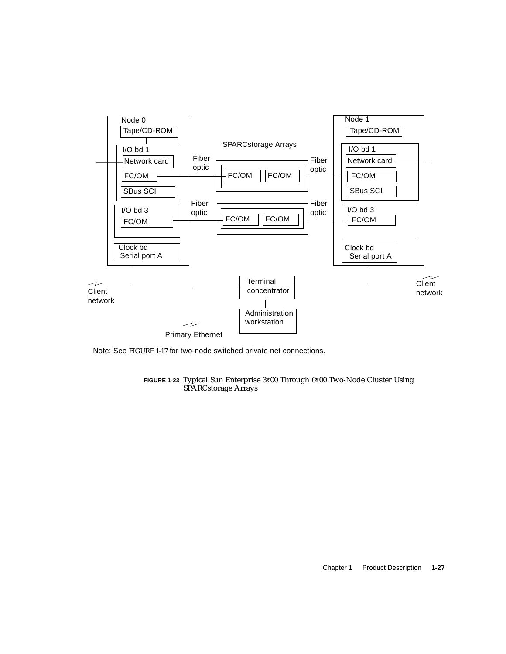

Note: See FIGURE 1-17 for two-node switched private net connections.

**FIGURE 1-23** Typical Sun Enterprise 3*x*00 Through 6*x*00 Two-Node Cluster Using SPARCstorage Arrays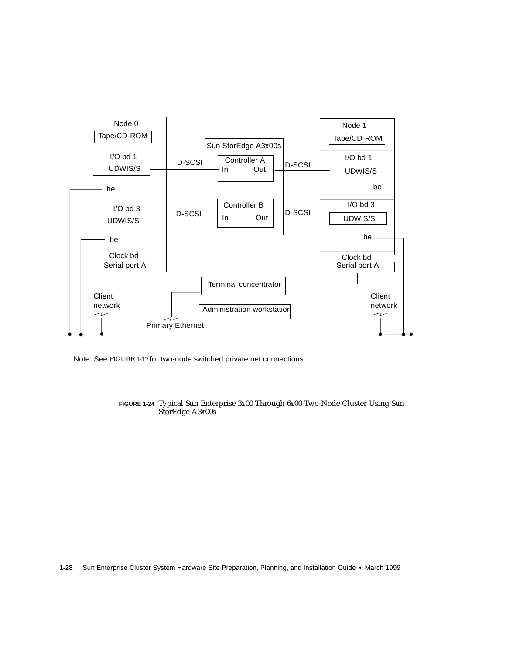

Note: See FIGURE 1-17 for two-node switched private net connections.

**FIGURE 1-24** Typical Sun Enterprise 3*x*00 Through 6*x*00 Two-Node Cluster Using Sun StorEdge A3*x*00s

**1-28** Sun Enterprise Cluster System Hardware Site Preparation, Planning, and Installation Guide • March 1999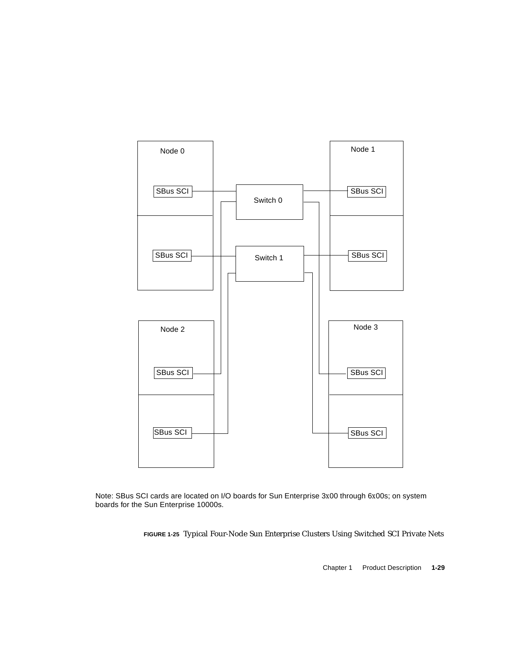

Note: SBus SCI cards are located on I/O boards for Sun Enterprise 3*x*00 through 6*x*00s; on system boards for the Sun Enterprise 10000s.

**FIGURE 1-25** Typical Four-Node Sun Enterprise Clusters Using Switched SCI Private Nets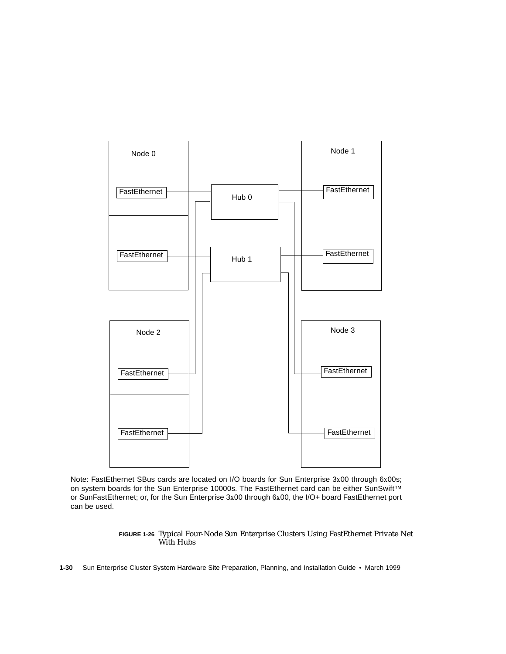

Note: FastEthernet SBus cards are located on I/O boards for Sun Enterprise 3*x*00 through 6*x*00s; on system boards for the Sun Enterprise 10000s. The FastEthernet card can be either SunSwift™ or SunFastEthernet; or, for the Sun Enterprise 3*x*00 through 6*x*00, the I/O+ board FastEthernet port can be used.

**FIGURE 1-26** Typical Four-Node Sun Enterprise Clusters Using FastEthernet Private Net With Hubs

**1-30** Sun Enterprise Cluster System Hardware Site Preparation, Planning, and Installation Guide • March 1999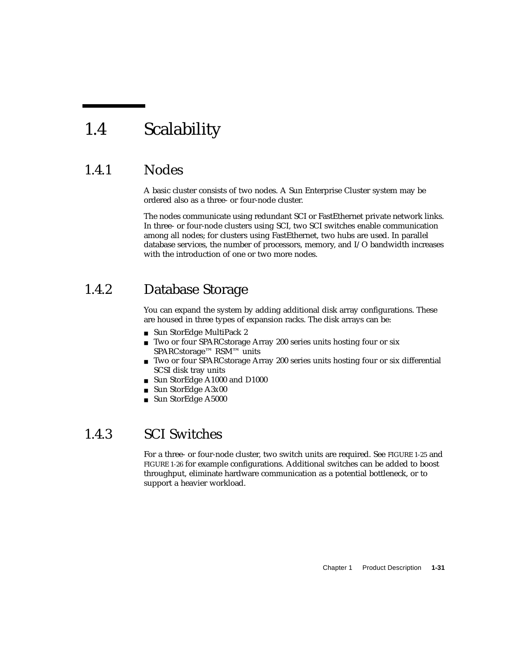## 1.4 Scalability

### 1.4.1 Nodes

A basic cluster consists of two nodes. A Sun Enterprise Cluster system may be ordered also as a three- or four-node cluster.

The nodes communicate using redundant SCI or FastEthernet private network links. In three- or four-node clusters using SCI, two SCI switches enable communication among all nodes; for clusters using FastEthernet, two hubs are used. In parallel database services, the number of processors, memory, and I/O bandwidth increases with the introduction of one or two more nodes.

### 1.4.2 Database Storage

You can expand the system by adding additional disk array configurations. These are housed in three types of expansion racks. The disk arrays can be:

- Sun StorEdge MultiPack 2
- Two or four SPARCstorage Array 200 series units hosting four or six SPARCstorage™ RSM™ units
- Two or four SPARCstorage Array 200 series units hosting four or six differential SCSI disk tray units
- Sun StorEdge A1000 and D1000
- Sun StorEdge A3*x*00
- Sun StorEdge A5000

#### 1.4.3 SCI Switches

For a three- or four-node cluster, two switch units are required. See FIGURE 1-25 and FIGURE 1-26 for example configurations. Additional switches can be added to boost throughput, eliminate hardware communication as a potential bottleneck, or to support a heavier workload.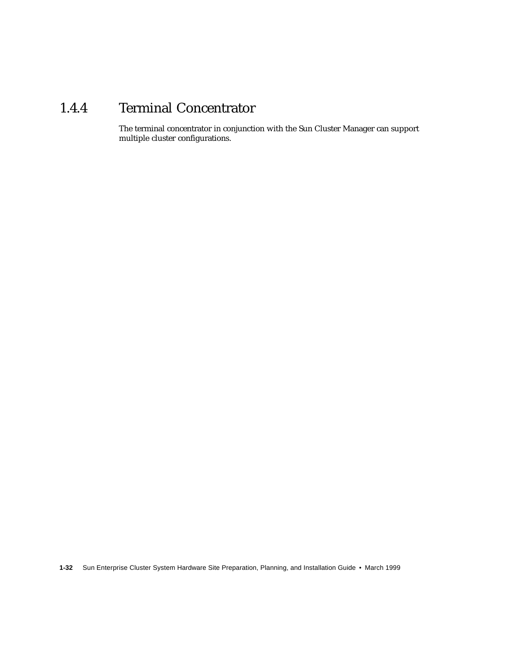### 1.4.4 Terminal Concentrator

The terminal concentrator in conjunction with the Sun Cluster Manager can support multiple cluster configurations.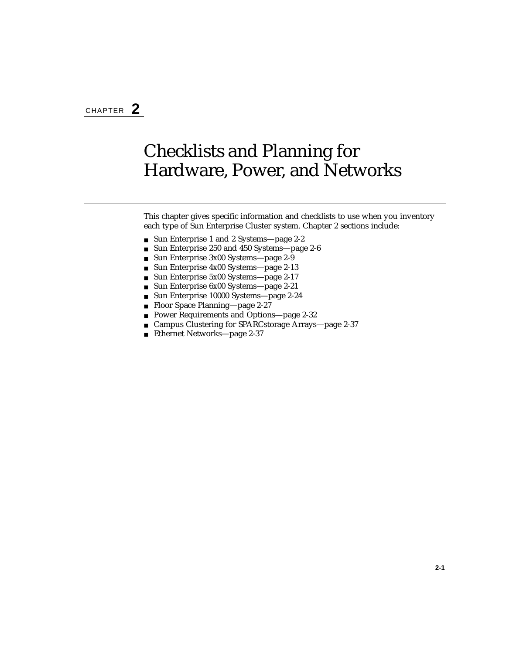#### CHAPTER **2**

## Checklists and Planning for Hardware, Power, and Networks

This chapter gives specific information and checklists to use when you inventory each type of Sun Enterprise Cluster system. Chapter 2 sections include:

- Sun Enterprise 1 and 2 Systems—page 2-2
- Sun Enterprise 250 and 450 Systems—page 2-6
- Sun Enterprise 3x00 Systems—page 2-9
- Sun Enterprise 4x00 Systems—page 2-13
- Sun Enterprise 5x00 Systems-page 2-17
- Sun Enterprise 6x00 Systems—page 2-21
- Sun Enterprise 10000 Systems—page 2-24
- Floor Space Planning—page 2-27
- Power Requirements and Options—page 2-32
- Campus Clustering for SPARCstorage Arrays—page 2-37
- Ethernet Networks—page 2-37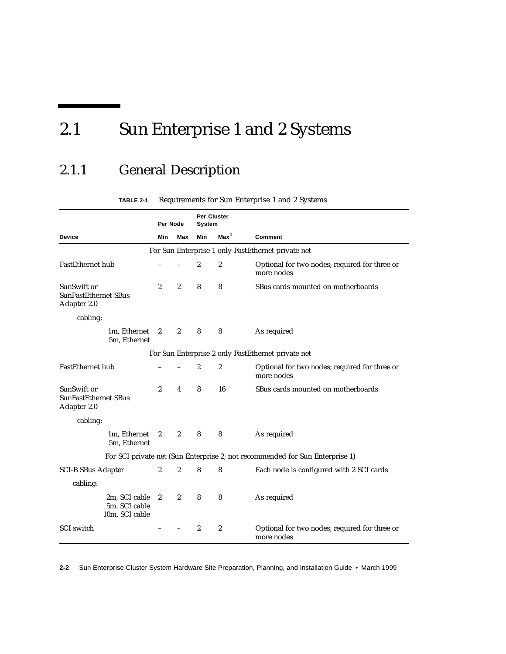# 2.1 Sun Enterprise 1 and 2 Systems

## 2.1.1 General Description

|                                                           |                                                  | Per Node       |                  | Per Cluster<br>System |                  |                                                                              |
|-----------------------------------------------------------|--------------------------------------------------|----------------|------------------|-----------------------|------------------|------------------------------------------------------------------------------|
| <b>Device</b>                                             |                                                  | Min            | Max              | <b>Min</b>            | Max <sup>1</sup> | <b>Comment</b>                                                               |
|                                                           |                                                  |                |                  |                       |                  | For Sun Enterprise 1 only FastEthernet private net                           |
| <b>FastEthernet hub</b>                                   |                                                  |                |                  | $\overline{2}$        | $\boldsymbol{2}$ | Optional for two nodes; required for three or<br>more nodes                  |
| SunSwift or<br><b>SunFastEthernet SBus</b><br>Adapter 2.0 |                                                  | $\overline{2}$ | $\overline{2}$   | 8                     | 8                | SBus cards mounted on motherboards                                           |
| cabling:                                                  |                                                  |                |                  |                       |                  |                                                                              |
|                                                           | 1m, Ethernet<br>5m, Ethernet                     | $\mathbf{2}$   | $\overline{2}$   | 8                     | 8                | As required                                                                  |
|                                                           |                                                  |                |                  |                       |                  | For Sun Enterprise 2 only FastEthernet private net                           |
| <b>FastEthernet hub</b>                                   |                                                  |                |                  | $\overline{2}$        | $\boldsymbol{2}$ | Optional for two nodes; required for three or<br>more nodes                  |
| SunSwift or<br><b>SunFastEthernet SBus</b><br>Adapter 2.0 |                                                  | $\overline{2}$ | $\overline{4}$   | 8                     | 16               | SBus cards mounted on motherboards                                           |
| cabling:                                                  |                                                  |                |                  |                       |                  |                                                                              |
|                                                           | 1m. Ethernet<br>5m, Ethernet                     | $\overline{2}$ | $\overline{2}$   | 8                     | 8                | As required                                                                  |
|                                                           |                                                  |                |                  |                       |                  | For SCI private net (Sun Enterprise 2; not recommended for Sun Enterprise 1) |
| <b>SCI-B SBus Adapter</b>                                 |                                                  | $\overline{2}$ | $\boldsymbol{2}$ | 8                     | 8                | Each node is configured with 2 SCI cards                                     |
| cabling:                                                  |                                                  |                |                  |                       |                  |                                                                              |
|                                                           | 2m, SCI cable<br>5m, SCI cable<br>10m, SCI cable | $\mathbf{2}$   | $\boldsymbol{2}$ | 8                     | 8                | As required                                                                  |
| <b>SCI</b> switch                                         |                                                  |                |                  | 2                     | 2                | Optional for two nodes; required for three or<br>more nodes                  |

#### **TABLE 2-1** Requirements for Sun Enterprise 1 and 2 Systems

**2-2** Sun Enterprise Cluster System Hardware Site Preparation, Planning, and Installation Guide • March 1999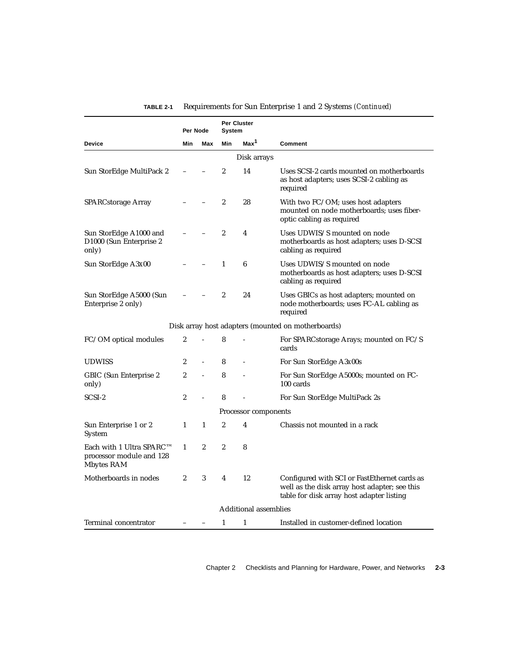|                                                                                        | Per Node         |     | System           | Per Cluster                  |                                                                                                                                            |
|----------------------------------------------------------------------------------------|------------------|-----|------------------|------------------------------|--------------------------------------------------------------------------------------------------------------------------------------------|
| <b>Device</b>                                                                          | Min              | Max | Min              | Max <sup>1</sup>             | Comment                                                                                                                                    |
|                                                                                        |                  |     |                  | Disk arrays                  |                                                                                                                                            |
| Sun StorEdge MultiPack 2                                                               |                  |     | 2                | 14                           | Uses SCSI-2 cards mounted on motherboards<br>as host adapters; uses SCSI-2 cabling as<br>required                                          |
| SPARCstorage Array                                                                     |                  |     | 2                | 28                           | With two FC/OM; uses host adapters<br>mounted on node motherboards; uses fiber-<br>optic cabling as required                               |
| Sun StorEdge A1000 and<br>D1000 (Sun Enterprise 2<br>only)                             |                  |     | $\overline{2}$   | 4                            | Uses UDWIS/S mounted on node<br>motherboards as host adapters; uses D-SCSI<br>cabling as required                                          |
| Sun StorEdge A3x00                                                                     |                  |     | $\mathbf{1}$     | 6                            | Uses UDWIS/S mounted on node<br>motherboards as host adapters; uses D-SCSI<br>cabling as required                                          |
| Sun StorEdge A5000 (Sun<br>Enterprise 2 only)                                          |                  |     | $\boldsymbol{2}$ | 24                           | Uses GBICs as host adapters; mounted on<br>node motherboards; uses FC-AL cabling as<br>required                                            |
|                                                                                        |                  |     |                  |                              | Disk array host adapters (mounted on motherboards)                                                                                         |
| FC/OM optical modules                                                                  | $\boldsymbol{2}$ |     | 8                |                              | For SPARCstorage Arays; mounted on FC/S<br>cards                                                                                           |
| <b>UDWISS</b>                                                                          | $\boldsymbol{2}$ |     | 8                |                              | For Sun StorEdge A3x00s                                                                                                                    |
| GBIC (Sun Enterprise 2<br>only)                                                        | $\overline{2}$   |     | 8                |                              | For Sun StorEdge A5000s; mounted on FC-<br>100 cards                                                                                       |
| $SCSI-2$                                                                               | 2                |     | 8                |                              | For Sun StorEdge MultiPack 2s                                                                                                              |
|                                                                                        |                  |     |                  | Processor components         |                                                                                                                                            |
| Sun Enterprise 1 or 2<br>System                                                        | 1                | 1   | $\overline{2}$   | 4                            | Chassis not mounted in a rack                                                                                                              |
| Each with 1 Ultra SPARC <sup>TM</sup><br>processor module and 128<br><b>Mbytes RAM</b> | $\mathbf{1}$     | 2   | 2                | 8                            |                                                                                                                                            |
| Motherboards in nodes                                                                  | $\overline{c}$   | 3   | 4                | 12                           | Configured with SCI or FastEthernet cards as<br>well as the disk array host adapter; see this<br>table for disk array host adapter listing |
|                                                                                        |                  |     |                  | <b>Additional assemblies</b> |                                                                                                                                            |
| Terminal concentrator                                                                  |                  |     | $\mathbf{1}$     | 1                            | Installed in customer-defined location                                                                                                     |

**TABLE 2-1** Requirements for Sun Enterprise 1 and 2 Systems *(Continued)*

Chapter 2 Checklists and Planning for Hardware, Power, and Networks **2-3**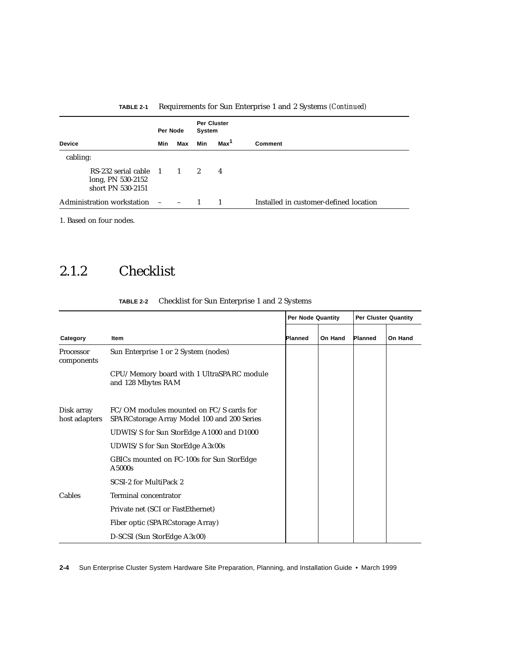| TABLE 2-1 |  |  |  | Requirements for Sun Enterprise 1 and 2 Systems (Continued) |  |
|-----------|--|--|--|-------------------------------------------------------------|--|
|-----------|--|--|--|-------------------------------------------------------------|--|

|                                                                 |     | Per Node       |                | <b>Per Cluster</b><br>System |                                        |
|-----------------------------------------------------------------|-----|----------------|----------------|------------------------------|----------------------------------------|
| <b>Device</b>                                                   | Min | Max            | Min            | Max <sup>1</sup>             | Comment                                |
| cabling:                                                        |     |                |                |                              |                                        |
| RS-232 serial cable 1<br>long, PN 530-2152<br>short PN 530-2151 |     | $\blacksquare$ | $\overline{2}$ | $\overline{4}$               |                                        |
| Administration workstation -                                    |     | $\sim$ $-$     |                |                              | Installed in customer-defined location |

1. Based on four nodes.

### 2.1.2 Checklist

| TABLE 2-2 Checklist for Sun Enterprise 1 and 2 Systems |  |
|--------------------------------------------------------|--|
|--------------------------------------------------------|--|

|                             |                                                                                        | Per Node Quantity |         |                | <b>Per Cluster Quantity</b> |
|-----------------------------|----------------------------------------------------------------------------------------|-------------------|---------|----------------|-----------------------------|
| Category                    | Item                                                                                   | Planned           | On Hand | <b>Planned</b> | On Hand                     |
| Processor<br>components     | Sun Enterprise 1 or 2 System (nodes)                                                   |                   |         |                |                             |
|                             | CPU/Memory board with 1 UltraSPARC module<br>and 128 Mbytes RAM                        |                   |         |                |                             |
| Disk array<br>host adapters | FC/OM modules mounted on FC/S cards for<br>SPARCstorage Array Model 100 and 200 Series |                   |         |                |                             |
|                             | UDWIS/S for Sun StorEdge A1000 and D1000                                               |                   |         |                |                             |
|                             | UDWIS/S for Sun StorEdge A3x00s                                                        |                   |         |                |                             |
|                             | GBICs mounted on FC-100s for Sun StorEdge<br>A5000s                                    |                   |         |                |                             |
|                             | SCSI-2 for MultiPack 2                                                                 |                   |         |                |                             |
| Cables                      | Terminal concentrator                                                                  |                   |         |                |                             |
|                             | Private net (SCI or FastEthernet)                                                      |                   |         |                |                             |
|                             | Fiber optic (SPARCstorage Array)                                                       |                   |         |                |                             |
|                             | D-SCSI (Sun StorEdge A3x00)                                                            |                   |         |                |                             |

**2-4** Sun Enterprise Cluster System Hardware Site Preparation, Planning, and Installation Guide • March 1999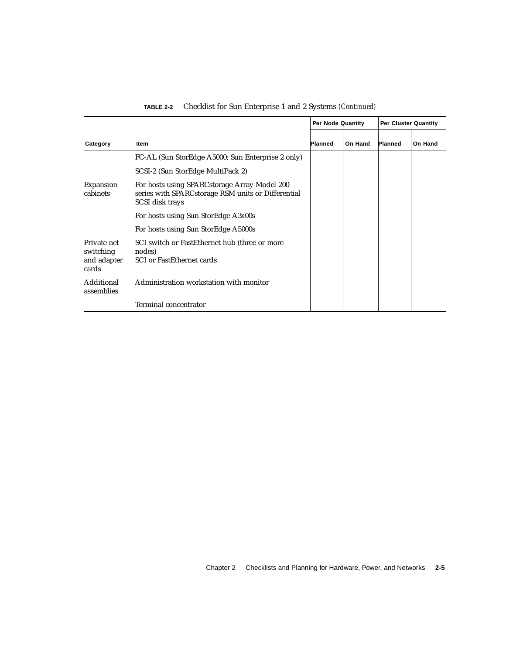|                                                  |                                                                                                                       | <b>Per Node Quantity</b> |         | <b>Per Cluster Quantity</b> |         |
|--------------------------------------------------|-----------------------------------------------------------------------------------------------------------------------|--------------------------|---------|-----------------------------|---------|
| Category                                         | Item                                                                                                                  | <b>Planned</b>           | On Hand | <b>Planned</b>              | On Hand |
|                                                  | FC-AL (Sun StorEdge A5000; Sun Enterprise 2 only)                                                                     |                          |         |                             |         |
|                                                  | SCSI-2 (Sun StorEdge MultiPack 2)                                                                                     |                          |         |                             |         |
| Expansion<br>cabinets                            | For hosts using SPARCstorage Array Model 200<br>series with SPARCstorage RSM units or Differential<br>SCSI disk trays |                          |         |                             |         |
|                                                  | For hosts using Sun StorEdge A3x00s                                                                                   |                          |         |                             |         |
|                                                  | For hosts using Sun StorEdge A5000s                                                                                   |                          |         |                             |         |
| Private net<br>switching<br>and adapter<br>cards | SCI switch or FastEthernet hub (three or more<br>nodes)<br><b>SCI</b> or FastEthernet cards                           |                          |         |                             |         |
| Additional<br>assemblies                         | Administration workstation with monitor                                                                               |                          |         |                             |         |
|                                                  | Terminal concentrator                                                                                                 |                          |         |                             |         |

**TABLE 2-2** Checklist for Sun Enterprise 1 and 2 Systems *(Continued)*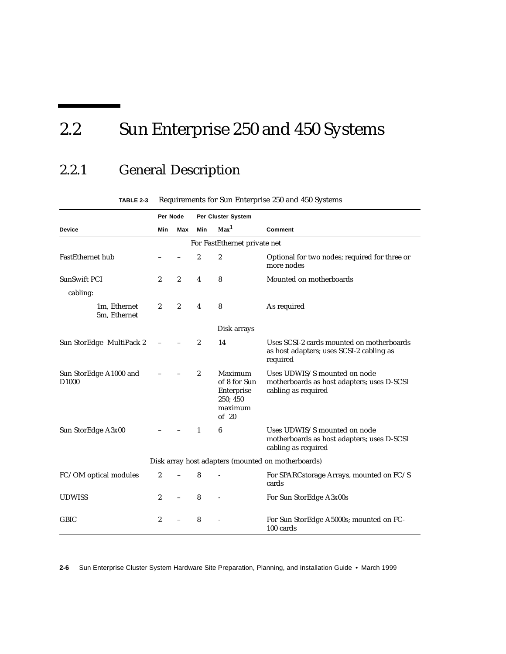## 2.2 Sun Enterprise 250 and 450 Systems

## 2.2.1 General Description

|                                             |                              | Per Node         |                  | Per Cluster System |                                                                         |                                                                                                   |  |  |  |  |  |  |
|---------------------------------------------|------------------------------|------------------|------------------|--------------------|-------------------------------------------------------------------------|---------------------------------------------------------------------------------------------------|--|--|--|--|--|--|
| <b>Device</b>                               |                              | Min              | Max              | Min                | Max <sup>1</sup>                                                        | Comment                                                                                           |  |  |  |  |  |  |
| For FastEthernet private net                |                              |                  |                  |                    |                                                                         |                                                                                                   |  |  |  |  |  |  |
| <b>FastEthernet hub</b>                     |                              |                  |                  | 2                  | 2                                                                       | Optional for two nodes; required for three or<br>more nodes                                       |  |  |  |  |  |  |
| SunSwift PCI                                |                              | $\overline{c}$   | $\overline{2}$   | $\overline{4}$     | 8                                                                       | Mounted on motherboards                                                                           |  |  |  |  |  |  |
| cabling:                                    |                              |                  |                  |                    |                                                                         |                                                                                                   |  |  |  |  |  |  |
|                                             | 1m, Ethernet<br>5m, Ethernet | $\boldsymbol{2}$ | $\boldsymbol{2}$ | $\overline{4}$     | 8                                                                       | As required                                                                                       |  |  |  |  |  |  |
|                                             |                              |                  |                  |                    | Disk arrays                                                             |                                                                                                   |  |  |  |  |  |  |
| Sun StorEdge MultiPack 2                    |                              |                  |                  | 2                  | 14                                                                      | Uses SCSI-2 cards mounted on motherboards<br>as host adapters; uses SCSI-2 cabling as<br>required |  |  |  |  |  |  |
| Sun StorEdge A1000 and<br>D <sub>1000</sub> |                              |                  |                  | 2                  | Maximum<br>of 8 for Sun<br>Enterprise<br>250; 450<br>maximum<br>of $20$ | Uses UDWIS/S mounted on node<br>motherboards as host adapters; uses D-SCSI<br>cabling as required |  |  |  |  |  |  |
| Sun StorEdge A3x00                          |                              |                  |                  | 1                  | 6                                                                       | Uses UDWIS/S mounted on node<br>motherboards as host adapters; uses D-SCSI<br>cabling as required |  |  |  |  |  |  |
|                                             |                              |                  |                  |                    |                                                                         | Disk array host adapters (mounted on motherboards)                                                |  |  |  |  |  |  |
| FC/OM optical modules                       |                              | $\overline{c}$   |                  | 8                  |                                                                         | For SPARCstorage Arrays, mounted on FC/S<br>cards                                                 |  |  |  |  |  |  |
| <b>UDWISS</b>                               |                              | 2                |                  | 8                  |                                                                         | For Sun StorEdge A3x00s                                                                           |  |  |  |  |  |  |
| <b>GBIC</b>                                 |                              | 2                |                  | 8                  |                                                                         | For Sun StorEdge A5000s; mounted on FC-<br>100 cards                                              |  |  |  |  |  |  |

#### **TABLE 2-3** Requirements for Sun Enterprise 250 and 450 Systems

**2-6** Sun Enterprise Cluster System Hardware Site Preparation, Planning, and Installation Guide • March 1999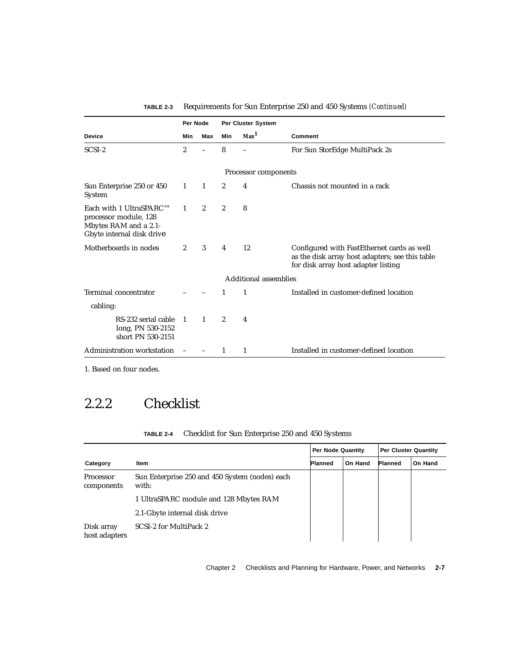|                                                                                                        | Per Node       |                          | Per Cluster System    |                              |                                                                                                                                      |  |  |
|--------------------------------------------------------------------------------------------------------|----------------|--------------------------|-----------------------|------------------------------|--------------------------------------------------------------------------------------------------------------------------------------|--|--|
| <b>Device</b>                                                                                          | Min            | Max                      | <b>Min</b>            | Max <sup>1</sup>             | Comment                                                                                                                              |  |  |
| $SCSI-2$                                                                                               | $\overline{2}$ |                          | 8                     |                              | For Sun StorEdge MultiPack 2s                                                                                                        |  |  |
|                                                                                                        |                |                          |                       | Processor components         |                                                                                                                                      |  |  |
| Sun Enterprise 250 or 450<br>System                                                                    | $\mathbf{1}$   | $\overline{\phantom{a}}$ | $\mathbf{2}^{\prime}$ | $\overline{4}$               | Chassis not mounted in a rack                                                                                                        |  |  |
| Each with 1 UltraSPARC™<br>processor module, 128<br>Mbytes RAM and a 2.1-<br>Gbyte internal disk drive | $\mathbf{1}$   | $\overline{2}$           | $\overline{2}$        | 8                            |                                                                                                                                      |  |  |
| Motherboards in nodes                                                                                  | $\overline{c}$ | 3                        | 4                     | 12                           | Configured with FastEthernet cards as well<br>as the disk array host adapters; see this table<br>for disk array host adapter listing |  |  |
|                                                                                                        |                |                          |                       | <b>Additional assemblies</b> |                                                                                                                                      |  |  |
| <b>Terminal concentrator</b>                                                                           |                |                          | $\mathbf{1}$          | $\mathbf{1}$                 | Installed in customer-defined location                                                                                               |  |  |
| cabling:                                                                                               |                |                          |                       |                              |                                                                                                                                      |  |  |
| RS-232 serial cable<br>long, PN 530-2152<br>short PN 530-2151                                          | $\blacksquare$ | $\mathbf{1}$             | $\overline{2}$        | $\overline{4}$               |                                                                                                                                      |  |  |
| Administration workstation                                                                             |                |                          | 1                     | 1                            | Installed in customer-defined location                                                                                               |  |  |

| Requirements for Sun Enterprise 250 and 450 Systems (Continued)<br>TABLE 2-3 |  |  |  |  |  |
|------------------------------------------------------------------------------|--|--|--|--|--|
|------------------------------------------------------------------------------|--|--|--|--|--|

1. Based on four nodes.

### 2.2.2 Checklist

|                                |                                                         | <b>Per Node Quantity</b> |         | <b>Per Cluster Quantity</b> |         |
|--------------------------------|---------------------------------------------------------|--------------------------|---------|-----------------------------|---------|
| Category                       | Item                                                    | <b>Planned</b>           | On Hand | <b>Planned</b>              | On Hand |
| <b>Processor</b><br>components | Sun Enterprise 250 and 450 System (nodes) each<br>with: |                          |         |                             |         |
|                                | 1 UltraSPARC module and 128 Mbytes RAM                  |                          |         |                             |         |
|                                | 2.1-Gbyte internal disk drive                           |                          |         |                             |         |
| Disk array<br>host adapters    | SCSI-2 for MultiPack 2                                  |                          |         |                             |         |

| TABLE 2-4 |  |  | Checklist for Sun Enterprise 250 and 450 Systems |  |  |  |  |
|-----------|--|--|--------------------------------------------------|--|--|--|--|
|-----------|--|--|--------------------------------------------------|--|--|--|--|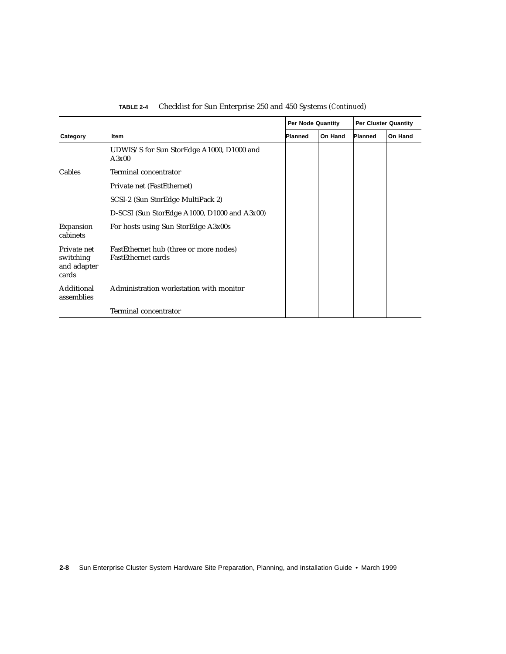|                                                  |                                                                     | <b>Per Node Quantity</b> |         | <b>Per Cluster Quantity</b> |         |
|--------------------------------------------------|---------------------------------------------------------------------|--------------------------|---------|-----------------------------|---------|
| Category                                         | <b>Item</b>                                                         | Planned                  | On Hand | <b>Planned</b>              | On Hand |
|                                                  | UDWIS/S for Sun StorEdge A1000, D1000 and<br>A3x00                  |                          |         |                             |         |
| Cables                                           | Terminal concentrator                                               |                          |         |                             |         |
|                                                  | Private net (FastEthernet)                                          |                          |         |                             |         |
|                                                  | SCSI-2 (Sun StorEdge MultiPack 2)                                   |                          |         |                             |         |
|                                                  | D-SCSI (Sun StorEdge A1000, D1000 and A3x00)                        |                          |         |                             |         |
| <b>Expansion</b><br>cabinets                     | For hosts using Sun StorEdge A3x00s                                 |                          |         |                             |         |
| Private net<br>switching<br>and adapter<br>cards | FastEthernet hub (three or more nodes)<br><b>FastEthernet cards</b> |                          |         |                             |         |
| Additional<br>assemblies                         | Administration workstation with monitor                             |                          |         |                             |         |
|                                                  | Terminal concentrator                                               |                          |         |                             |         |

#### **TABLE 2-4** Checklist for Sun Enterprise 250 and 450 Systems *(Continued)*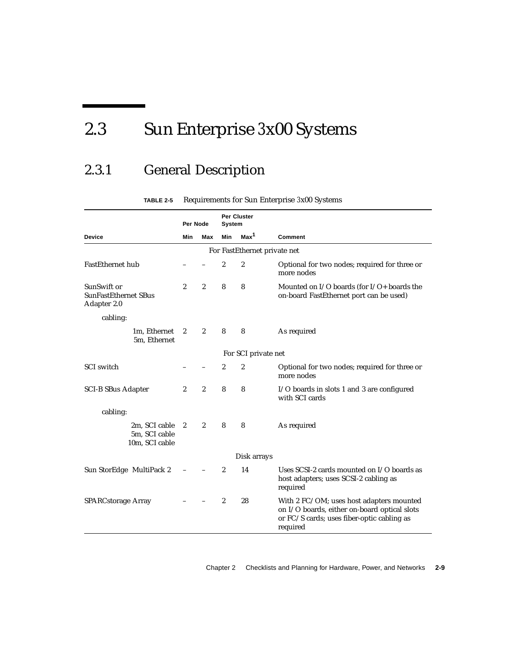# 2.3 Sun Enterprise *3*x00 Systems

## 2.3.1 General Description

|                                                           |                                                  | Per Node              |                | Per Cluster<br>System |                     |                                                                                                                                                    |  |  |  |  |
|-----------------------------------------------------------|--------------------------------------------------|-----------------------|----------------|-----------------------|---------------------|----------------------------------------------------------------------------------------------------------------------------------------------------|--|--|--|--|
| <b>Device</b>                                             |                                                  | Min                   | Max            | Min                   | Max <sup>1</sup>    | Comment                                                                                                                                            |  |  |  |  |
| For FastEthernet private net                              |                                                  |                       |                |                       |                     |                                                                                                                                                    |  |  |  |  |
| <b>FastEthernet hub</b>                                   |                                                  |                       |                | $\overline{2}$        | $\overline{2}$      | Optional for two nodes; required for three or<br>more nodes                                                                                        |  |  |  |  |
| SunSwift or<br><b>SunFastEthernet SBus</b><br>Adapter 2.0 |                                                  | $\overline{2}$        | $\overline{2}$ | 8                     | 8                   | Mounted on $I/O$ boards (for $I/O$ + boards the<br>on-board FastEthernet port can be used)                                                         |  |  |  |  |
| cabling:                                                  |                                                  |                       |                |                       |                     |                                                                                                                                                    |  |  |  |  |
|                                                           | 1m. Ethernet<br>5m, Ethernet                     | $\mathbf{2}^{\prime}$ | $\overline{2}$ | 8                     | 8                   | As required                                                                                                                                        |  |  |  |  |
|                                                           |                                                  |                       |                |                       | For SCI private net |                                                                                                                                                    |  |  |  |  |
| <b>SCI</b> switch                                         |                                                  |                       |                | $\boldsymbol{2}$      | $\boldsymbol{2}$    | Optional for two nodes; required for three or<br>more nodes                                                                                        |  |  |  |  |
| <b>SCI-B SBus Adapter</b>                                 |                                                  | $\mathbf{2}$          | $\overline{2}$ | 8                     | 8                   | I/O boards in slots 1 and 3 are configured<br>with SCI cards                                                                                       |  |  |  |  |
| cabling:                                                  |                                                  |                       |                |                       |                     |                                                                                                                                                    |  |  |  |  |
|                                                           | 2m. SCI cable<br>5m. SCI cable<br>10m, SCI cable | $\overline{2}$        | $\overline{2}$ | 8                     | 8                   | As required                                                                                                                                        |  |  |  |  |
|                                                           |                                                  |                       |                |                       | Disk arrays         |                                                                                                                                                    |  |  |  |  |
| Sun StorEdge MultiPack 2                                  |                                                  |                       |                | $\overline{2}$        | 14                  | Uses SCSI-2 cards mounted on I/O boards as<br>host adapters; uses SCSI-2 cabling as<br>required                                                    |  |  |  |  |
| <b>SPARCstorage Array</b>                                 |                                                  |                       |                | $\boldsymbol{2}$      | 28                  | With 2 FC/OM; uses host adapters mounted<br>on I/O boards, either on-board optical slots<br>or FC/S cards; uses fiber-optic cabling as<br>required |  |  |  |  |

**TABLE 2-5** Requirements for Sun Enterprise *3*x00 Systems

Chapter 2 Checklists and Planning for Hardware, Power, and Networks **2-9**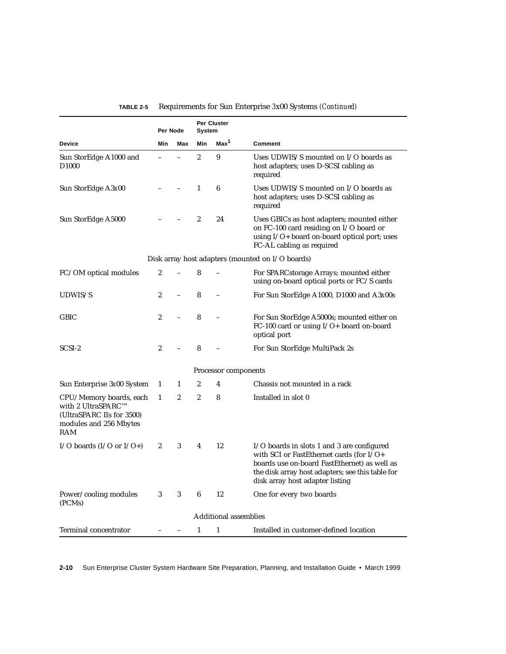|                                                                                                             | Per Node         |                  | Per Cluster<br>System |                       |                                                                                                                                                                                                                                 |
|-------------------------------------------------------------------------------------------------------------|------------------|------------------|-----------------------|-----------------------|---------------------------------------------------------------------------------------------------------------------------------------------------------------------------------------------------------------------------------|
| <b>Device</b>                                                                                               | Min              | Max              | Min                   | Max <sup>1</sup>      | <b>Comment</b>                                                                                                                                                                                                                  |
| Sun StorEdge A1000 and<br>D <sub>1000</sub>                                                                 |                  |                  | $\overline{2}$        | 9                     | Uses UDWIS/S mounted on I/O boards as<br>host adapters; uses D-SCSI cabling as<br>required                                                                                                                                      |
| Sun StorEdge A3x00                                                                                          |                  |                  | $\mathbf{1}$          | 6                     | Uses UDWIS/S mounted on I/O boards as<br>host adapters; uses D-SCSI cabling as<br>required                                                                                                                                      |
| Sun StorEdge A5000                                                                                          |                  |                  | $\overline{2}$        | 24                    | Uses GBICs as host adapters; mounted either<br>on FC-100 card residing on I/O board or<br>using I/O+ board on-board optical port; uses<br>FC-AL cabling as required                                                             |
|                                                                                                             |                  |                  |                       |                       | Disk array host adapters (mounted on I/O boards)                                                                                                                                                                                |
| FC/OM optical modules                                                                                       | 2                |                  | 8                     |                       | For SPARCstorage Arrays; mounted either<br>using on-board optical ports or $FC/S$ cards                                                                                                                                         |
| UDWIS/S                                                                                                     | $\boldsymbol{2}$ |                  | 8                     |                       | For Sun StorEdge A1000, D1000 and A3x00s                                                                                                                                                                                        |
| <b>GBIC</b>                                                                                                 | $\boldsymbol{2}$ |                  | 8                     |                       | For Sun StorEdge A5000s; mounted either on<br>FC-100 card or using I/O+ board on-board<br>optical port                                                                                                                          |
| SCSI-2                                                                                                      | 2                |                  | 8                     |                       | For Sun StorEdge MultiPack 2s                                                                                                                                                                                                   |
|                                                                                                             |                  |                  |                       | Processor components  |                                                                                                                                                                                                                                 |
| Sun Enterprise 3x00 System                                                                                  | $\mathbf{1}$     | 1                | 2                     | 4                     | Chassis not mounted in a rack                                                                                                                                                                                                   |
| CPU/Memory boards, each<br>with 2 UltraSPARC™<br>(UltraSPARC IIs for 3500)<br>modules and 256 Mbytes<br>RAM | $\mathbf{1}$     | $\boldsymbol{2}$ | $\boldsymbol{2}$      | 8                     | Installed in slot 0                                                                                                                                                                                                             |
| I/O boards $(I/O \text{ or } I/O+$                                                                          | 2                | 3                | 4                     | 12                    | I/O boards in slots 1 and 3 are configured<br>with SCI or FastEthernet cards (for $I/O+$<br>boards use on-board FastEthernet) as well as<br>the disk array host adapters; see this table for<br>disk array host adapter listing |
| Power/cooling modules<br>(PCMs)                                                                             | 3                | 3                | 6                     | 12                    | One for every two boards                                                                                                                                                                                                        |
|                                                                                                             |                  |                  |                       | Additional assemblies |                                                                                                                                                                                                                                 |
| Terminal concentrator                                                                                       |                  |                  | $\mathbf{1}$          | $\mathbf{1}$          | Installed in customer-defined location                                                                                                                                                                                          |

#### **TABLE 2-5** Requirements for Sun Enterprise *3*x00 Systems *(Continued)*

**2-10** Sun Enterprise Cluster System Hardware Site Preparation, Planning, and Installation Guide • March 1999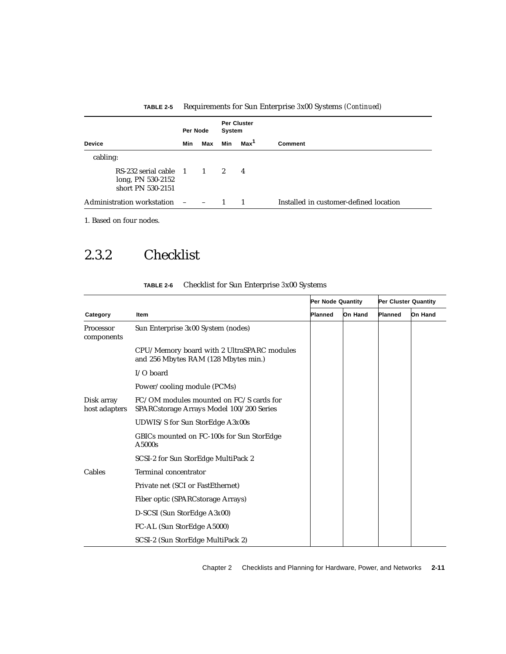|                                                                 |                          | Per Node       | System | <b>Per Cluster</b> |                                        |
|-----------------------------------------------------------------|--------------------------|----------------|--------|--------------------|----------------------------------------|
| <b>Device</b>                                                   | Min                      | Max            | Min    | Max <sup>1</sup>   | Comment                                |
| cabling:                                                        |                          |                |        |                    |                                        |
| RS-232 serial cable 1<br>long, PN 530-2152<br>short PN 530-2151 |                          | $\blacksquare$ | 2      | $\overline{4}$     |                                        |
| Administration workstation                                      | $\overline{\phantom{a}}$ |                |        |                    | Installed in customer-defined location |

**TABLE 2-5** Requirements for Sun Enterprise *3*x00 Systems *(Continued)*

1. Based on four nodes.

### 2.3.2 Checklist

|                             |                                                                                     | Per Node Quantity |         | Per Cluster Quantity |         |  |
|-----------------------------|-------------------------------------------------------------------------------------|-------------------|---------|----------------------|---------|--|
| Category                    | <b>Item</b>                                                                         | Planned           | On Hand | Planned              | On Hand |  |
| Processor<br>components     | Sun Enterprise 3x00 System (nodes)                                                  |                   |         |                      |         |  |
|                             | CPU/Memory board with 2 UltraSPARC modules<br>and 256 Mbytes RAM (128 Mbytes min.)  |                   |         |                      |         |  |
|                             | $I/O$ board                                                                         |                   |         |                      |         |  |
|                             | Power/cooling module (PCMs)                                                         |                   |         |                      |         |  |
| Disk array<br>host adapters | FC/OM modules mounted on FC/S cards for<br>SPARCstorage Arrays Model 100/200 Series |                   |         |                      |         |  |
|                             | UDWIS/S for Sun StorEdge A3x00s                                                     |                   |         |                      |         |  |
|                             | GBICs mounted on FC-100s for Sun StorEdge<br>A5000s                                 |                   |         |                      |         |  |
|                             | SCSI-2 for Sun StorEdge MultiPack 2                                                 |                   |         |                      |         |  |
| Cables                      | <b>Terminal concentrator</b>                                                        |                   |         |                      |         |  |
|                             | Private net (SCI or FastEthernet)                                                   |                   |         |                      |         |  |
|                             | Fiber optic (SPARCstorage Arrays)                                                   |                   |         |                      |         |  |
|                             | D-SCSI (Sun StorEdge A3x00)                                                         |                   |         |                      |         |  |
|                             | FC-AL (Sun StorEdge A5000)                                                          |                   |         |                      |         |  |
|                             | SCSI-2 (Sun StorEdge MultiPack 2)                                                   |                   |         |                      |         |  |

**TABLE 2-6** Checklist for Sun Enterprise *3*x00 Systems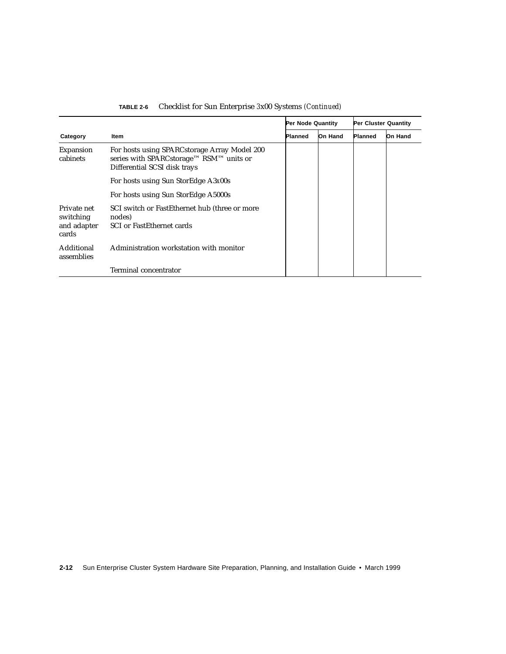|                                                  |                                                                                                                         | Per Node Quantity |         | Per Cluster Quantity |         |  |
|--------------------------------------------------|-------------------------------------------------------------------------------------------------------------------------|-------------------|---------|----------------------|---------|--|
| Category                                         | Item                                                                                                                    | Planned           | On Hand | <b>Planned</b>       | On Hand |  |
| <b>Expansion</b><br>cabinets                     | For hosts using SPARCstorage Array Model 200<br>series with SPARCstorage™ RSM™ units or<br>Differential SCSI disk trays |                   |         |                      |         |  |
|                                                  | For hosts using Sun StorEdge A3x00s                                                                                     |                   |         |                      |         |  |
|                                                  | For hosts using Sun StorEdge A5000s                                                                                     |                   |         |                      |         |  |
| Private net<br>switching<br>and adapter<br>cards | SCI switch or FastEthernet hub (three or more<br>nodes)<br><b>SCI</b> or FastEthernet cards                             |                   |         |                      |         |  |
| Additional<br>assemblies                         | Administration workstation with monitor                                                                                 |                   |         |                      |         |  |
|                                                  | Terminal concentrator                                                                                                   |                   |         |                      |         |  |

#### **TABLE 2-6** Checklist for Sun Enterprise *3*x00 Systems *(Continued)*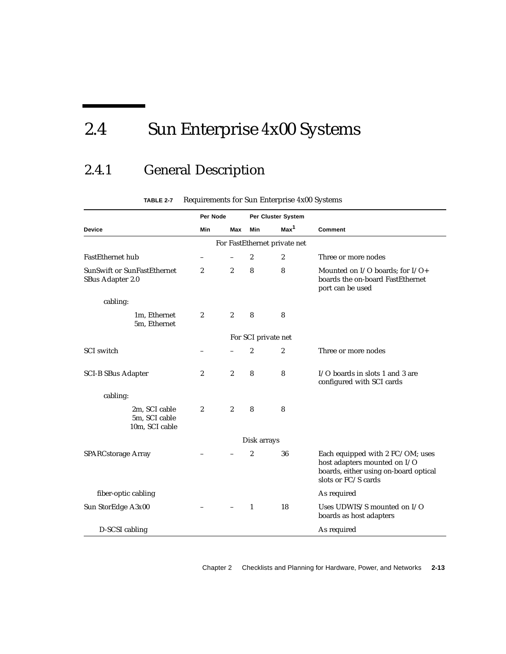# 2.4 Sun Enterprise *4*x00 Systems

## 2.4.1 General Description

|                                                        | Per Node         |                  | Per Cluster System  |                  |                                                                                                                                  |  |  |  |  |  |
|--------------------------------------------------------|------------------|------------------|---------------------|------------------|----------------------------------------------------------------------------------------------------------------------------------|--|--|--|--|--|
| <b>Device</b>                                          | Min              | Max              | Min                 | Max <sup>1</sup> | Comment                                                                                                                          |  |  |  |  |  |
| For FastEthernet private net                           |                  |                  |                     |                  |                                                                                                                                  |  |  |  |  |  |
| <b>FastEthernet hub</b>                                |                  |                  | 2                   | $\boldsymbol{2}$ | Three or more nodes                                                                                                              |  |  |  |  |  |
| <b>SunSwift or SunFastEthernet</b><br>SBus Adapter 2.0 | $\boldsymbol{2}$ | $\overline{2}$   | 8                   | 8                | Mounted on I/O boards; for $I/O+$<br>boards the on-board FastEthernet<br>port can be used                                        |  |  |  |  |  |
| cabling:                                               |                  |                  |                     |                  |                                                                                                                                  |  |  |  |  |  |
| 1m, Ethernet<br>5m, Ethernet                           | $\boldsymbol{2}$ | $\boldsymbol{2}$ | 8                   | 8                |                                                                                                                                  |  |  |  |  |  |
|                                                        |                  |                  | For SCI private net |                  |                                                                                                                                  |  |  |  |  |  |
| <b>SCI</b> switch                                      |                  |                  | $\overline{2}$      | $\boldsymbol{2}$ | Three or more nodes                                                                                                              |  |  |  |  |  |
| <b>SCI-B SBus Adapter</b>                              | 2                | $\overline{2}$   | 8                   | 8                | I/O boards in slots 1 and 3 are<br>configured with SCI cards                                                                     |  |  |  |  |  |
| cabling:                                               |                  |                  |                     |                  |                                                                                                                                  |  |  |  |  |  |
| 2m, SCI cable<br>5m, SCI cable<br>10m, SCI cable       | $\boldsymbol{2}$ | $\boldsymbol{2}$ | 8                   | 8                |                                                                                                                                  |  |  |  |  |  |
|                                                        |                  |                  | Disk arrays         |                  |                                                                                                                                  |  |  |  |  |  |
| <b>SPARCstorage Array</b>                              |                  |                  | $\overline{c}$      | 36               | Each equipped with 2 FC/OM; uses<br>host adapters mounted on I/O<br>boards, either using on-board optical<br>slots or FC/S cards |  |  |  |  |  |
| fiber-optic cabling                                    |                  |                  |                     |                  | As required                                                                                                                      |  |  |  |  |  |
| Sun StorEdge A3x00                                     |                  |                  | $\mathbf{1}$        | 18               | Uses UDWIS/S mounted on I/O<br>boards as host adapters                                                                           |  |  |  |  |  |
| D-SCSI cabling                                         |                  |                  |                     |                  | As required                                                                                                                      |  |  |  |  |  |

**TABLE 2-7** Requirements for Sun Enterprise *4*x00 Systems

Chapter 2 Checklists and Planning for Hardware, Power, and Networks **2-13**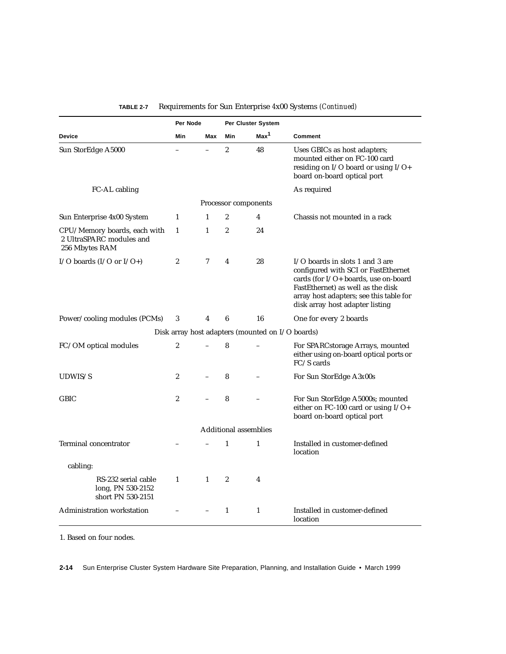|                    |                                                               | Per Node         |              | Per Cluster System           |                                                  |                                                                                                                                                                                                                                     |  |
|--------------------|---------------------------------------------------------------|------------------|--------------|------------------------------|--------------------------------------------------|-------------------------------------------------------------------------------------------------------------------------------------------------------------------------------------------------------------------------------------|--|
| <b>Device</b>      |                                                               | Min              | Max          | Min                          | Max <sup>1</sup>                                 | <b>Comment</b>                                                                                                                                                                                                                      |  |
| Sun StorEdge A5000 |                                                               |                  |              | $\overline{2}$               | 48                                               | Uses GBICs as host adapters;<br>mounted either on FC-100 card<br>residing on I/O board or using I/O+<br>board on-board optical port                                                                                                 |  |
|                    | FC-AL cabling                                                 |                  |              |                              |                                                  | As required                                                                                                                                                                                                                         |  |
|                    |                                                               |                  |              | Processor components         |                                                  |                                                                                                                                                                                                                                     |  |
|                    | Sun Enterprise 4x00 System                                    | 1                | 1            | $\boldsymbol{2}$             | 4                                                | Chassis not mounted in a rack                                                                                                                                                                                                       |  |
| 256 Mbytes RAM     | CPU/Memory boards, each with<br>2 UltraSPARC modules and      | 1                | $\mathbf{1}$ | $\overline{2}$               | 24                                               |                                                                                                                                                                                                                                     |  |
|                    | I/O boards (I/O or I/O+)                                      | $\boldsymbol{2}$ | 7            | 4                            | 28                                               | I/O boards in slots 1 and 3 are<br>configured with SCI or FastEthernet<br>cards (for $I/O+$ boards, use on-board<br>FastEthernet) as well as the disk<br>array host adapters; see this table for<br>disk array host adapter listing |  |
|                    | Power/cooling modules (PCMs)                                  | 3                | 4            | 6                            | 16                                               | One for every 2 boards                                                                                                                                                                                                              |  |
|                    |                                                               |                  |              |                              | Disk array host adapters (mounted on I/O boards) |                                                                                                                                                                                                                                     |  |
|                    | FC/OM optical modules                                         | $\boldsymbol{2}$ |              | 8                            |                                                  | For SPARCstorage Arrays, mounted<br>either using on-board optical ports or<br>$FC/S$ cards                                                                                                                                          |  |
| UDWIS/S            |                                                               | $\boldsymbol{2}$ |              | 8                            |                                                  | For Sun StorEdge A3x00s                                                                                                                                                                                                             |  |
| <b>GBIC</b>        |                                                               | $\overline{2}$   |              | 8                            |                                                  | For Sun StorEdge A5000s; mounted<br>either on FC-100 card or using I/O+<br>board on-board optical port                                                                                                                              |  |
|                    |                                                               |                  |              | <b>Additional assemblies</b> |                                                  |                                                                                                                                                                                                                                     |  |
|                    | Terminal concentrator                                         |                  |              | $\mathbf{1}$                 | $\mathbf{1}$                                     | Installed in customer-defined<br>location                                                                                                                                                                                           |  |
| cabling:           |                                                               |                  |              |                              |                                                  |                                                                                                                                                                                                                                     |  |
|                    | RS-232 serial cable<br>long, PN 530-2152<br>short PN 530-2151 | 1                | $\mathbf{1}$ | $\mathbf{2}^{\prime}$        | 4                                                |                                                                                                                                                                                                                                     |  |
|                    | Administration workstation                                    |                  |              | 1                            | $\mathbf{1}$                                     | Installed in customer-defined<br>location                                                                                                                                                                                           |  |

#### **TABLE 2-7** Requirements for Sun Enterprise *4*x00 Systems *(Continued)*

1. Based on four nodes.

**2-14** Sun Enterprise Cluster System Hardware Site Preparation, Planning, and Installation Guide • March 1999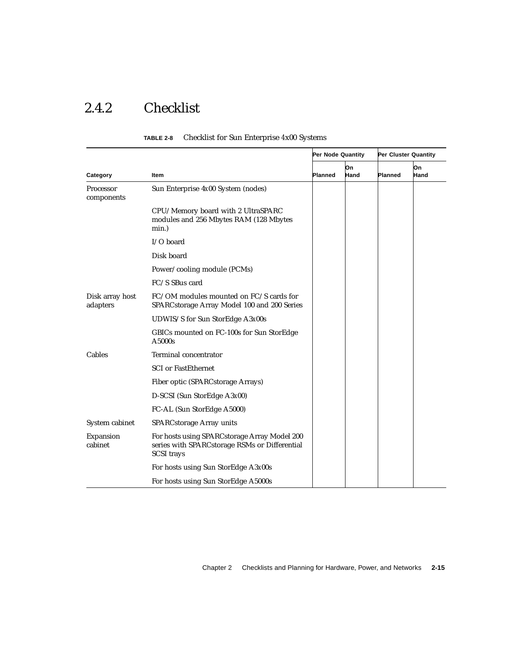### 2.4.2 Checklist

|                             |                                                                                                                    | Per Node Quantity |            | Per Cluster Quantity |            |  |
|-----------------------------|--------------------------------------------------------------------------------------------------------------------|-------------------|------------|----------------------|------------|--|
| Category                    | Item                                                                                                               | Planned           | On<br>Hand | <b>Planned</b>       | Юn<br>Hand |  |
| Processor<br>components     | Sun Enterprise 4x00 System (nodes)                                                                                 |                   |            |                      |            |  |
|                             | CPU/Memory board with 2 UltraSPARC<br>modules and 256 Mbytes RAM (128 Mbytes<br>min.)                              |                   |            |                      |            |  |
|                             | $I/O$ board                                                                                                        |                   |            |                      |            |  |
|                             | Disk board                                                                                                         |                   |            |                      |            |  |
|                             | Power/cooling module (PCMs)                                                                                        |                   |            |                      |            |  |
|                             | FC/S SBus card                                                                                                     |                   |            |                      |            |  |
| Disk array host<br>adapters | FC/OM modules mounted on FC/S cards for<br>SPARCstorage Array Model 100 and 200 Series                             |                   |            |                      |            |  |
|                             | UDWIS/S for Sun StorEdge A3x00s                                                                                    |                   |            |                      |            |  |
|                             | GBICs mounted on FC-100s for Sun StorEdge<br>A5000s                                                                |                   |            |                      |            |  |
| Cables                      | Terminal concentrator                                                                                              |                   |            |                      |            |  |
|                             | <b>SCI</b> or FastEthernet                                                                                         |                   |            |                      |            |  |
|                             | Fiber optic (SPARCstorage Arrays)                                                                                  |                   |            |                      |            |  |
|                             | D-SCSI (Sun StorEdge A3x00)                                                                                        |                   |            |                      |            |  |
|                             | FC-AL (Sun StorEdge A5000)                                                                                         |                   |            |                      |            |  |
| System cabinet              | <b>SPARCstorage Array units</b>                                                                                    |                   |            |                      |            |  |
| Expansion<br>cabinet        | For hosts using SPARCstorage Array Model 200<br>series with SPARCstorage RSMs or Differential<br><b>SCSI</b> trays |                   |            |                      |            |  |
|                             | For hosts using Sun StorEdge A3x00s                                                                                |                   |            |                      |            |  |
|                             | For hosts using Sun StorEdge A5000s                                                                                |                   |            |                      |            |  |

**TABLE 2-8** Checklist for Sun Enterprise *4*x00 Systems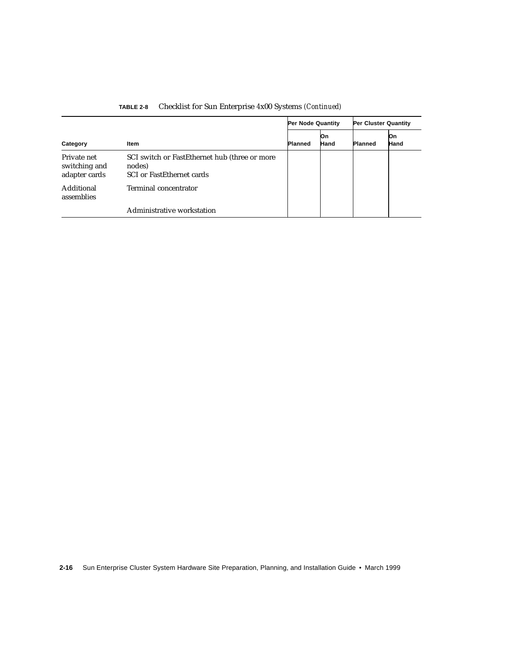|                                               |                                                                                             | Per Node Quantity |            | <b>Per Cluster Quantity</b> |            |  |
|-----------------------------------------------|---------------------------------------------------------------------------------------------|-------------------|------------|-----------------------------|------------|--|
| Category                                      | Item                                                                                        | <b>Planned</b>    | Юn<br>Hand | <b>Planned</b>              | Юn<br>Hand |  |
| Private net<br>switching and<br>adapter cards | SCI switch or FastEthernet hub (three or more<br>nodes)<br><b>SCI</b> or FastEthernet cards |                   |            |                             |            |  |
| Additional<br>assemblies                      | Terminal concentrator                                                                       |                   |            |                             |            |  |
|                                               | Administrative workstation                                                                  |                   |            |                             |            |  |

#### **TABLE 2-8** Checklist for Sun Enterprise *4*x00 Systems *(Continued)*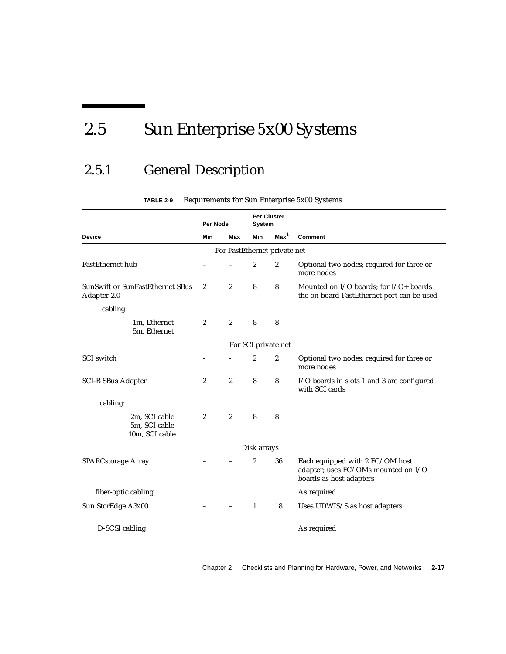# 2.5 Sun Enterprise *5*x00 Systems

## 2.5.1 General Description

|                                                        |                  | Per Cluster<br>Per Node<br>System |                     |                  |                                                                                                   |  |  |  |  |  |
|--------------------------------------------------------|------------------|-----------------------------------|---------------------|------------------|---------------------------------------------------------------------------------------------------|--|--|--|--|--|
| <b>Device</b>                                          | Min              | Max                               | Min                 | Max <sup>1</sup> | <b>Comment</b>                                                                                    |  |  |  |  |  |
| For FastEthernet private net                           |                  |                                   |                     |                  |                                                                                                   |  |  |  |  |  |
| <b>FastEthernet hub</b>                                |                  |                                   | $\overline{2}$      | $\boldsymbol{2}$ | Optional two nodes; required for three or<br>more nodes                                           |  |  |  |  |  |
| <b>SunSwift or SunFastEthernet SBus</b><br>Adapter 2.0 | $\boldsymbol{2}$ | $\overline{2}$                    | 8                   | 8                | Mounted on $I/O$ boards; for $I/O$ + boards<br>the on-board FastEthernet port can be used         |  |  |  |  |  |
| cabling:                                               |                  |                                   |                     |                  |                                                                                                   |  |  |  |  |  |
| 1m, Ethernet<br>5m, Ethernet                           | $\boldsymbol{2}$ | $\boldsymbol{2}$                  | 8                   | $\bf 8$          |                                                                                                   |  |  |  |  |  |
|                                                        |                  |                                   | For SCI private net |                  |                                                                                                   |  |  |  |  |  |
| <b>SCI</b> switch                                      |                  |                                   | $\boldsymbol{2}$    | $\boldsymbol{2}$ | Optional two nodes; required for three or<br>more nodes                                           |  |  |  |  |  |
| <b>SCI-B SBus Adapter</b>                              | $\boldsymbol{2}$ | $\overline{2}$                    | 8                   | 8                | I/O boards in slots 1 and 3 are configured<br>with SCI cards                                      |  |  |  |  |  |
| cabling:                                               |                  |                                   |                     |                  |                                                                                                   |  |  |  |  |  |
| 2m, SCI cable<br>5m, SCI cable<br>10m, SCI cable       | $\boldsymbol{2}$ | $\mathbf{2}$                      | 8                   | 8                |                                                                                                   |  |  |  |  |  |
|                                                        |                  |                                   | Disk arrays         |                  |                                                                                                   |  |  |  |  |  |
| SPARCstorage Array                                     |                  |                                   | $\boldsymbol{2}$    | 36               | Each equipped with 2 FC/OM host<br>adapter; uses FC/OMs mounted on I/O<br>boards as host adapters |  |  |  |  |  |
| fiber-optic cabling                                    |                  |                                   |                     |                  | As required                                                                                       |  |  |  |  |  |
| Sun StorEdge A3x00                                     |                  |                                   | $\mathbf{1}$        | 18               | Uses UDWIS/S as host adapters                                                                     |  |  |  |  |  |
| D-SCSI cabling                                         |                  |                                   |                     |                  | As required                                                                                       |  |  |  |  |  |

**TABLE 2-9** Requirements for Sun Enterprise *5*x00 Systems

Chapter 2 Checklists and Planning for Hardware, Power, and Networks **2-17**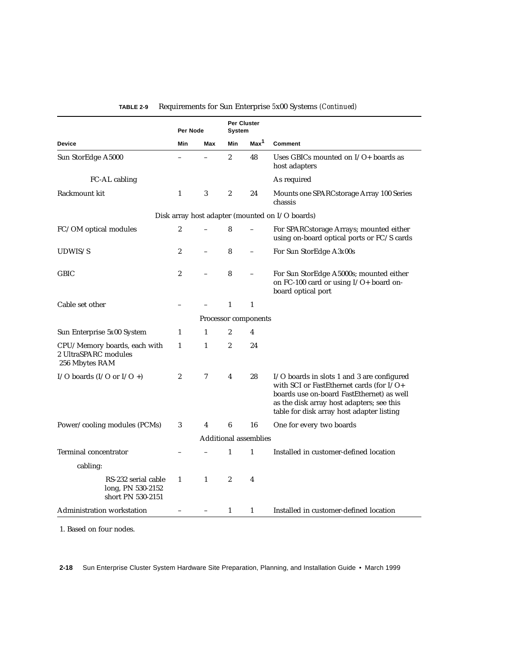|                                                                        | Per Node         |                       | Per Cluster<br><b>System</b> |                  |                                                                                                                                                                                                                                   |
|------------------------------------------------------------------------|------------------|-----------------------|------------------------------|------------------|-----------------------------------------------------------------------------------------------------------------------------------------------------------------------------------------------------------------------------------|
| <b>Device</b>                                                          | Min              | Max                   | Min                          | Max <sup>1</sup> | <b>Comment</b>                                                                                                                                                                                                                    |
| Sun StorEdge A5000                                                     |                  |                       | $\boldsymbol{2}$             | 48               | Uses GBICs mounted on $I/O$ + boards as<br>host adapters                                                                                                                                                                          |
| FC-AL cabling                                                          |                  |                       |                              |                  | As required                                                                                                                                                                                                                       |
| Rackmount kit                                                          | $\mathbf{1}$     | 3                     | $\boldsymbol{2}$             | 24               | Mounts one SPARCstorage Array 100 Series<br>chassis                                                                                                                                                                               |
|                                                                        |                  |                       |                              |                  | Disk array host adapter (mounted on I/O boards)                                                                                                                                                                                   |
| FC/OM optical modules                                                  | $\boldsymbol{2}$ |                       | 8                            |                  | For SPARCstorage Arrays; mounted either<br>using on-board optical ports or FC/S cards                                                                                                                                             |
| UDWIS/S                                                                | $\boldsymbol{2}$ |                       | 8                            |                  | For Sun StorEdge A3x00s                                                                                                                                                                                                           |
| <b>GBIC</b>                                                            | $\boldsymbol{2}$ |                       | 8                            |                  | For Sun StorEdge A5000s; mounted either<br>on FC-100 card or using I/O+ board on-<br>board optical port                                                                                                                           |
| Cable set other                                                        |                  |                       | $\mathbf{1}$                 | $\mathbf{1}$     |                                                                                                                                                                                                                                   |
|                                                                        |                  | Processor components  |                              |                  |                                                                                                                                                                                                                                   |
| Sun Enterprise 5x00 System                                             | 1                | 1                     | $\boldsymbol{2}$             | 4                |                                                                                                                                                                                                                                   |
| CPU/Memory boards, each with<br>2 UltraSPARC modules<br>256 Mbytes RAM | 1                | 1                     | $\boldsymbol{2}$             | 24               |                                                                                                                                                                                                                                   |
| I/O boards (I/O or I/O +)                                              | $\boldsymbol{2}$ | $\tau$                | $\overline{4}$               | 28               | $I/O$ boards in slots 1 and 3 are configured<br>with SCI or FastEthernet cards (for $I/O+$<br>boards use on-board FastEthernet) as well<br>as the disk array host adapters; see this<br>table for disk array host adapter listing |
| Power/cooling modules (PCMs)                                           | 3                | 4                     | 6                            | 16               | One for every two boards                                                                                                                                                                                                          |
|                                                                        |                  | Additional assemblies |                              |                  |                                                                                                                                                                                                                                   |
| Terminal concentrator                                                  |                  |                       | $\mathbf{1}$                 | $\mathbf{1}$     | Installed in customer-defined location                                                                                                                                                                                            |
| cabling:                                                               |                  |                       |                              |                  |                                                                                                                                                                                                                                   |
| RS-232 serial cable<br>long, PN 530-2152<br>short PN 530-2151          | $\mathbf{1}$     | $\mathbf{1}$          | $\boldsymbol{2}$             | 4                |                                                                                                                                                                                                                                   |
| Administration workstation                                             |                  |                       | 1                            | 1                | Installed in customer-defined location                                                                                                                                                                                            |

#### **TABLE 2-9** Requirements for Sun Enterprise *5*x00 Systems *(Continued)*

1. Based on four nodes.

**2-18** Sun Enterprise Cluster System Hardware Site Preparation, Planning, and Installation Guide • March 1999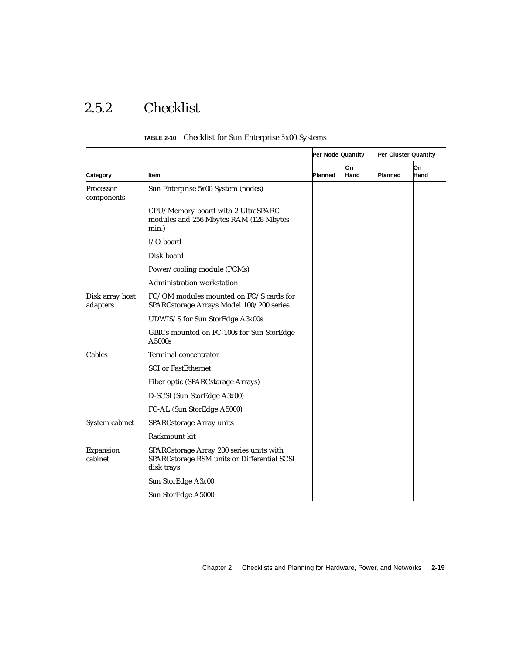### 2.5.2 Checklist

| Category                    | Item                                                                                                  | Per Node Quantity |              | Per Cluster Quantity |            |
|-----------------------------|-------------------------------------------------------------------------------------------------------|-------------------|--------------|----------------------|------------|
|                             |                                                                                                       | Planned           | lOn.<br>Hand | <b>Planned</b>       | Юn<br>Hand |
| Processor<br>components     | Sun Enterprise 5x00 System (nodes)                                                                    |                   |              |                      |            |
|                             | CPU/Memory board with 2 UltraSPARC<br>modules and 256 Mbytes RAM (128 Mbytes<br>min.)                 |                   |              |                      |            |
|                             | $I/O$ board                                                                                           |                   |              |                      |            |
|                             | Disk board                                                                                            |                   |              |                      |            |
|                             | Power/cooling module (PCMs)                                                                           |                   |              |                      |            |
|                             | Administration workstation                                                                            |                   |              |                      |            |
| Disk array host<br>adapters | FC/OM modules mounted on FC/S cards for<br>SPARCstorage Arrays Model 100/200 series                   |                   |              |                      |            |
|                             | UDWIS/S for Sun StorEdge A3x00s                                                                       |                   |              |                      |            |
|                             | GBICs mounted on FC-100s for Sun StorEdge<br>A5000s                                                   |                   |              |                      |            |
| Cables                      | Terminal concentrator                                                                                 |                   |              |                      |            |
|                             | <b>SCI</b> or FastEthernet                                                                            |                   |              |                      |            |
|                             | Fiber optic (SPARCstorage Arrays)                                                                     |                   |              |                      |            |
|                             | D-SCSI (Sun StorEdge A3x00)                                                                           |                   |              |                      |            |
|                             | FC-AL (Sun StorEdge A5000)                                                                            |                   |              |                      |            |
| System cabinet              | SPARCstorage Array units                                                                              |                   |              |                      |            |
|                             | Rackmount kit                                                                                         |                   |              |                      |            |
| Expansion<br>cabinet        | SPARCstorage Array 200 series units with<br>SPARCstorage RSM units or Differential SCSI<br>disk trays |                   |              |                      |            |
|                             | Sun StorEdge A3x00                                                                                    |                   |              |                      |            |
|                             | Sun StorEdge A5000                                                                                    |                   |              |                      |            |

#### **TABLE 2-10** Checklist for Sun Enterprise *5*x00 Systems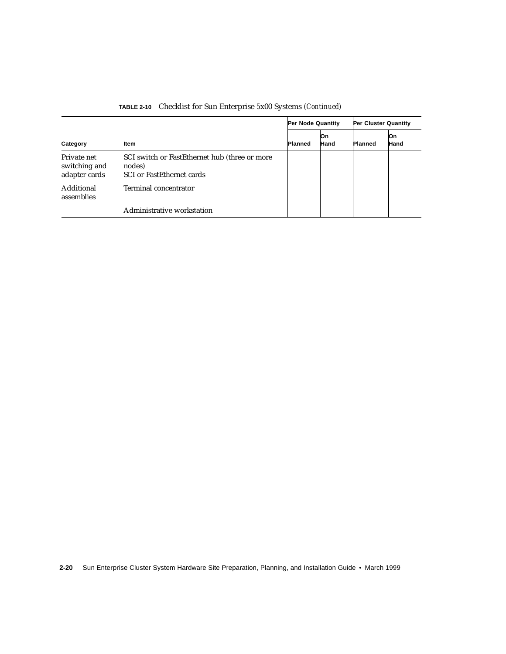| Category                                      | Item                                                                                        | Per Node Quantity |            | <b>Per Cluster Quantity</b> |            |
|-----------------------------------------------|---------------------------------------------------------------------------------------------|-------------------|------------|-----------------------------|------------|
|                                               |                                                                                             | <b>Planned</b>    | Юn<br>Hand | <b>Planned</b>              | Юn<br>Hand |
| Private net<br>switching and<br>adapter cards | SCI switch or FastEthernet hub (three or more<br>nodes)<br><b>SCI</b> or FastEthernet cards |                   |            |                             |            |
| Additional<br>assemblies                      | Terminal concentrator                                                                       |                   |            |                             |            |
|                                               | Administrative workstation                                                                  |                   |            |                             |            |

#### **TABLE 2-10** Checklist for Sun Enterprise *5*x00 Systems *(Continued)*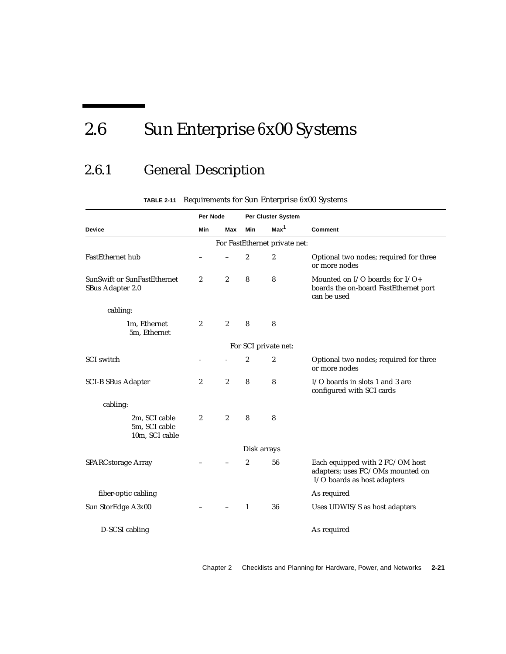# 2.6 Sun Enterprise *6*x00 Systems

## 2.6.1 General Description

|                                                        | Per Node              |                  |                      | Per Cluster System            |                                                                                                    |
|--------------------------------------------------------|-----------------------|------------------|----------------------|-------------------------------|----------------------------------------------------------------------------------------------------|
| <b>Device</b>                                          | Min                   | Max              | Min                  | Max <sup>1</sup>              | <b>Comment</b>                                                                                     |
|                                                        |                       |                  |                      | For FastEthernet private net: |                                                                                                    |
| <b>FastEthernet hub</b>                                |                       |                  | $\boldsymbol{2}$     | $\boldsymbol{2}$              | Optional two nodes; required for three<br>or more nodes                                            |
| <b>SunSwift or SunFastEthernet</b><br>SBus Adapter 2.0 | 2                     | $\boldsymbol{2}$ | 8                    | 8                             | Mounted on I/O boards; for I/O+<br>boards the on-board FastEthernet port<br>can be used            |
| cabling:                                               |                       |                  |                      |                               |                                                                                                    |
| 1m, Ethernet<br>5m, Ethernet                           | $\mathbf{2}^{\prime}$ | $\overline{2}$   | 8                    | 8                             |                                                                                                    |
|                                                        |                       |                  | For SCI private net: |                               |                                                                                                    |
| <b>SCI</b> switch                                      |                       |                  | $\boldsymbol{2}$     | $\boldsymbol{2}$              | Optional two nodes; required for three<br>or more nodes                                            |
| <b>SCI-B SBus Adapter</b>                              | 2                     | $\overline{2}$   | 8                    | 8                             | I/O boards in slots 1 and 3 are<br>configured with SCI cards                                       |
| cabling:                                               |                       |                  |                      |                               |                                                                                                    |
| 2m, SCI cable<br>5m, SCI cable<br>10m, SCI cable       | $\boldsymbol{2}$      | $\mathbf{2}$     | 8                    | 8                             |                                                                                                    |
|                                                        |                       |                  | Disk arrays          |                               |                                                                                                    |
| SPARCstorage Array                                     |                       |                  | $\boldsymbol{2}$     | 56                            | Each equipped with 2 FC/OM host<br>adapters; uses FC/OMs mounted on<br>I/O boards as host adapters |
| fiber-optic cabling                                    |                       |                  |                      |                               | As required                                                                                        |
| Sun StorEdge A3x00                                     |                       |                  | $\mathbf{1}$         | 36                            | Uses UDWIS/S as host adapters                                                                      |
| D-SCSI cabling                                         |                       |                  |                      |                               | As required                                                                                        |

**TABLE 2-11** Requirements for Sun Enterprise *6*x00 Systems

Chapter 2 Checklists and Planning for Hardware, Power, and Networks **2-21**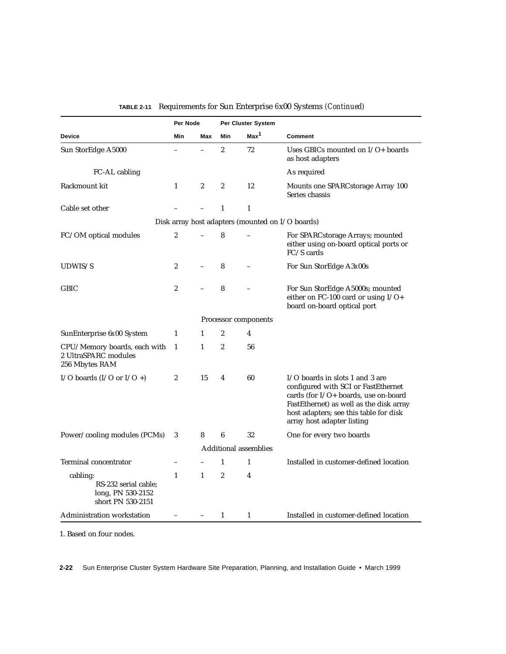|                                                                            | Per Node<br>Per Cluster System |                  |                  |                                                  |                                                                                                                                                                                                                                     |
|----------------------------------------------------------------------------|--------------------------------|------------------|------------------|--------------------------------------------------|-------------------------------------------------------------------------------------------------------------------------------------------------------------------------------------------------------------------------------------|
| <b>Device</b>                                                              | Min                            | Max              | Min              | Max <sup>1</sup>                                 | <b>Comment</b>                                                                                                                                                                                                                      |
| Sun StorEdge A5000                                                         |                                |                  | $\boldsymbol{2}$ | 72                                               | Uses GBICs mounted on $I/O$ + boards<br>as host adapters                                                                                                                                                                            |
| FC-AL cabling                                                              |                                |                  |                  |                                                  | As required                                                                                                                                                                                                                         |
| Rackmount kit                                                              | $\mathbf{1}$                   | $\boldsymbol{2}$ | $\boldsymbol{2}$ | 12                                               | Mounts one SPARCstorage Array 100<br>Series chassis                                                                                                                                                                                 |
| Cable set other                                                            |                                |                  | $\mathbf{1}$     | $\mathbf{1}$                                     |                                                                                                                                                                                                                                     |
|                                                                            |                                |                  |                  | Disk array host adapters (mounted on I/O boards) |                                                                                                                                                                                                                                     |
| FC/OM optical modules                                                      | $\boldsymbol{2}$               |                  | 8                |                                                  | For SPARCstorage Arrays; mounted<br>either using on-board optical ports or<br>FC/S cards                                                                                                                                            |
| UDWIS/S                                                                    | $\boldsymbol{2}$               |                  | 8                |                                                  | For Sun StorEdge A3x00s                                                                                                                                                                                                             |
| <b>GBIC</b>                                                                | $\overline{2}$                 |                  | 8                |                                                  | For Sun StorEdge A5000s; mounted<br>either on FC-100 card or using I/O+<br>board on-board optical port                                                                                                                              |
|                                                                            |                                |                  |                  | Processor components                             |                                                                                                                                                                                                                                     |
| SunEnterprise 6x00 System                                                  | 1                              | 1                | 2                | 4                                                |                                                                                                                                                                                                                                     |
| CPU/Memory boards, each with<br>2 UltraSPARC modules<br>256 Mbytes RAM     | -1                             | $\mathbf{1}$     | $\boldsymbol{2}$ | 56                                               |                                                                                                                                                                                                                                     |
| I/O boards (I/O or I/O +)                                                  | $\boldsymbol{2}$               | 15               | 4                | 60                                               | I/O boards in slots 1 and 3 are<br>configured with SCI or FastEthernet<br>cards (for $I/O+$ boards, use on-board<br>FastEthernet) as well as the disk array<br>host adapters; see this table for disk<br>array host adapter listing |
| Power/cooling modules (PCMs)                                               | 3                              | 8                | 6                | 32                                               | One for every two boards                                                                                                                                                                                                            |
|                                                                            |                                |                  |                  | <b>Additional assemblies</b>                     |                                                                                                                                                                                                                                     |
| Terminal concentrator                                                      |                                |                  | 1                | 1                                                | Installed in customer-defined location                                                                                                                                                                                              |
| cabling:<br>RS-232 serial cable;<br>long, PN 530-2152<br>short PN 530-2151 | 1                              | 1                | $\boldsymbol{2}$ | 4                                                |                                                                                                                                                                                                                                     |
| Administration workstation                                                 |                                |                  | 1                | 1                                                | Installed in customer-defined location                                                                                                                                                                                              |

#### **TABLE 2-11** Requirements for Sun Enterprise *6*x00 Systems *(Continued)*

1. Based on four nodes.

**2-22** Sun Enterprise Cluster System Hardware Site Preparation, Planning, and Installation Guide • March 1999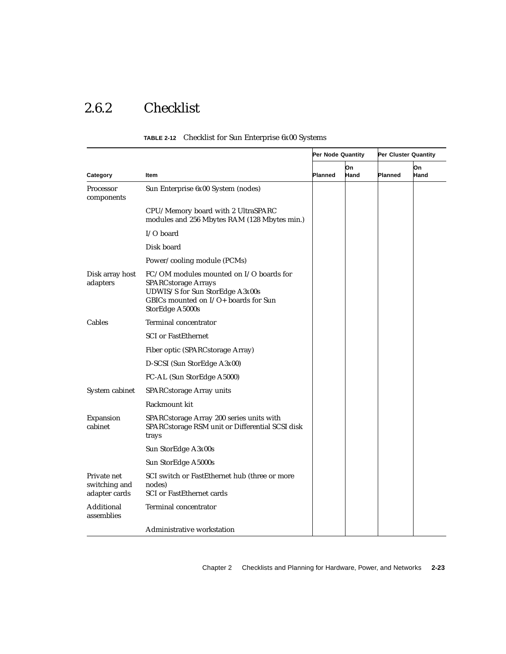## 2.6.2 Checklist

|                                               |                                                                                                                                                                     |         | Per Node Quantity | Per Cluster Quantity |            |  |
|-----------------------------------------------|---------------------------------------------------------------------------------------------------------------------------------------------------------------------|---------|-------------------|----------------------|------------|--|
| Category                                      | Item                                                                                                                                                                | Planned | On<br>Hand        | Planned              | Юn<br>Hand |  |
| Processor<br>components                       | Sun Enterprise 6x00 System (nodes)                                                                                                                                  |         |                   |                      |            |  |
|                                               | CPU/Memory board with 2 UltraSPARC<br>modules and 256 Mbytes RAM (128 Mbytes min.)                                                                                  |         |                   |                      |            |  |
|                                               | $I/O$ board                                                                                                                                                         |         |                   |                      |            |  |
|                                               | Disk board                                                                                                                                                          |         |                   |                      |            |  |
|                                               | Power/cooling module (PCMs)                                                                                                                                         |         |                   |                      |            |  |
| Disk array host<br>adapters                   | FC/OM modules mounted on I/O boards for<br><b>SPARCstorage Arrays</b><br>UDWIS/S for Sun StorEdge A3x00s<br>GBICs mounted on I/O+ boards for Sun<br>StorEdge A5000s |         |                   |                      |            |  |
| Cables                                        | Terminal concentrator                                                                                                                                               |         |                   |                      |            |  |
|                                               | <b>SCI</b> or FastEthernet                                                                                                                                          |         |                   |                      |            |  |
|                                               | Fiber optic (SPARCstorage Array)                                                                                                                                    |         |                   |                      |            |  |
|                                               | D-SCSI (Sun StorEdge A3x00)                                                                                                                                         |         |                   |                      |            |  |
|                                               | FC-AL (Sun StorEdge A5000)                                                                                                                                          |         |                   |                      |            |  |
| System cabinet                                | SPARCstorage Array units                                                                                                                                            |         |                   |                      |            |  |
|                                               | Rackmount kit                                                                                                                                                       |         |                   |                      |            |  |
| Expansion<br>cabinet                          | SPARCstorage Array 200 series units with<br>SPARCstorage RSM unit or Differential SCSI disk<br>trays                                                                |         |                   |                      |            |  |
|                                               | Sun StorEdge A3x00s                                                                                                                                                 |         |                   |                      |            |  |
|                                               | Sun StorEdge A5000s                                                                                                                                                 |         |                   |                      |            |  |
| Private net<br>switching and<br>adapter cards | SCI switch or FastEthernet hub (three or more<br>nodes)<br><b>SCI</b> or FastEthernet cards                                                                         |         |                   |                      |            |  |
| Additional<br>assemblies                      | Terminal concentrator                                                                                                                                               |         |                   |                      |            |  |
|                                               | Administrative workstation                                                                                                                                          |         |                   |                      |            |  |

#### **TABLE 2-12** Checklist for Sun Enterprise 6*x*00 Systems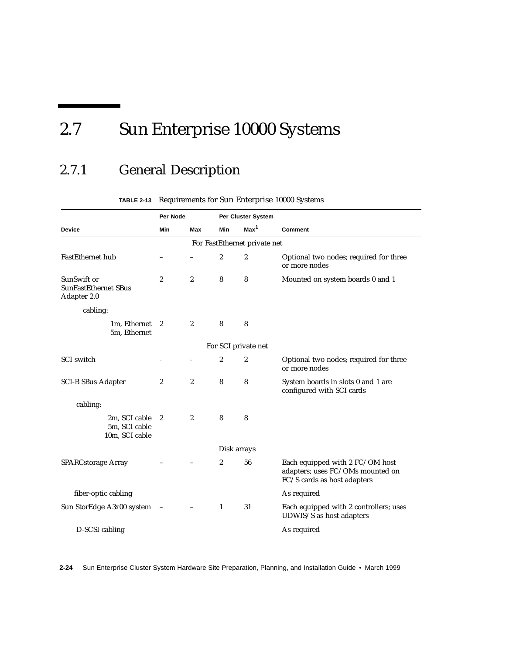# 2.7 Sun Enterprise 10000 Systems

## 2.7.1 General Description

|                                                           | Per Node          |                          | Per Cluster System |                     |                                                                                                    |  |  |  |  |
|-----------------------------------------------------------|-------------------|--------------------------|--------------------|---------------------|----------------------------------------------------------------------------------------------------|--|--|--|--|
| <b>Device</b>                                             | Min               | Max                      | Min                | Max <sup>1</sup>    | <b>Comment</b>                                                                                     |  |  |  |  |
| For FastEthernet private net                              |                   |                          |                    |                     |                                                                                                    |  |  |  |  |
| <b>FastEthernet hub</b>                                   |                   |                          | 2                  | $\boldsymbol{2}$    | Optional two nodes; required for three<br>or more nodes                                            |  |  |  |  |
| SunSwift or<br><b>SunFastEthernet SBus</b><br>Adapter 2.0 | $\overline{2}$    | $\boldsymbol{2}$         | 8                  | 8                   | Mounted on system boards 0 and 1                                                                   |  |  |  |  |
| cabling:                                                  |                   |                          |                    |                     |                                                                                                    |  |  |  |  |
| 1m, Ethernet<br>5m, Ethernet                              | $\boldsymbol{2}$  | $\boldsymbol{2}$         | 8                  | 8                   |                                                                                                    |  |  |  |  |
|                                                           |                   |                          |                    | For SCI private net |                                                                                                    |  |  |  |  |
| <b>SCI</b> switch                                         |                   | $\overline{\phantom{a}}$ | $\boldsymbol{2}$   | 2                   | Optional two nodes; required for three<br>or more nodes                                            |  |  |  |  |
| <b>SCI-B SBus Adapter</b>                                 | 2                 | $\boldsymbol{2}$         | 8                  | 8                   | System boards in slots 0 and 1 are<br>configured with SCI cards                                    |  |  |  |  |
| cabling:                                                  |                   |                          |                    |                     |                                                                                                    |  |  |  |  |
| 2m. SCI cable<br>5m, SCI cable<br>10m, SCI cable          | $\boldsymbol{2}$  | $\boldsymbol{2}$         | 8                  | 8                   |                                                                                                    |  |  |  |  |
|                                                           |                   |                          | Disk arrays        |                     |                                                                                                    |  |  |  |  |
| SPARCstorage Array                                        |                   |                          | $\boldsymbol{2}$   | 56                  | Each equipped with 2 FC/OM host<br>adapters; uses FC/OMs mounted on<br>FC/S cards as host adapters |  |  |  |  |
| fiber-optic cabling                                       |                   |                          |                    |                     | As required                                                                                        |  |  |  |  |
| Sun StorEdge A3x00 system                                 | $\qquad \qquad -$ |                          | $\mathbf{1}$       | 31                  | Each equipped with 2 controllers; uses<br>UDWIS/S as host adapters                                 |  |  |  |  |
| D-SCSI cabling                                            |                   |                          |                    |                     | As required                                                                                        |  |  |  |  |

#### **TABLE 2-13** Requirements for Sun Enterprise 10000 Systems

**2-24** Sun Enterprise Cluster System Hardware Site Preparation, Planning, and Installation Guide • March 1999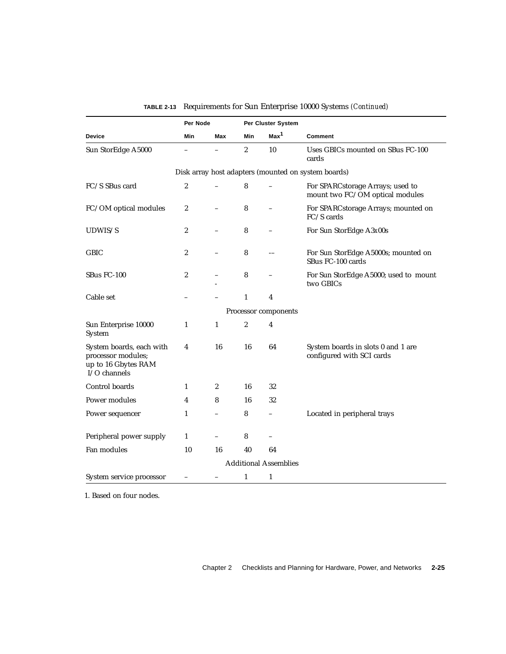|                                                                                       |                  | Per Node                 |                  | Per Cluster System           |                                                                     |
|---------------------------------------------------------------------------------------|------------------|--------------------------|------------------|------------------------------|---------------------------------------------------------------------|
| <b>Device</b>                                                                         | Min              | Max                      | Min              | Max <sup>1</sup>             | <b>Comment</b>                                                      |
| Sun StorEdge A5000                                                                    |                  |                          | $\boldsymbol{2}$ | 10                           | Uses GBICs mounted on SBus FC-100<br>cards                          |
|                                                                                       |                  |                          |                  |                              | Disk array host adapters (mounted on system boards)                 |
| FC/S SBus card                                                                        | 2                |                          | 8                |                              | For SPARCstorage Arrays; used to<br>mount two FC/OM optical modules |
| FC/OM optical modules                                                                 | 2                |                          | 8                |                              | For SPARCstorage Arrays; mounted on<br>$FC/S$ cards                 |
| UDWIS/S                                                                               | 2                |                          | 8                |                              | For Sun StorEdge A3x00s                                             |
| <b>GBIC</b>                                                                           | 2                |                          | 8                |                              | For Sun StorEdge A5000s; mounted on<br>SBus FC-100 cards            |
| SBus FC-100                                                                           | $\boldsymbol{2}$ |                          | 8                |                              | For Sun StorEdge A5000; used to mount<br>two GBICs                  |
| Cable set                                                                             |                  |                          | $\mathbf{1}$     | $\overline{4}$               |                                                                     |
|                                                                                       |                  |                          |                  | Processor components         |                                                                     |
| Sun Enterprise 10000<br>System                                                        | $\mathbf{1}$     | $\mathbf{1}$             | $\boldsymbol{2}$ | 4                            |                                                                     |
| System boards, each with<br>processor modules;<br>up to 16 Gbytes RAM<br>I/O channels | 4                | 16                       | 16               | 64                           | System boards in slots 0 and 1 are<br>configured with SCI cards     |
| Control boards                                                                        | 1                | 2                        | 16               | 32                           |                                                                     |
| Power modules                                                                         | 4                | 8                        | 16               | 32                           |                                                                     |
| Power sequencer                                                                       | $\mathbf{1}$     | $\overline{\phantom{0}}$ | 8                | $\overline{\phantom{0}}$     | Located in peripheral trays                                         |
| Peripheral power supply                                                               | $\mathbf{1}$     |                          | 8                |                              |                                                                     |
| Fan modules                                                                           | 10               | 16                       | 40               | 64                           |                                                                     |
|                                                                                       |                  |                          |                  | <b>Additional Assemblies</b> |                                                                     |
| System service processor                                                              |                  |                          | $\mathbf{1}$     | $\mathbf{1}$                 |                                                                     |

#### **TABLE 2-13** Requirements for Sun Enterprise 10000 Systems *(Continued)*

1. Based on four nodes.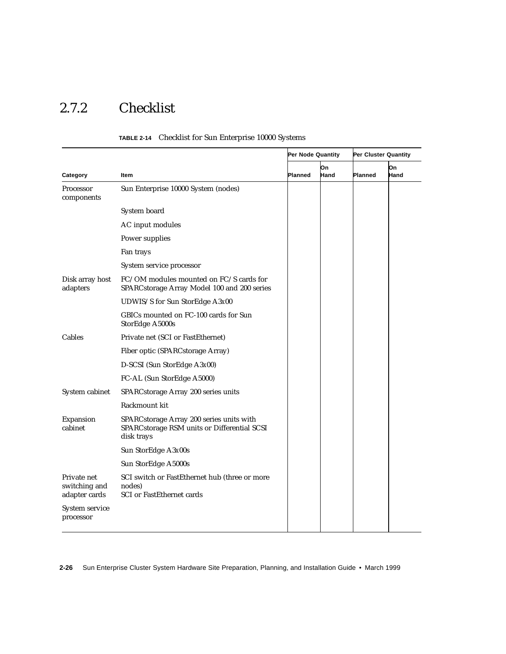## 2.7.2 Checklist

|                                               |                                                                                                       | Per Node Quantity |            | Per Cluster Quantity |            |  |
|-----------------------------------------------|-------------------------------------------------------------------------------------------------------|-------------------|------------|----------------------|------------|--|
| Category                                      | Item                                                                                                  | <b>Planned</b>    | Юn<br>Hand | <b>Planned</b>       | Юn<br>Hand |  |
| Processor<br>components                       | Sun Enterprise 10000 System (nodes)                                                                   |                   |            |                      |            |  |
|                                               | System board                                                                                          |                   |            |                      |            |  |
|                                               | AC input modules                                                                                      |                   |            |                      |            |  |
|                                               | Power supplies                                                                                        |                   |            |                      |            |  |
|                                               | Fan trays                                                                                             |                   |            |                      |            |  |
|                                               | System service processor                                                                              |                   |            |                      |            |  |
| Disk array host<br>adapters                   | FC/OM modules mounted on FC/S cards for<br>SPARCstorage Array Model 100 and 200 series                |                   |            |                      |            |  |
|                                               | UDWIS/S for Sun StorEdge A3x00                                                                        |                   |            |                      |            |  |
|                                               | GBICs mounted on FC-100 cards for Sun<br>StorEdge A5000s                                              |                   |            |                      |            |  |
| Cables                                        | Private net (SCI or FastEthernet)                                                                     |                   |            |                      |            |  |
|                                               | Fiber optic (SPARCstorage Array)                                                                      |                   |            |                      |            |  |
|                                               | D-SCSI (Sun StorEdge A3x00)                                                                           |                   |            |                      |            |  |
|                                               | FC-AL (Sun StorEdge A5000)                                                                            |                   |            |                      |            |  |
| System cabinet                                | SPARCstorage Array 200 series units                                                                   |                   |            |                      |            |  |
|                                               | Rackmount kit                                                                                         |                   |            |                      |            |  |
| Expansion<br>cabinet                          | SPARCstorage Array 200 series units with<br>SPARCstorage RSM units or Differential SCSI<br>disk trays |                   |            |                      |            |  |
|                                               | Sun StorEdge A3x00s                                                                                   |                   |            |                      |            |  |
|                                               | Sun StorEdge A5000s                                                                                   |                   |            |                      |            |  |
| Private net<br>switching and<br>adapter cards | SCI switch or FastEthernet hub (three or more<br>nodes)<br><b>SCI</b> or FastEthernet cards           |                   |            |                      |            |  |
| System service<br>processor                   |                                                                                                       |                   |            |                      |            |  |

#### **TABLE 2-14** Checklist for Sun Enterprise 10000 Systems

**2-26** Sun Enterprise Cluster System Hardware Site Preparation, Planning, and Installation Guide • March 1999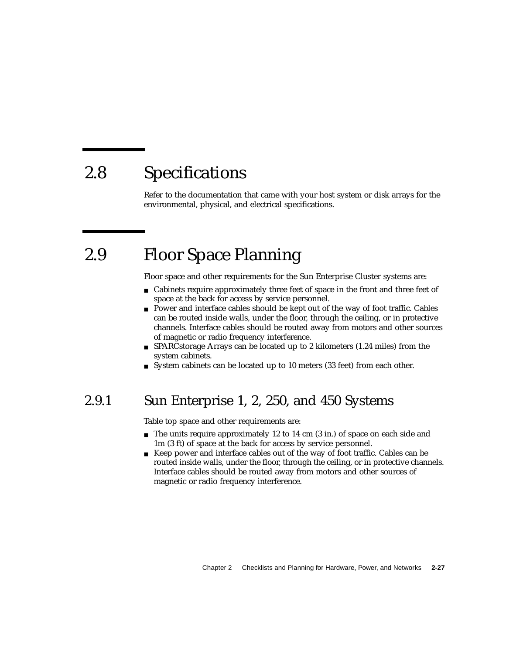## 2.8 Specifications

Refer to the documentation that came with your host system or disk arrays for the environmental, physical, and electrical specifications.

## 2.9 Floor Space Planning

Floor space and other requirements for the Sun Enterprise Cluster systems are:

- Cabinets require approximately three feet of space in the front and three feet of space at the back for access by service personnel.
- Power and interface cables should be kept out of the way of foot traffic. Cables can be routed inside walls, under the floor, through the ceiling, or in protective channels. Interface cables should be routed away from motors and other sources of magnetic or radio frequency interference.
- SPARCstorage Arrays can be located up to 2 kilometers (1.24 miles) from the system cabinets.
- System cabinets can be located up to 10 meters (33 feet) from each other.

### 2.9.1 Sun Enterprise 1, 2, 250, and 450 Systems

Table top space and other requirements are:

- The units require approximately 12 to 14 cm (3 in.) of space on each side and 1m (3 ft) of space at the back for access by service personnel.
- Keep power and interface cables out of the way of foot traffic. Cables can be routed inside walls, under the floor, through the ceiling, or in protective channels. Interface cables should be routed away from motors and other sources of magnetic or radio frequency interference.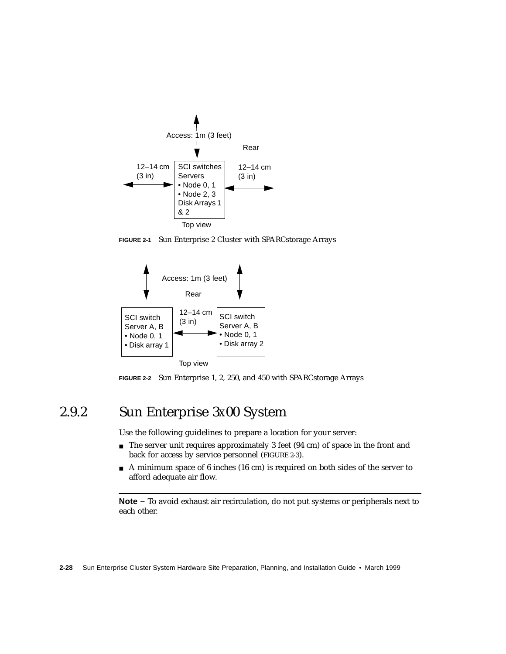

**FIGURE 2-1** Sun Enterprise 2 Cluster with SPARCstorage Arrays



**FIGURE 2-2** Sun Enterprise 1, 2, 250, and 450 with SPARCstorage Arrays

### 2.9.2 Sun Enterprise 3*x*00 System

Use the following guidelines to prepare a location for your server:

- The server unit requires approximately 3 feet (94 cm) of space in the front and back for access by service personnel (FIGURE 2-3).
- A minimum space of 6 inches (16 cm) is required on both sides of the server to afford adequate air flow.

**Note –** To avoid exhaust air recirculation, do not put systems or peripherals next to each other.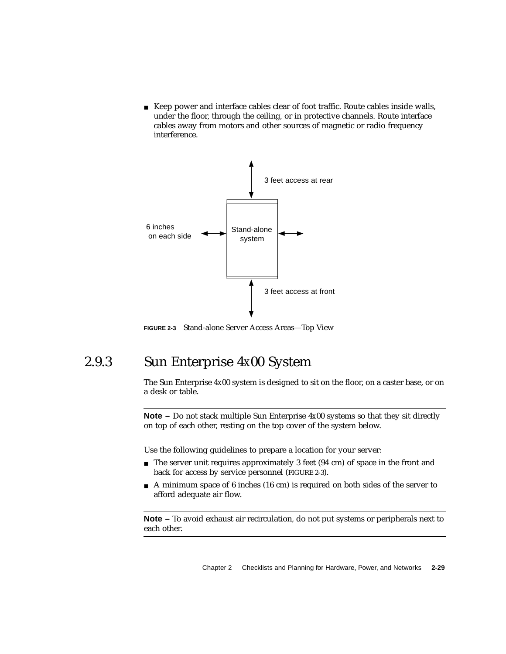■ Keep power and interface cables clear of foot traffic. Route cables inside walls, under the floor, through the ceiling, or in protective channels. Route interface cables away from motors and other sources of magnetic or radio frequency interference.



**FIGURE 2-3** Stand-alone Server Access Areas—Top View

### 2.9.3 Sun Enterprise 4*x*00 System

The Sun Enterprise 4*x*00 system is designed to sit on the floor, on a caster base, or on a desk or table.

**Note –** Do not stack multiple Sun Enterprise 4*x*00 systems so that they sit directly on top of each other, resting on the top cover of the system below.

Use the following guidelines to prepare a location for your server:

- The server unit requires approximately 3 feet (94 cm) of space in the front and back for access by service personnel (FIGURE 2-3).
- A minimum space of 6 inches (16 cm) is required on both sides of the server to afford adequate air flow.

**Note –** To avoid exhaust air recirculation, do not put systems or peripherals next to each other.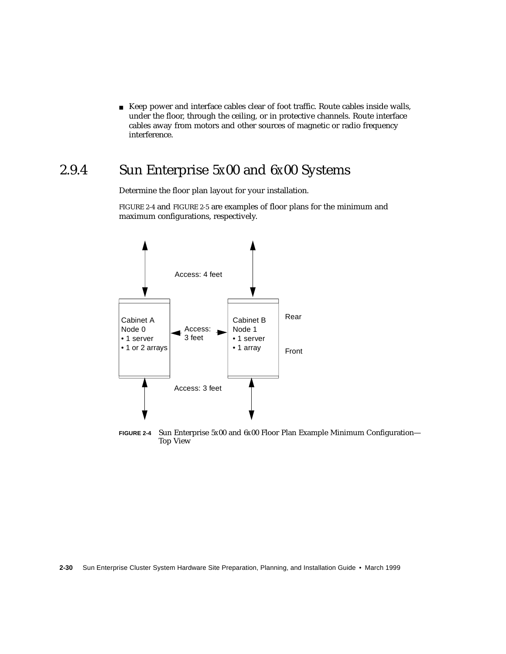■ Keep power and interface cables clear of foot traffic. Route cables inside walls, under the floor, through the ceiling, or in protective channels. Route interface cables away from motors and other sources of magnetic or radio frequency interference.

### 2.9.4 Sun Enterprise 5*x*00 and 6*x*00 Systems

Determine the floor plan layout for your installation.

FIGURE 2-4 and FIGURE 2-5 are examples of floor plans for the minimum and maximum configurations, respectively.



**FIGURE 2-4** Sun Enterprise 5*x*00 and 6*x*00 Floor Plan Example Minimum Configuration— Top View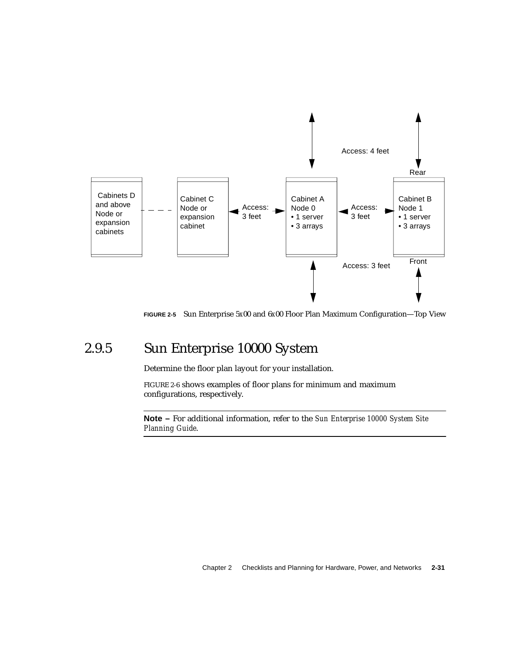

**FIGURE 2-5** Sun Enterprise 5*x*00 and 6*x*00 Floor Plan Maximum Configuration—Top View

### 2.9.5 Sun Enterprise 10000 System

Determine the floor plan layout for your installation.

FIGURE 2-6 shows examples of floor plans for minimum and maximum configurations, respectively.

**Note –** For additional information, refer to the *Sun Enterprise 10000 System Site Planning Guide*.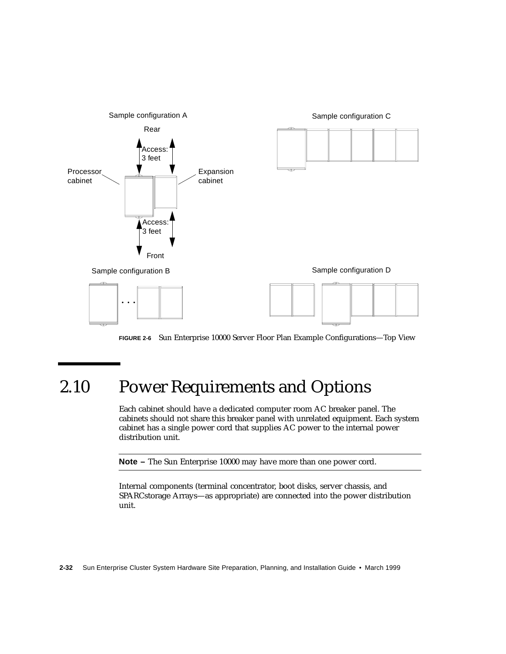

**FIGURE 2-6** Sun Enterprise 10000 Server Floor Plan Example Configurations—Top View

# 2.10 Power Requirements and Options

Each cabinet should have a dedicated computer room AC breaker panel. The cabinets should not share this breaker panel with unrelated equipment. Each system cabinet has a single power cord that supplies AC power to the internal power distribution unit.

**Note –** The Sun Enterprise 10000 may have more than one power cord.

Internal components (terminal concentrator, boot disks, server chassis, and SPARCstorage Arrays—as appropriate) are connected into the power distribution unit.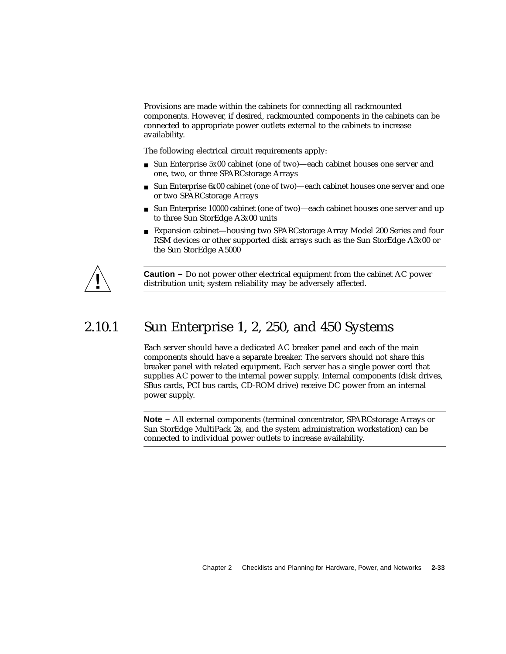Provisions are made within the cabinets for connecting all rackmounted components. However, if desired, rackmounted components in the cabinets can be connected to appropriate power outlets external to the cabinets to increase availability.

The following electrical circuit requirements apply:

- Sun Enterprise 5*x*00 cabinet (one of two)—each cabinet houses one server and one, two, or three SPARCstorage Arrays
- Sun Enterprise 6*x*00 cabinet (one of two)—each cabinet houses one server and one or two SPARCstorage Arrays
- Sun Enterprise 10000 cabinet (one of two)—each cabinet houses one server and up to three Sun StorEdge A3*x*00 units
- Expansion cabinet—housing two SPARCstorage Array Model 200 Series and four RSM devices or other supported disk arrays such as the Sun StorEdge A3*x*00 or the Sun StorEdge A5000



**Caution –** Do not power other electrical equipment from the cabinet AC power distribution unit; system reliability may be adversely affected.

### 2.10.1 Sun Enterprise 1, 2, 250, and 450 Systems

Each server should have a dedicated AC breaker panel and each of the main components should have a separate breaker. The servers should not share this breaker panel with related equipment. Each server has a single power cord that supplies AC power to the internal power supply. Internal components (disk drives, SBus cards, PCI bus cards, CD-ROM drive) receive DC power from an internal power supply.

**Note –** All external components (terminal concentrator, SPARCstorage Arrays or Sun StorEdge MultiPack 2s, and the system administration workstation) can be connected to individual power outlets to increase availability.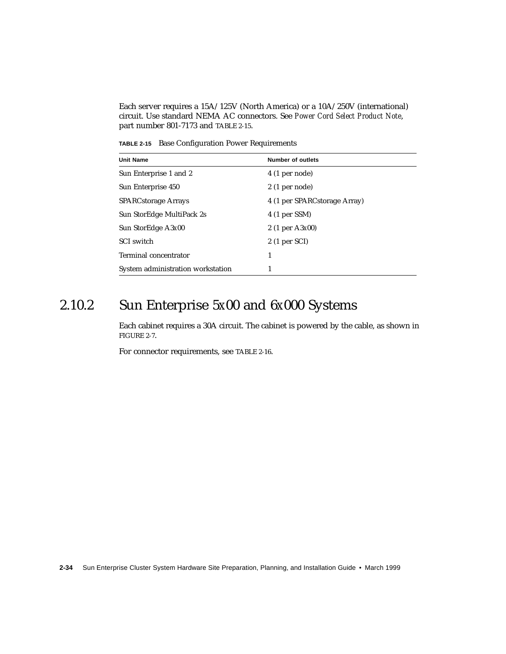Each server requires a 15A/125V (North America) or a 10A/250V (international) circuit. Use standard NEMA AC connectors. See *Power Cord Select Product Note*, part number 801-7173 and TABLE 2-15.

**TABLE 2-15** Base Configuration Power Requirements

| <b>Unit Name</b>                  | <b>Number of outlets</b>     |
|-----------------------------------|------------------------------|
| Sun Enterprise 1 and 2            | 4 (1 per node)               |
| Sun Enterprise 450                | 2(1 <sub>per</sub> node)     |
| <b>SPARCstorage Arrays</b>        | 4 (1 per SPARCstorage Array) |
| Sun StorEdge MultiPack 2s         | 4 (1 per SSM)                |
| Sun StorEdge A3x00                | 2 (1 per $(A3x00)$ )         |
| SCI switch                        | 2 (1 per SCI)                |
| Terminal concentrator             | 1                            |
| System administration workstation |                              |

### 2.10.2 Sun Enterprise 5*x*00 and 6*x*000 Systems

Each cabinet requires a 30A circuit. The cabinet is powered by the cable, as shown in FIGURE 2-7.

For connector requirements, see TABLE 2-16.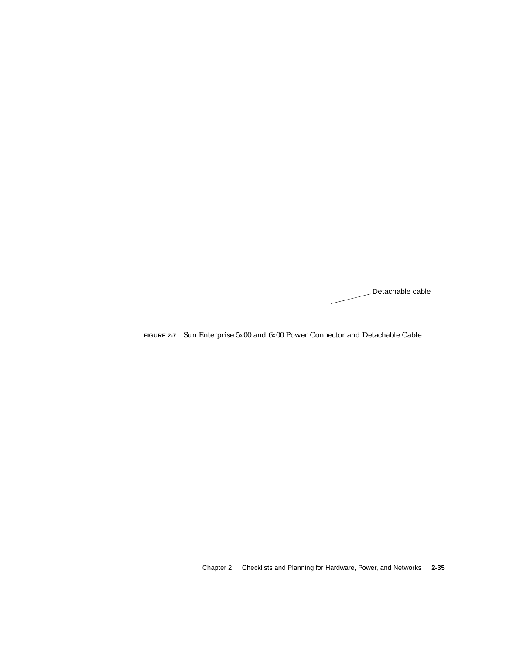Detachable cable

**FIGURE 2-7** Sun Enterprise 5*x*00 and 6*x*00 Power Connector and Detachable Cable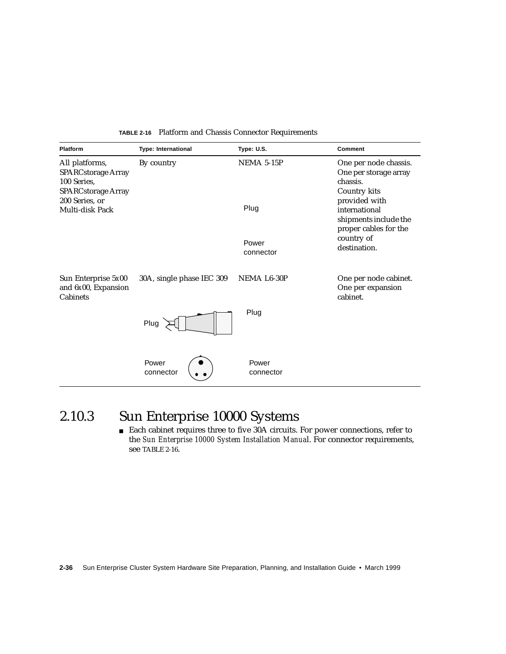| Platform                                                                                | <b>Type: International</b> | Type: U.S.         | <b>Comment</b>                                                                   |
|-----------------------------------------------------------------------------------------|----------------------------|--------------------|----------------------------------------------------------------------------------|
| All platforms,<br><b>SPARCstorage Array</b><br>100 Series.<br><b>SPARCstorage Array</b> | By country                 | NEMA 5-15P         | One per node chassis.<br>One per storage array<br>chassis.<br>Country kits       |
| 200 Series, or<br>Multi-disk Pack                                                       |                            | Plug               | provided with<br>international<br>shipments include the<br>proper cables for the |
|                                                                                         |                            | Power<br>connector | country of<br>destination.                                                       |
| Sun Enterprise 5x00<br>and 6x00, Expansion<br>Cabinets                                  | 30A, single phase IEC 309  | NEMA L6-30P        | One per node cabinet.<br>One per expansion<br>cabinet.                           |
|                                                                                         | Plug                       | Plug               |                                                                                  |
|                                                                                         | Power<br>connector         | Power<br>connector |                                                                                  |

**TABLE 2-16** Platform and Chassis Connector Requirements

### 2.10.3 Sun Enterprise 10000 Systems

■ Each cabinet requires three to five 30A circuits. For power connections, refer to the *Sun Enterprise 10000 System Installation Manua*l. For connector requirements, see TABLE 2-16.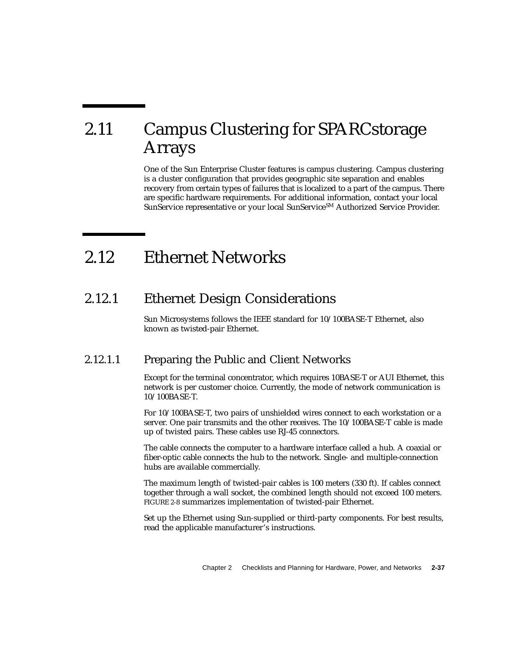# 2.11 Campus Clustering for SPARCstorage Arrays

One of the Sun Enterprise Cluster features is campus clustering. Campus clustering is a cluster configuration that provides geographic site separation and enables recovery from certain types of failures that is localized to a part of the campus. There are specific hardware requirements. For additional information, contact your local SunService representative or your local SunServiceSM Authorized Service Provider.

# 2.12 Ethernet Networks

### 2.12.1 Ethernet Design Considerations

Sun Microsystems follows the IEEE standard for 10/100BASE-T Ethernet, also known as twisted-pair Ethernet.

#### 2.12.1.1 Preparing the Public and Client Networks

Except for the terminal concentrator, which requires 10BASE-T or AUI Ethernet, this network is per customer choice. Currently, the mode of network communication is 10/100BASE-T.

For 10/100BASE-T, two pairs of unshielded wires connect to each workstation or a server. One pair transmits and the other receives. The 10/100BASE-T cable is made up of twisted pairs. These cables use RJ-45 connectors.

The cable connects the computer to a hardware interface called a hub. A coaxial or fiber-optic cable connects the hub to the network. Single- and multiple-connection hubs are available commercially.

The maximum length of twisted-pair cables is 100 meters (330 ft). If cables connect together through a wall socket, the combined length should not exceed 100 meters. FIGURE 2-8 summarizes implementation of twisted-pair Ethernet.

Set up the Ethernet using Sun-supplied or third-party components. For best results, read the applicable manufacturer's instructions.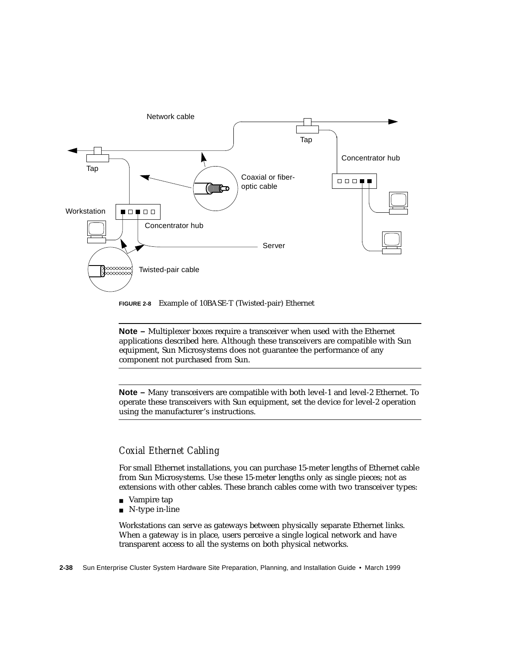

**FIGURE 2-8** Example of 10BASE-T (Twisted-pair) Ethernet

**Note –** Multiplexer boxes require a transceiver when used with the Ethernet applications described here. Although these transceivers are compatible with Sun equipment, Sun Microsystems does not guarantee the performance of any component not purchased from Sun.

**Note –** Many transceivers are compatible with both level-1 and level-2 Ethernet. To operate these transceivers with Sun equipment, set the device for level-2 operation using the manufacturer's instructions.

#### *Coxial Ethernet Cabling*

For small Ethernet installations, you can purchase 15-meter lengths of Ethernet cable from Sun Microsystems. Use these 15-meter lengths only as single pieces; not as extensions with other cables. These branch cables come with two transceiver types:

- Vampire tap
- N-type in-line

Workstations can serve as gateways between physically separate Ethernet links. When a gateway is in place, users perceive a single logical network and have transparent access to all the systems on both physical networks.

**2-38** Sun Enterprise Cluster System Hardware Site Preparation, Planning, and Installation Guide • March 1999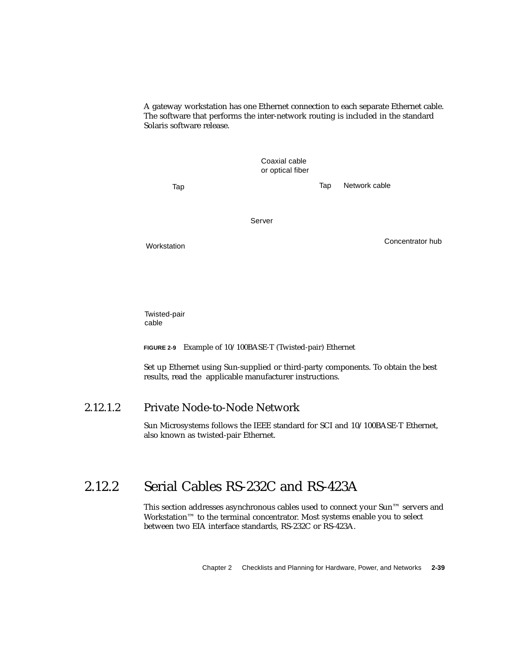A gateway workstation has one Ethernet connection to each separate Ethernet cable. The software that performs the inter-network routing is included in the standard Solaris software release.

> Coaxial cable or optical fiber

Tap Tap

Network cable

Server

Concentrator hub Workstation

Twisted-pair cable

**FIGURE 2-9** Example of 10/100BASE-T (Twisted-pair) Ethernet

Set up Ethernet using Sun-supplied or third-party components. To obtain the best results, read the applicable manufacturer instructions.

#### 2.12.1.2 Private Node-to-Node Network

Sun Microsystems follows the IEEE standard for SCI and 10/100BASE-T Ethernet, also known as twisted-pair Ethernet.

### 2.12.2 Serial Cables RS-232C and RS-423A

This section addresses asynchronous cables used to connect your Sun™ servers and Workstation™ to the terminal concentrator. Most systems enable you to select between two EIA interface standards, RS-232C or RS-423A.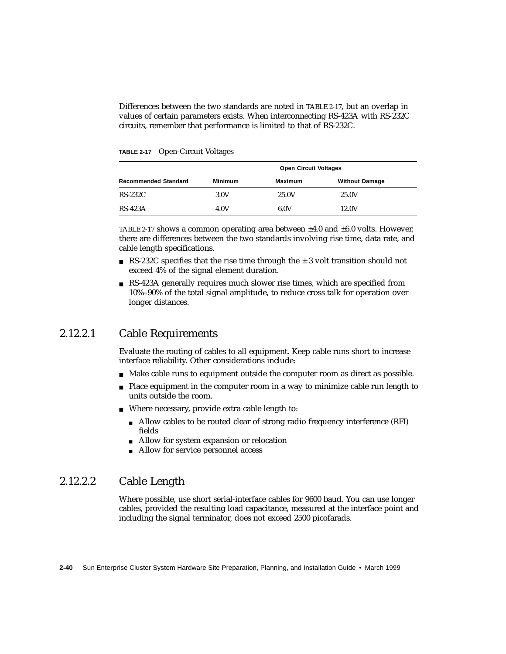Differences between the two standards are noted in TABLE 2-17, but an overlap in values of certain parameters exists. When interconnecting RS-423A with RS-232C circuits, remember that performance is limited to that of RS-232C.

**TABLE 2-17** Open-Circuit Voltages

|                             | <b>Open Circuit Voltages</b> |                |                       |  |  |  |  |
|-----------------------------|------------------------------|----------------|-----------------------|--|--|--|--|
| <b>Recommended Standard</b> | <b>Minimum</b>               | <b>Maximum</b> | <b>Without Damage</b> |  |  |  |  |
| $RS-232C$                   | 3.0V                         | 25.0V          | 25.0V                 |  |  |  |  |
| $RS-423A$                   | 4.0V                         | 6.0V           | 12.0V                 |  |  |  |  |

TABLE 2-17 shows a common operating area between  $\pm 4.0$  and  $\pm 6.0$  volts. However, there are differences between the two standards involving rise time, data rate, and cable length specifications.

- **RS-232C specifies that the rise time through the**  $\pm$  **3 volt transition should not** exceed 4% of the signal element duration.
- RS-423A generally requires much slower rise times, which are specified from 10%–90% of the total signal amplitude, to reduce cross talk for operation over longer distances.

#### 2.12.2.1 Cable Requirements

Evaluate the routing of cables to all equipment. Keep cable runs short to increase interface reliability. Other considerations include:

- Make cable runs to equipment outside the computer room as direct as possible.
- Place equipment in the computer room in a way to minimize cable run length to units outside the room.
- Where necessary, provide extra cable length to:
	- Allow cables to be routed clear of strong radio frequency interference (RFI) fields
	- Allow for system expansion or relocation
	- Allow for service personnel access

#### 2.12.2.2 Cable Length

Where possible, use short serial-interface cables for 9600 baud. You can use longer cables, provided the resulting load capacitance, measured at the interface point and including the signal terminator, does not exceed 2500 picofarads.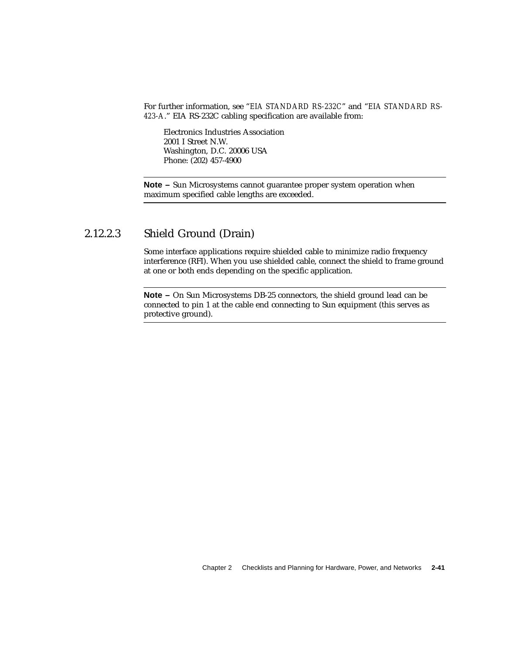For further information, see "*EIA STANDARD RS-232C*" and "*EIA STANDARD RS-423-A*." EIA RS-232C cabling specification are available from:

Electronics Industries Association 2001 I Street N.W. Washington, D.C. 20006 USA Phone: (202) 457-4900

**Note –** Sun Microsystems cannot guarantee proper system operation when maximum specified cable lengths are exceeded.

#### 2.12.2.3 Shield Ground (Drain)

Some interface applications require shielded cable to minimize radio frequency interference (RFI). When you use shielded cable, connect the shield to frame ground at one or both ends depending on the specific application.

**Note –** On Sun Microsystems DB-25 connectors, the shield ground lead can be connected to pin 1 at the cable end connecting to Sun equipment (this serves as protective ground).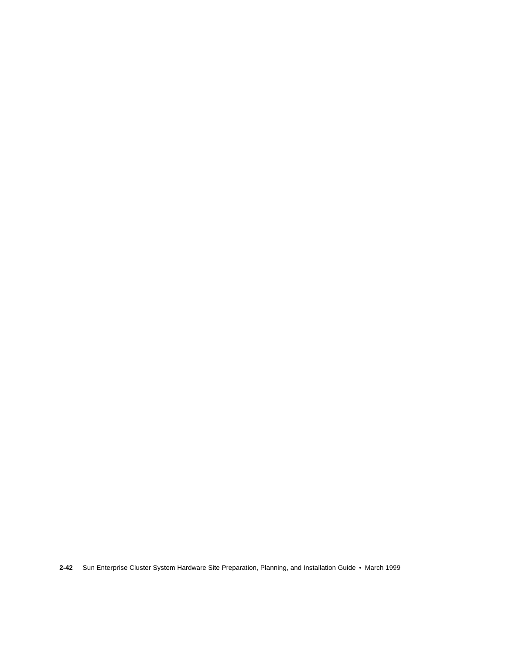**2-42** Sun Enterprise Cluster System Hardware Site Preparation, Planning, and Installation Guide • March 1999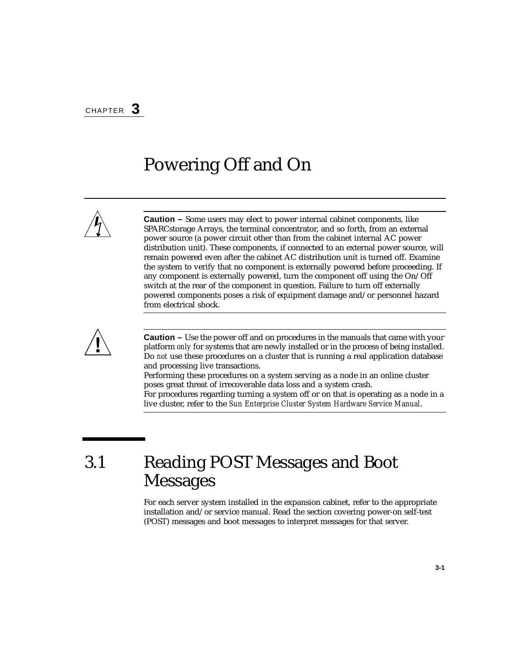#### CHAPTER **3**

## Powering Off and On



**Caution –** Some users may elect to power internal cabinet components, like SPARCstorage Arrays, the terminal concentrator, and so forth, from an external power source (a power circuit other than from the cabinet internal AC power distribution unit). These components, if connected to an external power source, will remain powered even after the cabinet AC distribution unit is turned off. Examine the system to verify that no component is externally powered before proceeding. If any component is externally powered, turn the component off using the On/Off switch at the rear of the component in question. Failure to turn off externally powered components poses a risk of equipment damage and/or personnel hazard from electrical shock.



**Caution –** Use the power off and on procedures in the manuals that came with your platform *only* for systems that are newly installed or in the process of being installed. Do *not* use these procedures on a cluster that is running a real application database and processing live transactions.

Performing these procedures on a system serving as a node in an online cluster poses great threat of irrecoverable data loss and a system crash.

For procedures regarding turning a system off or on that is operating as a node in a live cluster, refer to the *Sun Enterprise Cluster System Hardware Service Manual*.

## 3.1 Reading POST Messages and Boot Messages

For each server system installed in the expansion cabinet, refer to the appropriate installation and/or service manual. Read the section covering power-on self-test (POST) messages and boot messages to interpret messages for that server.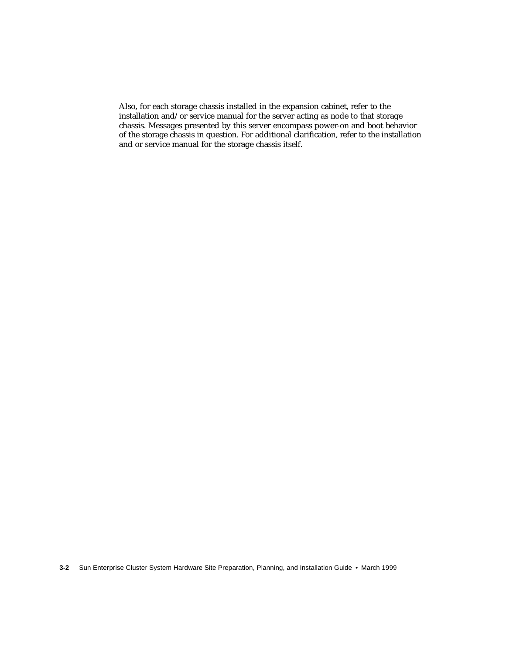Also, for each storage chassis installed in the expansion cabinet, refer to the installation and/or service manual for the server acting as node to that storage chassis. Messages presented by this server encompass power-on and boot behavior of the storage chassis in question. For additional clarification, refer to the installation and or service manual for the storage chassis itself.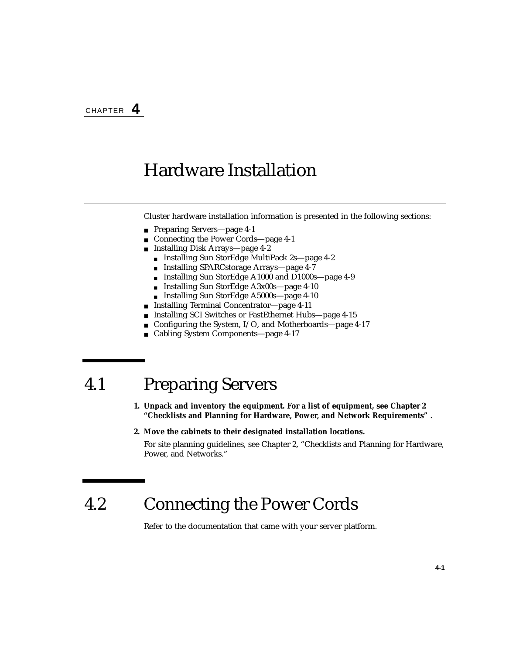#### CHAPTER **4**

### Hardware Installation

Cluster hardware installation information is presented in the following sections:

- Preparing Servers—page 4-1
- Connecting the Power Cords—page 4-1
- Installing Disk Arrays—page 4-2
	- Installing Sun StorEdge MultiPack 2s-page 4-2
	- Installing SPARCstorage Arrays—page 4-7
	- Installing Sun StorEdge A1000 and D1000s—page 4-9
	- Installing Sun StorEdge A3x00s-page 4-10
	- Installing Sun StorEdge A5000s-page 4-10
- Installing Terminal Concentrator—page 4-11
- Installing SCI Switches or FastEthernet Hubs—page 4-15
- Configuring the System, I/O, and Motherboards—page 4-17
- Cabling System Components—page 4-17

## 4.1 Preparing Servers

- **1. Unpack and inventory the equipment. For a list of equipment, see Chapter 2 "Checklists and Planning for Hardware, Power, and Network Requirements" .**
- **2. Move the cabinets to their designated installation locations.**

For site planning guidelines, see Chapter 2, "Checklists and Planning for Hardware, Power, and Networks."

# 4.2 Connecting the Power Cords

Refer to the documentation that came with your server platform.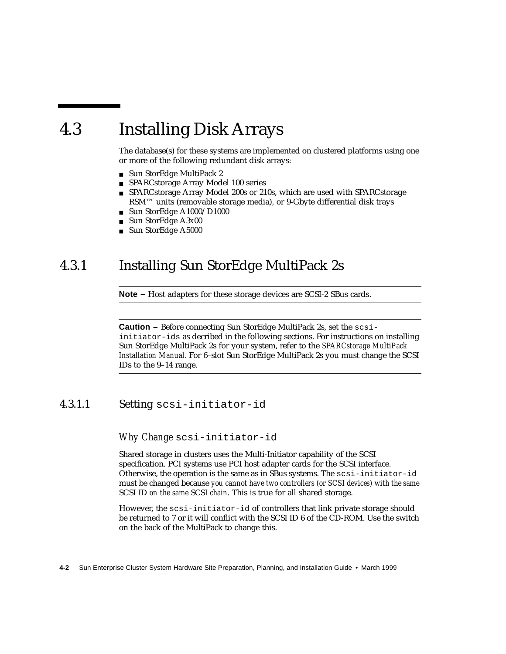# 4.3 Installing Disk Arrays

The database(s) for these systems are implemented on clustered platforms using one or more of the following redundant disk arrays:

- Sun StorEdge MultiPack 2
- SPARCstorage Array Model 100 series
- SPARCstorage Array Model 200s or 210s, which are used with SPARCstorage RSM™ units (removable storage media), or 9-Gbyte differential disk trays
- Sun StorEdge A1000/D1000
- Sun StorEdge A3*x*00
- Sun StorEdge A5000

### 4.3.1 Installing Sun StorEdge MultiPack 2s

**Note –** Host adapters for these storage devices are SCSI-2 SBus cards.

**Caution –** Before connecting Sun StorEdge MultiPack 2s, set the scsiinitiator-ids as decribed in the following sections. For instructions on installing Sun StorEdge MultiPack 2s for your system, refer to the *SPARCstorage MultiPack Installation Manual*. For 6–slot Sun StorEdge MultiPack 2s you must change the SCSI IDs to the 9–14 range.

#### 4.3.1.1 Setting scsi-initiator-id

*Why Change* scsi-initiator-id

Shared storage in clusters uses the Multi-Initiator capability of the SCSI specification. PCI systems use PCI host adapter cards for the SCSI interface. Otherwise, the operation is the same as in SBus systems. The scsi-initiator-id must be changed because *you cannot have two controllers (or SCSI devices) with the same* SCSI ID *on the same* SCSI *chain*. This is true for all shared storage.

However, the scsi-initiator-id of controllers that link private storage should be returned to 7 or it will conflict with the SCSI ID 6 of the CD-ROM. Use the switch on the back of the MultiPack to change this.

**4-2** Sun Enterprise Cluster System Hardware Site Preparation, Planning, and Installation Guide • March 1999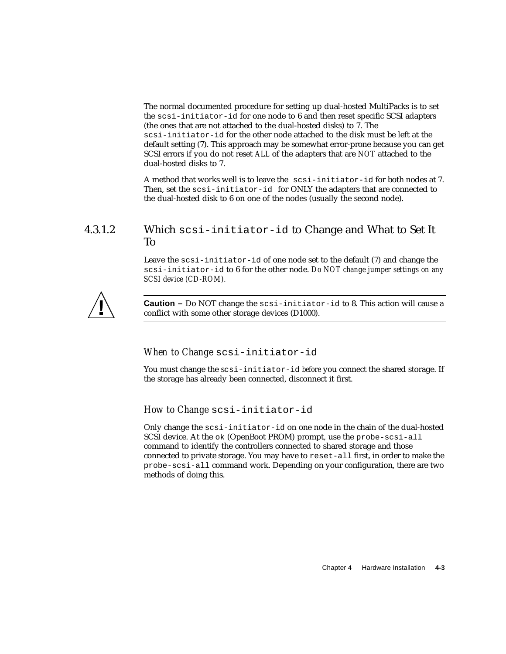The normal documented procedure for setting up dual-hosted MultiPacks is to set the scsi-initiator-id for one node to 6 and then reset specific SCSI adapters (the ones that are not attached to the dual-hosted disks) to 7. The scsi-initiator-id for the other node attached to the disk must be left at the default setting (7). This approach may be somewhat error-prone because you can get SCSI errors if you do not reset *ALL* of the adapters that are *NOT* attached to the dual-hosted disks to 7.

A method that works well is to leave the scsi-initiator-id for both nodes at 7. Then, set the scsi-initiator-id for ONLY the adapters that are connected to the dual-hosted disk to 6 on one of the nodes (usually the second node).

#### 4.3.1.2 Which scsi-initiator-id to Change and What to Set It To

Leave the scsi-initiator-id of one node set to the default (7) and change the scsi-initiator-id to 6 for the other node. *Do NOT change jumper settings on any SCSI device (CD-ROM).*



**Caution –** Do NOT change the scsi-initiator-id to 8. This action will cause a conflict with some other storage devices (D1000).

*When to Change* scsi-initiator-id

You must change the scsi-initiator-id *before* you connect the shared storage. If the storage has already been connected, disconnect it first.

*How to Change* scsi-initiator-id

Only change the scsi-initiator-id on one node in the chain of the dual-hosted SCSI device. At the ok (OpenBoot PROM) prompt, use the probe-scsi-all command to identify the controllers connected to shared storage and those connected to private storage. You may have to reset-all first, in order to make the probe-scsi-all command work. Depending on your configuration, there are two methods of doing this.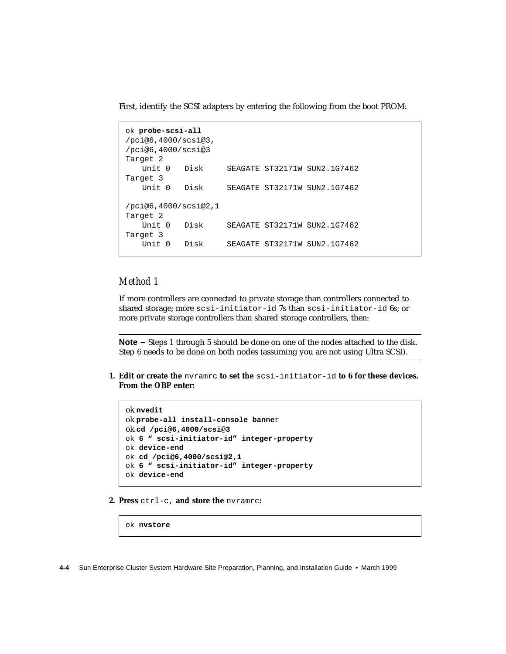First, identify the SCSI adapters by entering the following from the boot PROM:

```
ok probe-scsi-all
/pci@6,4000/scsi@3,
/pci@6,4000/scsi@3
Target 2
   Unit 0 Disk SEAGATE ST32171W SUN2.1G7462
Target 3
   Unit 0 Disk SEAGATE ST32171W SUN2.1G7462
/pci@6,4000/scsi@2,1
Target 2<br>Unit 0 Disk
                    SEAGATE ST32171W SUN2.1G7462
Target 3
   Unit 0 Disk SEAGATE ST32171W SUN2.1G7462
```
#### *Method 1*

If more controllers are connected to private storage than controllers connected to shared storage; more scsi-initiator-id 7s than scsi-initiator-id 6s; or more private storage controllers than shared storage controllers, then:

**Note –** Steps 1 through 5 should be done on one of the nodes attached to the disk. Step 6 needs to be done on both nodes (assuming you are not using Ultra SCSI).

**1. Edit or create the** nvramrc **to set the** scsi-initiator-id **to 6 for these devices. From the OBP enter:**

```
ok nvedit
ok probe-all install-console banner
ok cd /pci@6,4000/scsi@3
ok 6 " scsi-initiator-id" integer-property
ok device-end
ok cd /pci@6,4000/scsi@2,1
ok 6 " scsi-initiator-id" integer-property
ok device-end
```
**2. Press** ctrl-c, **and store the** nvramrc**:**

ok **nvstore**

**4-4** Sun Enterprise Cluster System Hardware Site Preparation, Planning, and Installation Guide • March 1999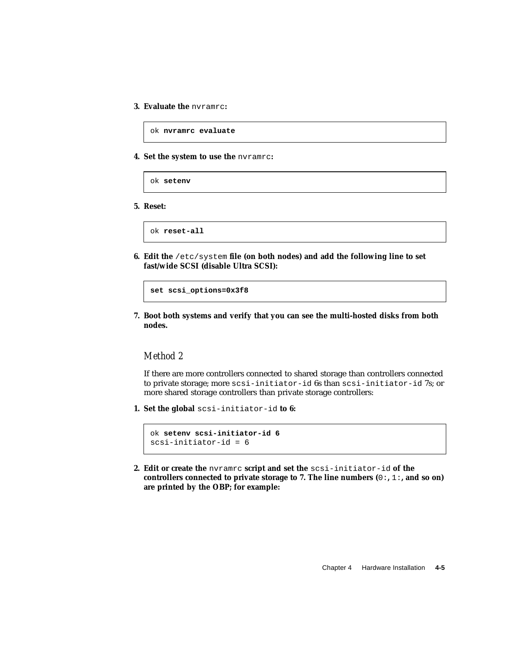**3. Evaluate the** nvramrc**:**

ok **nvramrc evaluate**

**4. Set the system to use the** nvramrc**:**

ok **setenv**

**5. Reset:**

ok **reset-all**

**6. Edit the** /etc/system **file (on both nodes) and add the following line to set fast/wide SCSI (disable Ultra SCSI):**

**set scsi\_options=0x3f8**

**7. Boot both systems and verify that you can see the multi-hosted disks from both nodes.**

#### *Method 2*

If there are more controllers connected to shared storage than controllers connected to private storage; more scsi-initiator-id 6s than scsi-initiator-id 7s; or more shared storage controllers than private storage controllers:

**1. Set the global** scsi-initiator-id **to 6:**

```
ok setenv scsi-initiator-id 6
scsi-intiator-id = 6
```
**2. Edit or create the** nvramrc **script and set the** scsi-initiator-id **of the controllers connected to private storage to 7. The line numbers (**0:**,** 1:**, and so on) are printed by the OBP; for example:**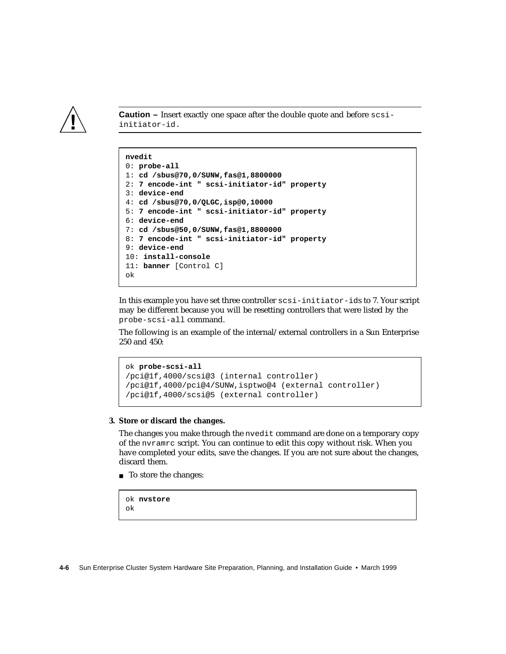

**Caution –** Insert exactly one space after the double quote and before scsiinitiator-id.

```
nvedit
0: probe-all
1: cd /sbus@70,0/SUNW,fas@1,8800000
2: 7 encode-int " scsi-initiator-id" property
3: device-end
4: cd /sbus@70,0/QLGC,isp@0,10000
5: 7 encode-int " scsi-initiator-id" property
6: device-end
7: cd /sbus@50,0/SUNW,fas@1,8800000
8: 7 encode-int " scsi-initiator-id" property
9: device-end
10: install-console
11: banner [Control C]
ok
```
In this example you have set three controller scsi-initiator-ids to 7. Your script may be different because you will be resetting controllers that were listed by the probe-scsi-all command.

The following is an example of the internal/external controllers in a Sun Enterprise 250 and 450:

```
ok probe-scsi-all
/pci@1f,4000/scsi@3 (internal controller)
/pci@1f,4000/pci@4/SUNW,isptwo@4 (external controller)
/pci@1f,4000/scsi@5 (external controller)
```
#### **3. Store or discard the changes.**

The changes you make through the nvedit command are done on a temporary copy of the nvramrc script. You can continue to edit this copy without risk. When you have completed your edits, save the changes. If you are not sure about the changes, discard them.

■ To store the changes:

ok **nvstore** ok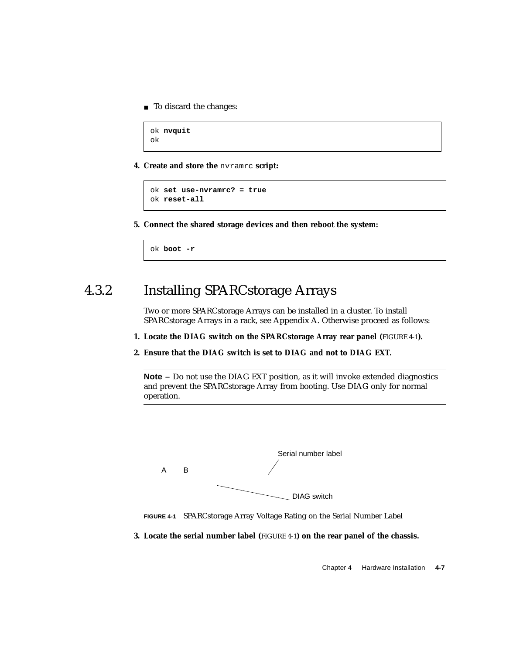■ To discard the changes:

```
ok nvquit
ok
```
**4. Create and store the** nvramrc **script:**

```
ok set use-nvramrc? = true
ok reset-all
```
**5. Connect the shared storage devices and then reboot the system:**

ok **boot -r**

### 4.3.2 Installing SPARCstorage Arrays

Two or more SPARCstorage Arrays can be installed in a cluster. To install SPARCstorage Arrays in a rack, see Appendix A. Otherwise proceed as follows:

- **1. Locate the DIAG switch on the SPARCstorage Array rear panel (**FIGURE 4-1**).**
- **2. Ensure that the DIAG switch is set to DIAG and not to DIAG EXT.**

**Note –** Do not use the DIAG EXT position, as it will invoke extended diagnostics and prevent the SPARCstorage Array from booting. Use DIAG only for normal operation.



**FIGURE 4-1** SPARCstorage Array Voltage Rating on the Serial Number Label

**3. Locate the serial number label (**FIGURE 4-1**) on the rear panel of the chassis.**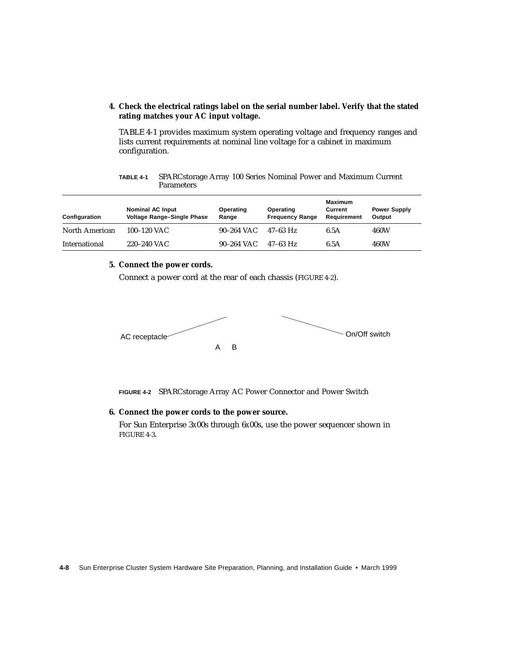#### **4. Check the electrical ratings label on the serial number label. Verify that the stated rating matches your AC input voltage.**

TABLE 4-1 provides maximum system operating voltage and frequency ranges and lists current requirements at nominal line voltage for a cabinet in maximum configuration.

**TABLE 4-1** SPARCstorage Array 100 Series Nominal Power and Maximum Current Parameters

| Configuration  | <b>Nominal AC Input</b><br><b>Voltage Range-Single Phase</b> | Operating<br>Range | Operating<br><b>Frequency Range</b> | <b>Maximum</b><br>Current<br>Requirement | <b>Power Supply</b><br>Output |
|----------------|--------------------------------------------------------------|--------------------|-------------------------------------|------------------------------------------|-------------------------------|
| North American | $100 - 120$ VAC                                              | 90–264 VAC         | 47–63 Hz                            | 6.5A                                     | 460W                          |
| International  | $220 - 240$ VAC                                              | 90–264 VAC         | $47 - 63$ Hz                        | 6.5A                                     | 460W                          |

#### **5. Connect the power cords.**

Connect a power cord at the rear of each chassis (FIGURE 4-2).



**FIGURE 4-2** SPARCstorage Array AC Power Connector and Power Switch

#### **6. Connect the power cords to the power source.**

For Sun Enterprise 3*x*00s through 6*x*00s, use the power sequencer shown in FIGURE 4-3.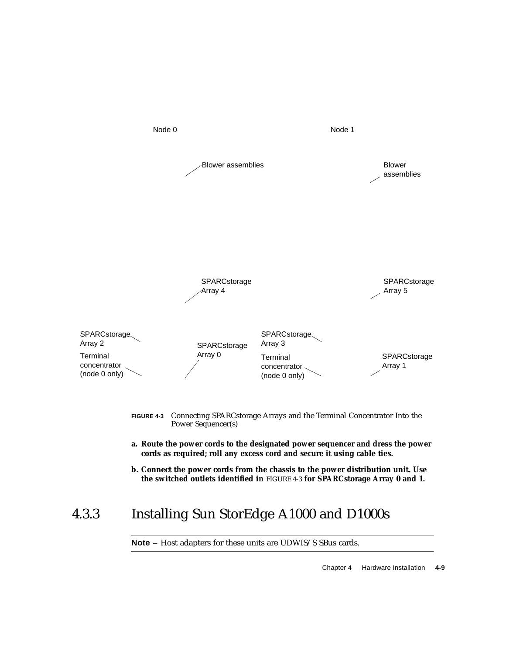

- **a. Route the power cords to the designated power sequencer and dress the power cords as required; roll any excess cord and secure it using cable ties.**
- **b. Connect the power cords from the chassis to the power distribution unit. Use the switched outlets identified in** FIGURE 4-3 **for SPARCstorage Array 0 and 1.**

### 4.3.3 Installing Sun StorEdge A1000 and D1000s

**Note –** Host adapters for these units are UDWIS/S SBus cards.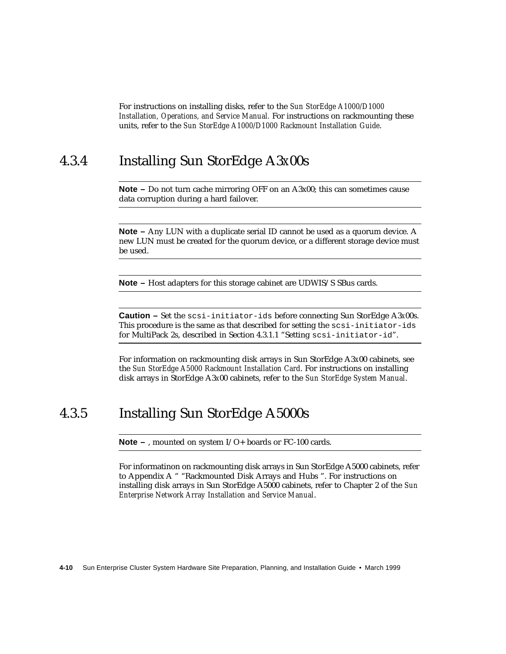For instructions on installing disks, refer to the *Sun StorEdge A1000/D1000 Installation, Operations, and Service Manual.* For instructions on rackmounting these units, refer to the *Sun StorEdge A1000/D1000 Rackmount Installation Guide*.

### 4.3.4 Installing Sun StorEdge A3*x*00s

**Note –** Do not turn cache mirroring OFF on an A3x00; this can sometimes cause data corruption during a hard failover.

**Note –** Any LUN with a duplicate serial ID cannot be used as a quorum device. A new LUN must be created for the quorum device, or a different storage device must be used.

**Note –** Host adapters for this storage cabinet are UDWIS/S SBus cards.

**Caution –** Set the scsi-initiator-ids before connecting Sun StorEdge A3*x*00s. This procedure is the same as that described for setting the scsi-initiator-ids for MultiPack 2s, described in Section 4.3.1.1 "Setting scsi-initiator-id".

For information on rackmounting disk arrays in Sun StorEdge A3*x*00 cabinets, see the *Sun StorEdge A5000 Rackmount Installation Card*. For instructions on installing disk arrays in StorEdge A3*x*00 cabinets, refer to the *Sun StorEdge System Manual*.

### 4.3.5 Installing Sun StorEdge A5000s

**Note –** , mounted on system I/O+ boards or FC-100 cards.

For informatinon on rackmounting disk arrays in Sun StorEdge A5000 cabinets, refer to Appendix A " "Rackmounted Disk Arrays and Hubs ". For instructions on installing disk arrays in Sun StorEdge A5000 cabinets, refer to Chapter 2 of the *Sun Enterprise Network Array Installation and Service Manual*.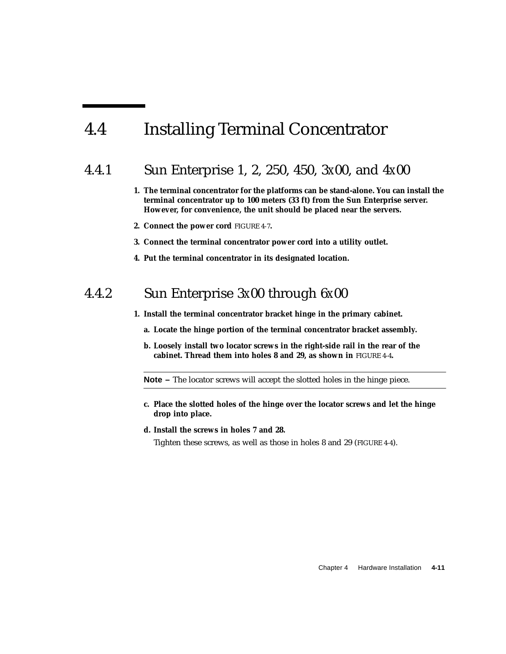## 4.4 Installing Terminal Concentrator

### 4.4.1 Sun Enterprise 1, 2, 250, 450, 3*x*00, and 4*x*00

- **1. The terminal concentrator for the platforms can be stand-alone. You can install the terminal concentrator up to 100 meters (33 ft) from the Sun Enterprise server. However, for convenience, the unit should be placed near the servers.**
- **2. Connect the power cord** FIGURE 4-7**.**
- **3. Connect the terminal concentrator power cord into a utility outlet.**
- **4. Put the terminal concentrator in its designated location.**

### 4.4.2 Sun Enterprise 3*x*00 through 6*x*00

- **1. Install the terminal concentrator bracket hinge in the primary cabinet.**
	- **a. Locate the hinge portion of the terminal concentrator bracket assembly.**
	- **b. Loosely install two locator screws in the right-side rail in the rear of the cabinet. Thread them into holes 8 and 29, as shown in** FIGURE 4-4**.**

**Note –** The locator screws will accept the slotted holes in the hinge piece.

- **c. Place the slotted holes of the hinge over the locator screws and let the hinge drop into place.**
- **d. Install the screws in holes 7 and 28.**

Tighten these screws, as well as those in holes 8 and 29 (FIGURE 4-4).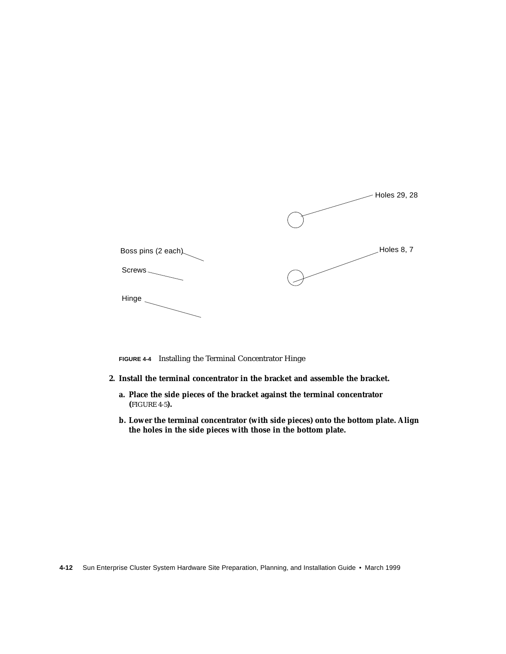

**FIGURE 4-4** Installing the Terminal Concentrator Hinge

- **2. Install the terminal concentrator in the bracket and assemble the bracket.**
	- **a. Place the side pieces of the bracket against the terminal concentrator (**FIGURE 4-5**).**
	- **b. Lower the terminal concentrator (with side pieces) onto the bottom plate. Align the holes in the side pieces with those in the bottom plate.**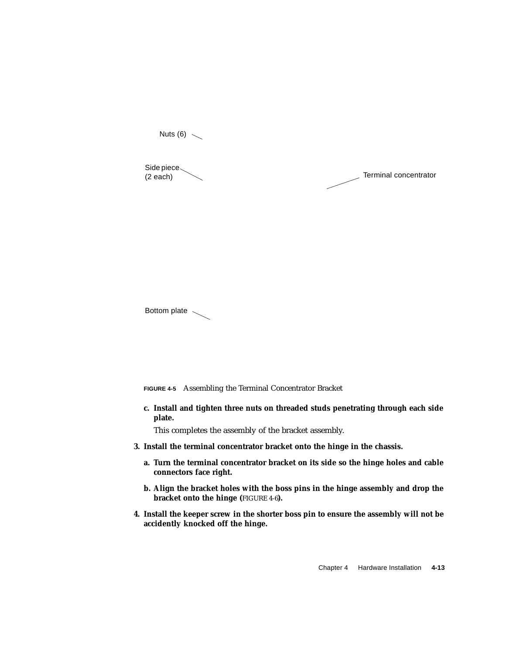Nuts  $(6)$ 

Side piece (2 each)

Terminal concentrator

Bottom plate

**FIGURE 4-5** Assembling the Terminal Concentrator Bracket

**c. Install and tighten three nuts on threaded studs penetrating through each side plate.**

This completes the assembly of the bracket assembly.

- **3. Install the terminal concentrator bracket onto the hinge in the chassis.**
	- **a. Turn the terminal concentrator bracket on its side so the hinge holes and cable connectors face right.**
	- **b. Align the bracket holes with the boss pins in the hinge assembly and drop the bracket onto the hinge (**FIGURE 4-6**).**
- **4. Install the keeper screw in the shorter boss pin to ensure the assembly will not be accidently knocked off the hinge.**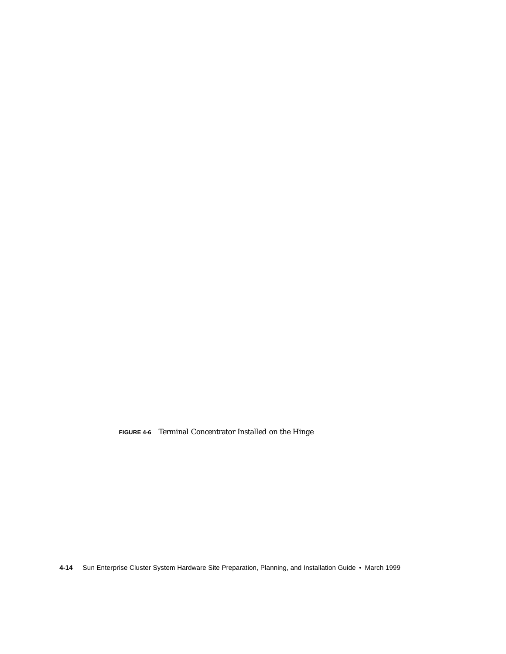**FIGURE 4-6** Terminal Concentrator Installed on the Hinge

**4-14** Sun Enterprise Cluster System Hardware Site Preparation, Planning, and Installation Guide • March 1999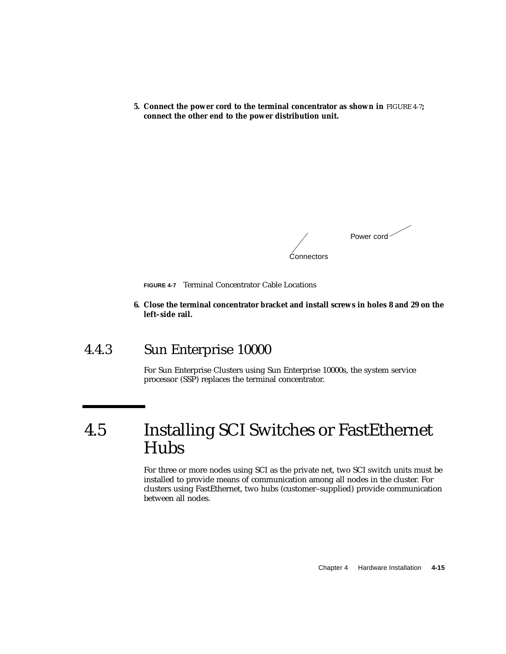**5. Connect the power cord to the terminal concentrator as shown in** FIGURE 4-7**; connect the other end to the power distribution unit.**

Connectors Power cord

**FIGURE 4-7** Terminal Concentrator Cable Locations

**6. Close the terminal concentrator bracket and install screws in holes 8 and 29 on the left–side rail.**

### 4.4.3 Sun Enterprise 10000

For Sun Enterprise Clusters using Sun Enterprise 10000s, the system service processor (SSP) replaces the terminal concentrator.

## 4.5 Installing SCI Switches or FastEthernet **Hubs**

For three or more nodes using SCI as the private net, two SCI switch units must be installed to provide means of communication among all nodes in the cluster. For clusters using FastEthernet, two hubs (customer–supplied) provide communication between all nodes.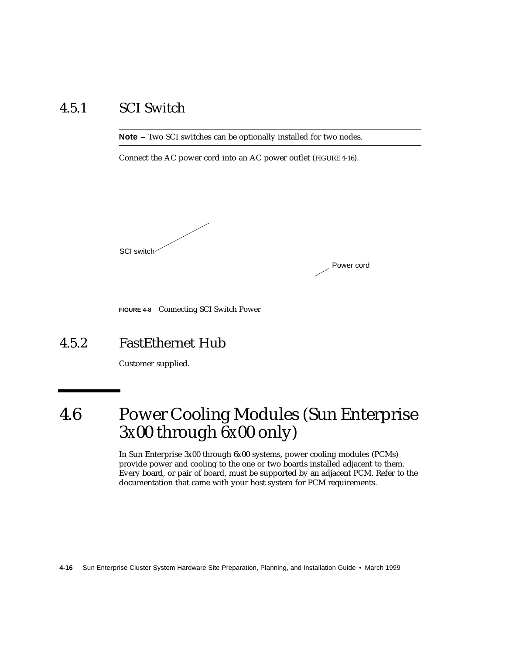## 4.5.1 SCI Switch

**Note –** Two SCI switches can be optionally installed for two nodes.

Connect the AC power cord into an AC power outlet (FIGURE 4-16).



Power cord

**FIGURE 4-8** Connecting SCI Switch Power

## 4.5.2 FastEthernet Hub

Customer supplied.

## 4.6 Power Cooling Modules (Sun Enterprise 3*x*00 through 6*x*00 only)

In Sun Enterprise 3*x*00 through 6*x*00 systems, power cooling modules (PCMs) provide power and cooling to the one or two boards installed adjacent to them. Every board, or pair of board, must be supported by an adjacent PCM. Refer to the documentation that came with your host system for PCM requirements.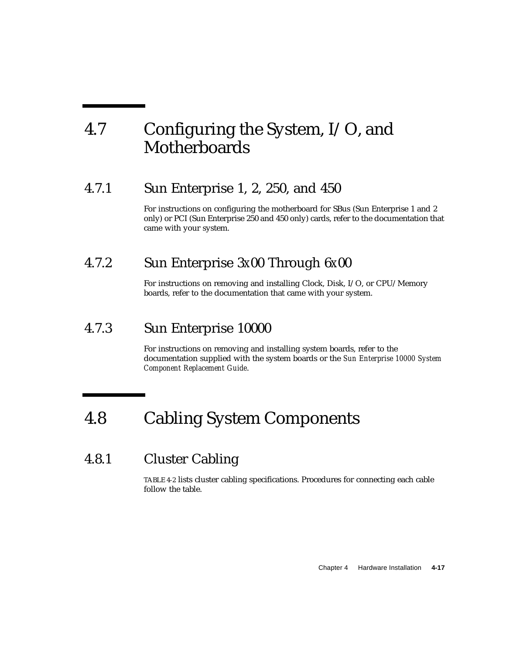## 4.7 Configuring the System, I/O, and **Motherboards**

### 4.7.1 Sun Enterprise 1, 2, 250, and 450

For instructions on configuring the motherboard for SBus (Sun Enterprise 1 and 2 only) or PCI (Sun Enterprise 250 and 450 only) cards, refer to the documentation that came with your system.

## 4.7.2 Sun Enterprise 3*x*00 Through 6*x*00

For instruction*s* on removing and installing Clock, Disk, I/O, or CPU/Memory boards, refer to the documentation that came with your system.

## 4.7.3 Sun Enterprise 10000

For instructions on removing and installing system boards, refer to the documentation supplied with the system boards or the *Sun Enterprise 10000 System Component Replacement Guide*.

## 4.8 Cabling System Components

## 4.8.1 Cluster Cabling

TABLE 4-2 lists cluster cabling specifications. Procedures for connecting each cable follow the table.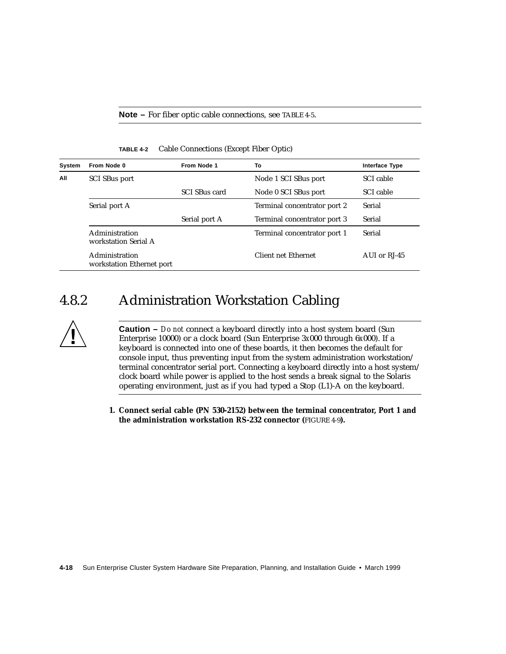**Note –** For fiber optic cable connections, see TABLE 4-5.

| <b>System</b> | From Node 0                                 | From Node 1   | To                           | <b>Interface Type</b> |
|---------------|---------------------------------------------|---------------|------------------------------|-----------------------|
| All           | SCI SBus port                               |               | Node 1 SCI SBus port         | SCI cable             |
|               |                                             | SCI SBus card | Node 0 SCI SBus port         | SCI cable             |
|               | Serial port A                               |               | Terminal concentrator port 2 | Serial                |
|               |                                             | Serial port A | Terminal concentrator port 3 | Serial                |
|               | Administration<br>workstation Serial A      |               | Terminal concentrator port 1 | Serial                |
|               | Administration<br>workstation Ethernet port |               | Client net Ethernet          | AUI or RI-45          |

**TABLE 4-2** Cable Connections (Except Fiber Optic)

## 4.8.2 Administration Workstation Cabling



**Caution –** *Do not* connect a keyboard directly into a host system board (Sun Enterprise 10000) or a clock board (Sun Enterprise 3*x*000 through 6*x*000). If a keyboard is connected into one of these boards, it then becomes the default for console input, thus preventing input from the system administration workstation/ terminal concentrator serial port. Connecting a keyboard directly into a host system/ clock board while power is applied to the host sends a break signal to the Solaris operating environment, just as if you had typed a Stop (L1)-A on the keyboard.

**1. Connect serial cable (PN 530-2152) between the terminal concentrator, Port 1 and the administration workstation RS-232 connector (**FIGURE 4-9**).**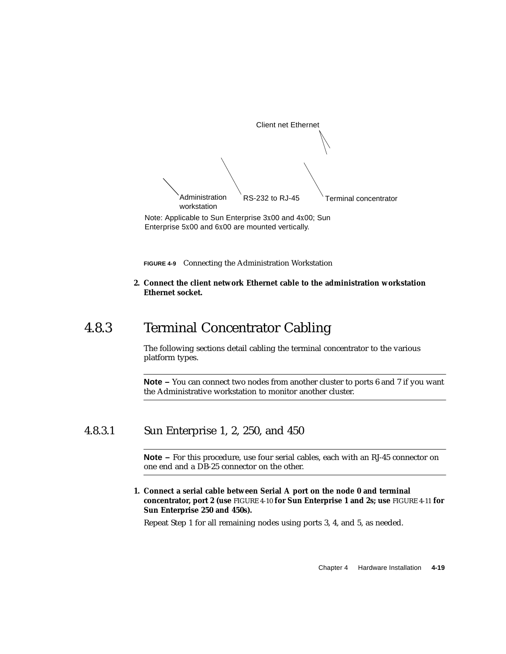

Note: Applicable to Sun Enterprise 3*x*00 and 4*x*00; Sun Enterprise 5*x*00 and 6*x*00 are mounted vertically.

**FIGURE 4-9** Connecting the Administration Workstation

**2. Connect the client network Ethernet cable to the administration workstation Ethernet socket.**

### 4.8.3 Terminal Concentrator Cabling

The following sections detail cabling the terminal concentrator to the various platform types.

**Note –** You can connect two nodes from another cluster to ports 6 and 7 if you want the Administrative workstation to monitor another cluster.

#### 4.8.3.1 Sun Enterprise 1, 2, 250, and 450

**Note –** For this procedure, use four serial cables, each with an RJ-45 connector on one end and a DB-25 connector on the other.

**1. Connect a serial cable between Serial A port on the node 0 and terminal concentrator, port 2 (use** FIGURE 4-10 **for Sun Enterprise 1 and 2s; use** FIGURE 4-11 **for Sun Enterprise 250 and 450s).**

Repeat Step 1 for all remaining nodes using ports 3, 4, and 5, as needed.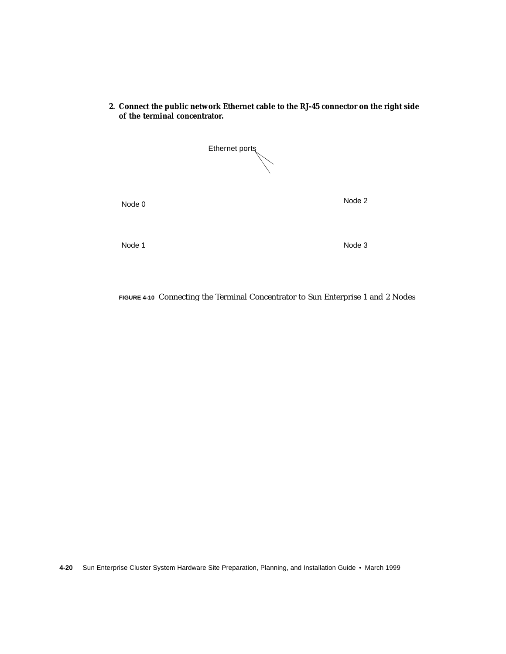**2. Connect the public network Ethernet cable to the RJ-45 connector on the right side of the terminal concentrator.**



**FIGURE 4-10** Connecting the Terminal Concentrator to Sun Enterprise 1 and 2 Nodes

**4-20** Sun Enterprise Cluster System Hardware Site Preparation, Planning, and Installation Guide • March 1999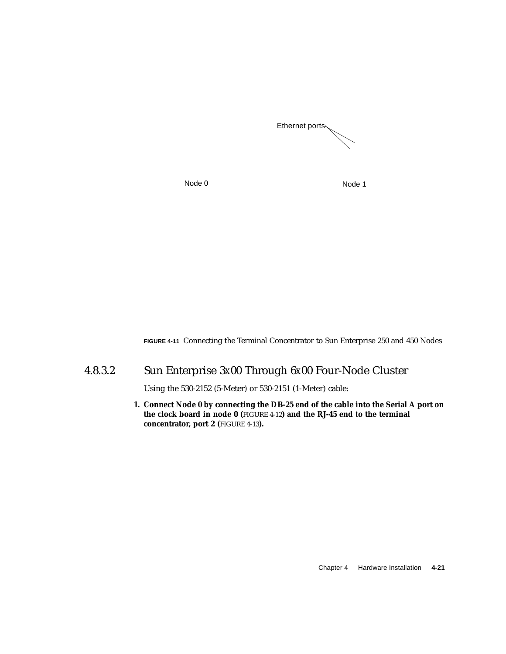





**FIGURE 4-11** Connecting the Terminal Concentrator to Sun Enterprise 250 and 450 Nodes

### 4.8.3.2 Sun Enterprise 3*x*00 Through 6*x*00 Four-Node Cluster

Using the 530-2152 (5-Meter) or 530-2151 (1-Meter) cable:

**1. Connect Node 0 by connecting the DB-25 end of the cable into the Serial A port on the clock board in node 0 (**FIGURE 4-12**) and the RJ-45 end to the terminal concentrator, port 2 (**FIGURE 4-13**).**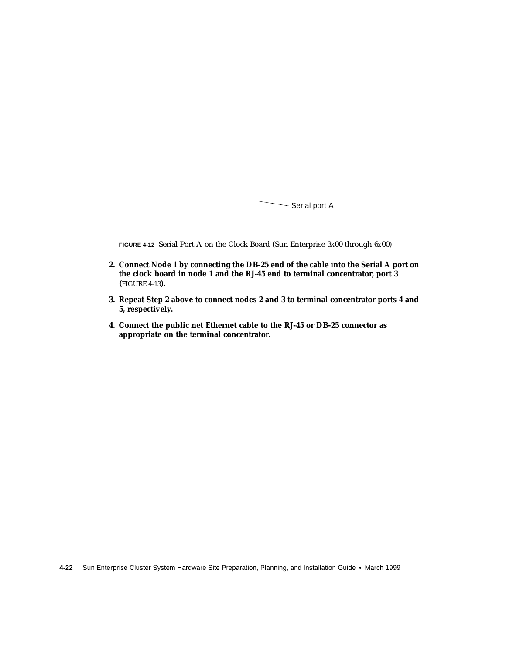Serial port A

**FIGURE 4-12** Serial Port A on the Clock Board (Sun Enterprise 3*x*00 through 6*x*00)

- **2. Connect Node 1 by connecting the DB-25 end of the cable into the Serial A port on the clock board in node 1 and the RJ-45 end to terminal concentrator, port 3 (**FIGURE 4-13**).**
- **3. Repeat Step 2 above to connect nodes 2 and 3 to terminal concentrator ports 4 and 5, respectively.**
- **4. Connect the public net Ethernet cable to the RJ-45 or DB-25 connector as appropriate on the terminal concentrator.**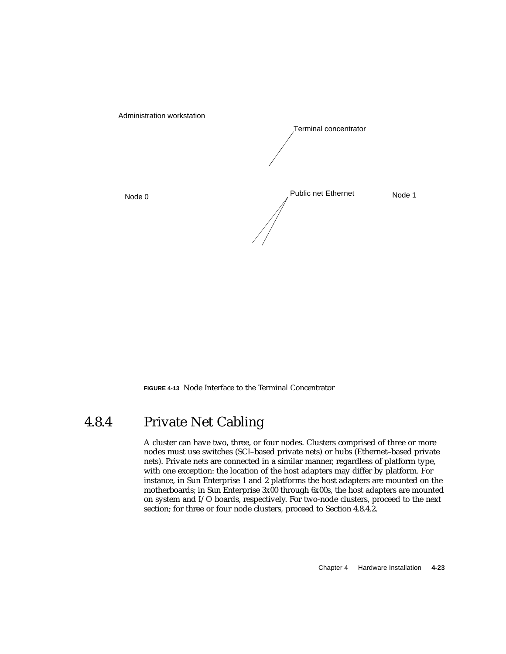Administration workstation





**FIGURE 4-13** Node Interface to the Terminal Concentrator

## 4.8.4 Private Net Cabling

A cluster can have two, three, or four nodes. Clusters comprised of three or more nodes must use switches (SCI–based private nets) or hubs (Ethernet–based private nets). Private nets are connected in a similar manner, regardless of platform type, with one exception: the location of the host adapters may differ by platform. For instance, in Sun Enterprise 1 and 2 platforms the host adapters are mounted on the motherboards; in Sun Enterprise 3*x*00 through 6*x*00s, the host adapters are mounted on system and I/O boards, respectively. For two-node clusters, proceed to the next section; for three or four node clusters, proceed to Section 4.8.4.2.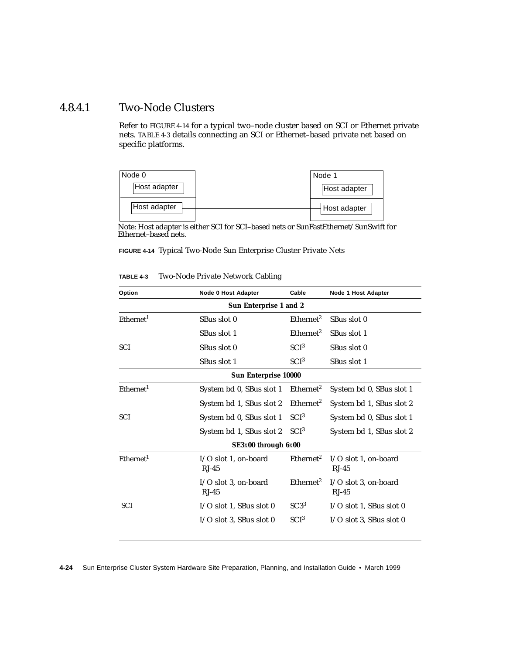### 4.8.4.1 Two-Node Clusters

Refer to FIGURE 4-14 for a typical two–node cluster based on SCI or Ethernet private nets. TABLE 4-3 details connecting an SCI or Ethernet–based private net based on specific platforms.

| Node 0       | Node 1       |
|--------------|--------------|
| Host adapter | Host adapter |
| Host adapter | Host adapter |

Note: Host adapter is either SCI for SCI–based nets or SunFastEthernet/SunSwift for Ethernet–based nets.

**FIGURE 4-14** Typical Two-Node Sun Enterprise Cluster Private Nets

| Option                   | Node 0 Host Adapter               | Cable                 | Node 1 Host Adapter               |  |  |  |  |
|--------------------------|-----------------------------------|-----------------------|-----------------------------------|--|--|--|--|
| Sun Enterprise 1 and 2   |                                   |                       |                                   |  |  |  |  |
| Ethernet <sup>1</sup>    | SBus slot 0                       | Ethernet <sup>2</sup> | SBus slot 0                       |  |  |  |  |
|                          | SBus slot 1                       | Ethernet <sup>2</sup> | SBus slot 1                       |  |  |  |  |
| <b>SCI</b>               | SBus slot 0                       | SCI <sup>3</sup>      | SBus slot 0                       |  |  |  |  |
|                          | SBus slot 1                       | SCI <sup>3</sup>      | SBus slot 1                       |  |  |  |  |
| Sun Enterprise 10000     |                                   |                       |                                   |  |  |  |  |
| Ethernet <sup>1</sup>    | System bd 0, SBus slot 1          | Ethernet <sup>2</sup> | System bd 0, SBus slot 1          |  |  |  |  |
|                          | System bd 1, SBus slot 2          | Ethernet <sup>2</sup> | System bd 1, SBus slot 2          |  |  |  |  |
| <b>SCI</b>               | System bd 0, SBus slot 1          | SCI <sup>3</sup>      | System bd 0, SBus slot 1          |  |  |  |  |
|                          | System bd 1, SBus slot 2          | SCI <sup>3</sup>      | System bd 1, SBus slot 2          |  |  |  |  |
|                          | SE3x00 through 6x00               |                       |                                   |  |  |  |  |
| $E$ thernet <sup>1</sup> | $I/O$ slot 1, on-board<br>$RJ-45$ | Ethernet <sup>2</sup> | $I/O$ slot 1, on-board<br>$RJ-45$ |  |  |  |  |
|                          | $I/O$ slot 3, on-board<br>$RJ-45$ | Ethernet <sup>2</sup> | I/O slot 3, on-board<br>$RJ-45$   |  |  |  |  |
| <b>SCI</b>               | $I/O$ slot 1, SBus slot 0         | SC3 <sup>3</sup>      | $I/O$ slot 1, SBus slot 0         |  |  |  |  |
|                          | $I/O$ slot 3, SBus slot 0         | SCI <sup>3</sup>      | $I/O$ slot 3, SBus slot 0         |  |  |  |  |

**TABLE 4-3** Two-Node Private Network Cabling

**4-24** Sun Enterprise Cluster System Hardware Site Preparation, Planning, and Installation Guide • March 1999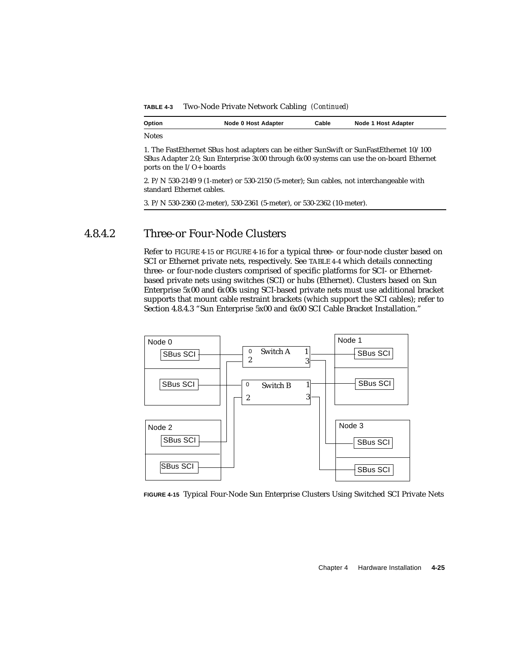**TABLE 4-3** Two-Node Private Network Cabling *(Continued)*

| Option       | Node 0 Host Adapter | Cable | Node 1 Host Adapter |  |
|--------------|---------------------|-------|---------------------|--|
| <b>Notes</b> |                     |       |                     |  |

1. The FastEthernet SBus host adapters can be either SunSwift or SunFastEthernet 10/100 SBus Adapter 2.0; Sun Enterprise 3*x*00 through 6*x*00 systems can use the on-board Ethernet ports on the I/O+ boards

2. P/N 530-2149 9 (1-meter) or 530-2150 (5-meter); Sun cables, not interchangeable with standard Ethernet cables.

3. P/N 530-2360 (2-meter), 530-2361 (5-meter), or 530-2362 (10-meter).

#### 4.8.4.2 Three-or Four-Node Clusters

Refer to FIGURE 4-15 or FIGURE 4-16 for a typical three- or four-node cluster based on SCI or Ethernet private nets, respectively. See TABLE 4-4 which details connecting three- or four-node clusters comprised of specific platforms for SCI- or Ethernetbased private nets using switches (SCI) or hubs (Ethernet). Clusters based on Sun Enterprise 5*x*00 and 6*x*00s using SCI-based private nets must use additional bracket supports that mount cable restraint brackets (which support the SCI cables); refer to Section 4.8.4.3 "Sun Enterprise 5x00 and 6x00 SCI Cable Bracket Installation."



**FIGURE 4-15** Typical Four-Node Sun Enterprise Clusters Using Switched SCI Private Nets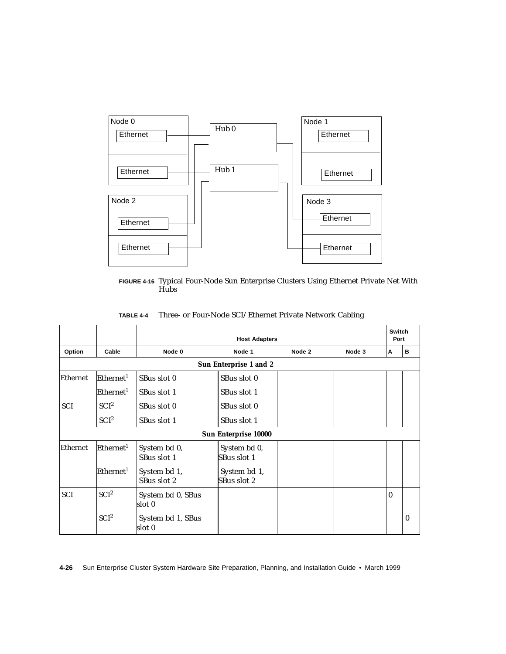

**FIGURE 4-16** Typical Four-Node Sun Enterprise Clusters Using Ethernet Private Net With **Hubs** 

|            |                       | <b>Host Adapters</b>        |                             |  |        |              |              |
|------------|-----------------------|-----------------------------|-----------------------------|--|--------|--------------|--------------|
| Option     | Cable                 | Node 0<br>Node 1<br>Node 2  |                             |  | Node 3 | A            | в            |
|            |                       |                             | Sun Enterprise 1 and 2      |  |        |              |              |
| Ethernet   | Ethernet <sup>1</sup> | SBus slot 0                 | SBus slot 0                 |  |        |              |              |
|            | Ethernet <sup>1</sup> | SBus slot 1                 | SBus slot 1                 |  |        |              |              |
| <b>SCI</b> | SCI <sup>2</sup>      | SBus slot 0                 | SBus slot 0                 |  |        |              |              |
|            | SCI <sup>2</sup>      | SBus slot 1                 | SBus slot 1                 |  |        |              |              |
|            |                       |                             | Sun Enterprise 10000        |  |        |              |              |
| Ethernet   | Ethernet <sup>1</sup> | System bd 0,<br>SBus slot 1 | System bd 0,<br>SBus slot 1 |  |        |              |              |
|            | Ethernet <sup>1</sup> | System bd 1,<br>SBus slot 2 | System bd 1,<br>SBus slot 2 |  |        |              |              |
| <b>SCI</b> | SCI <sup>2</sup>      | System bd 0, SBus<br>slot 0 |                             |  |        | $\mathbf{0}$ |              |
|            | SCI <sup>2</sup>      | System bd 1, SBus<br>slot 0 |                             |  |        |              | $\mathbf{0}$ |

**TABLE 4-4** Three- or Four-Node SCI/Ethernet Private Network Cabling

**4-26** Sun Enterprise Cluster System Hardware Site Preparation, Planning, and Installation Guide • March 1999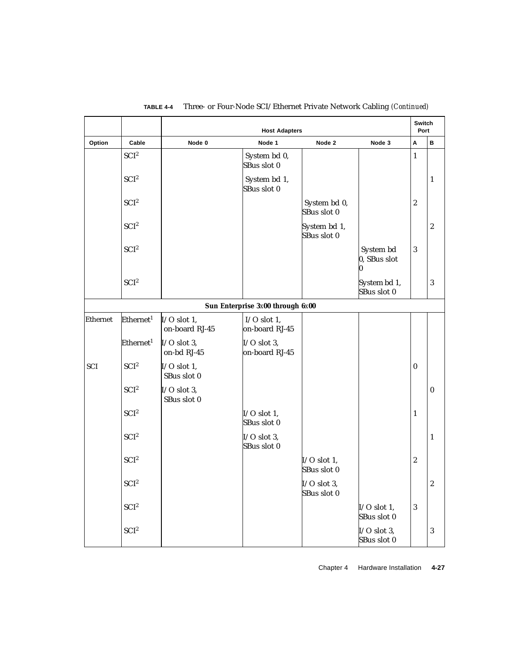|          |                       | <b>Host Adapters</b>            |                                  |                              |                                | Switch<br>Port   |                  |
|----------|-----------------------|---------------------------------|----------------------------------|------------------------------|--------------------------------|------------------|------------------|
| Option   | Cable                 | Node 0                          | Node 1                           | Node 2                       | Node 3                         | A                | B                |
|          | SCI <sup>2</sup>      |                                 | System bd 0,<br>SBus slot 0      |                              |                                | $\mathbf{1}$     |                  |
|          | SCI <sup>2</sup>      |                                 | System bd 1,<br>SBus slot 0      |                              |                                |                  | 1                |
|          | SCI <sup>2</sup>      |                                 |                                  | System bd 0,<br>SBus slot 0  |                                | $\boldsymbol{2}$ |                  |
|          | SCI <sup>2</sup>      |                                 |                                  | System bd 1,<br>SBus slot 0  |                                |                  | $\boldsymbol{2}$ |
|          | SCI <sup>2</sup>      |                                 |                                  |                              | System bd<br>0, SBus slot<br>n | 3                |                  |
|          | SCI <sup>2</sup>      |                                 |                                  |                              | System bd 1,<br>SBus slot 0    |                  | $\sqrt{3}$       |
|          |                       |                                 | Sun Enterprise 3x00 through 6x00 |                              |                                |                  |                  |
| Ethernet | Ethernet <sup>1</sup> | $I/O$ slot 1,<br>on-board RJ-45 | $I/O$ slot 1,<br>on-board RJ-45  |                              |                                |                  |                  |
|          | Ethernet <sup>1</sup> | $I/O$ slot 3,<br>on-bd RJ-45    | $I/O$ slot 3,<br>on-board RJ-45  |                              |                                |                  |                  |
| SCI      | SCI <sup>2</sup>      | $I/O$ slot 1,<br>SBus slot 0    |                                  |                              |                                | $\bf{0}$         |                  |
|          | SCI <sup>2</sup>      | $I/O$ slot 3,<br>SBus slot 0    |                                  |                              |                                |                  | $\bf{0}$         |
|          | SCI <sup>2</sup>      |                                 | $I/O$ slot 1,<br>SBus slot 0     |                              |                                | $\mathbf{1}$     |                  |
|          | SCI <sup>2</sup>      |                                 | $I/O$ slot 3,<br>SBus slot 0     |                              |                                |                  | $\mathbf{1}$     |
|          | SCI <sup>2</sup>      |                                 |                                  | $1/O$ slot 1,<br>SBus slot 0 |                                | $\sqrt{2}$       |                  |
|          | SCI <sup>2</sup>      |                                 |                                  | $I/O$ slot 3,<br>SBus slot 0 |                                |                  | $\boldsymbol{2}$ |
|          | SCI <sup>2</sup>      |                                 |                                  |                              | $I/O$ slot 1,<br>SBus slot 0   | $\mathbf{3}$     |                  |
|          | SCI <sup>2</sup>      |                                 |                                  |                              | $I/O$ slot 3,<br>SBus slot 0   |                  | 3                |

#### **TABLE 4-4** Three- or Four-Node SCI/Ethernet Private Network Cabling *(Continued)*

Chapter 4 Hardware Installation **4-27**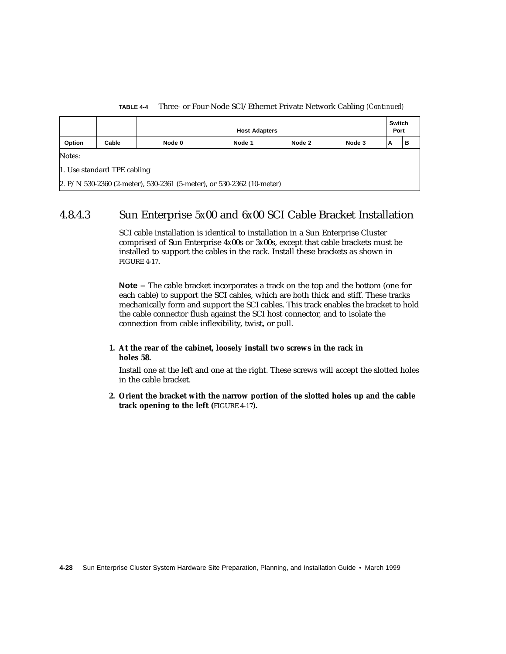|                                                                       |                             | Switch<br><b>Host Adapters</b> |        |        |        |   |   |  |  |
|-----------------------------------------------------------------------|-----------------------------|--------------------------------|--------|--------|--------|---|---|--|--|
| Option                                                                | Cable                       | Node 0                         | Node 1 | Node 2 | Node 3 | А | в |  |  |
| Notes:                                                                |                             |                                |        |        |        |   |   |  |  |
|                                                                       | 1. Use standard TPE cabling |                                |        |        |        |   |   |  |  |
| 2. P/N 530-2360 (2-meter), 530-2361 (5-meter), or 530-2362 (10-meter) |                             |                                |        |        |        |   |   |  |  |

#### **TABLE 4-4** Three- or Four-Node SCI/Ethernet Private Network Cabling *(Continued)*

#### 4.8.4.3 Sun Enterprise 5*x*00 and 6*x*00 SCI Cable Bracket Installation

SCI cable installation is identical to installation in a Sun Enterprise Cluster comprised of Sun Enterprise 4*x*00s or 3*x*00s, except that cable brackets must be installed to support the cables in the rack. Install these brackets as shown in FIGURE 4-17.

**Note –** The cable bracket incorporates a track on the top and the bottom (one for each cable) to support the SCI cables, which are both thick and stiff. These tracks mechanically form and support the SCI cables. This track enables the bracket to hold the cable connector flush against the SCI host connector, and to isolate the connection from cable inflexibility, twist, or pull.

**1. At the rear of the cabinet, loosely install two screws in the rack in holes 58.**

Install one at the left and one at the right. These screws will accept the slotted holes in the cable bracket.

**2. Orient the bracket with the narrow portion of the slotted holes up and the cable track opening to the left (**FIGURE 4-17)**.**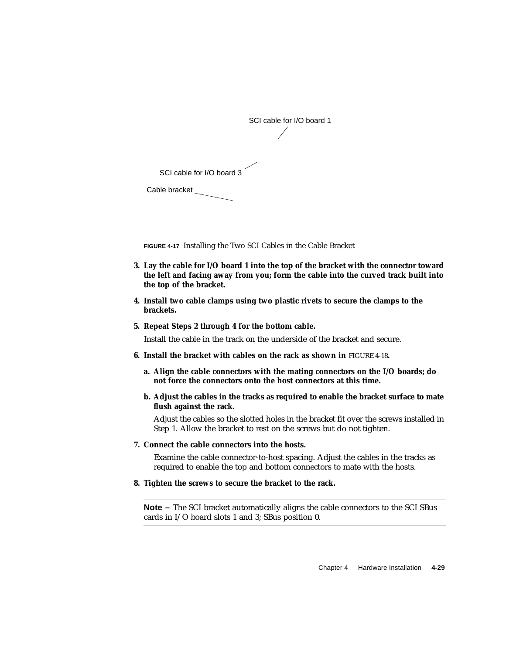Cable bracket SCI cable for I/O board 3 SCI cable for I/O board 1

**FIGURE 4-17** Installing the Two SCI Cables in the Cable Bracket

- **3. Lay the cable for I/O board 1 into the top of the bracket with the connector toward the left and facing away from you; form the cable into the curved track built into the top of the bracket.**
- **4. Install two cable clamps using two plastic rivets to secure the clamps to the brackets.**
- **5. Repeat Steps 2 through 4 for the bottom cable.**

Install the cable in the track on the underside of the bracket and secure.

- **6. Install the bracket with cables on the rack as shown in** FIGURE 4-18**.**
	- **a. Align the cable connectors with the mating connectors on the I/O boards; do not force the connectors onto the host connectors at this time.**
	- **b. Adjust the cables in the tracks as required to enable the bracket surface to mate flush against the rack.**

Adjust the cables so the slotted holes in the bracket fit over the screws installed in Step 1. Allow the bracket to rest on the screws but do not tighten.

**7. Connect the cable connectors into the hosts.**

Examine the cable connector-to-host spacing. Adjust the cables in the tracks as required to enable the top and bottom connectors to mate with the hosts.

**8. Tighten the screws to secure the bracket to the rack.**

**Note –** The SCI bracket automatically aligns the cable connectors to the SCI SBus cards in I/O board slots 1 and 3; SBus position 0.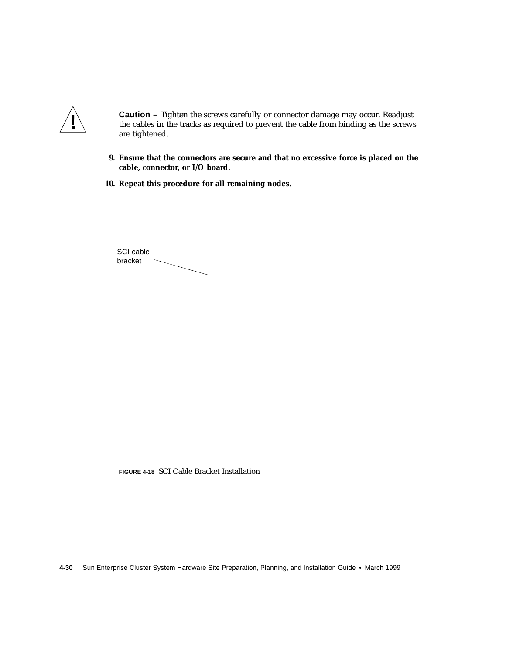

**Caution –** Tighten the screws carefully or connector damage may occur. Readjust the cables in the tracks as required to prevent the cable from binding as the screws are tightened.

- **9. Ensure that the connectors are secure and that no excessive force is placed on the cable, connector, or I/O board.**
- **10. Repeat this procedure for all remaining nodes.**

SCI cable bracket

**FIGURE 4-18** SCI Cable Bracket Installation

**4-30** Sun Enterprise Cluster System Hardware Site Preparation, Planning, and Installation Guide • March 1999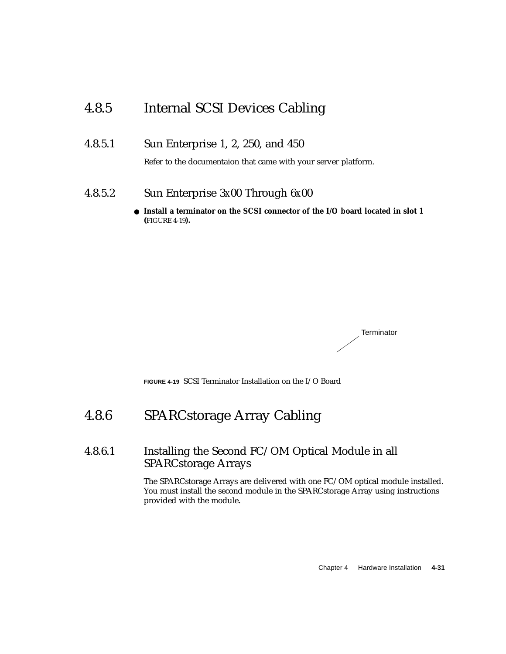## 4.8.5 Internal SCSI Devices Cabling

4.8.5.1 Sun Enterprise 1, 2, 250, and 450

Refer to the documentaion that came with your server platform.

#### 4.8.5.2 Sun Enterprise 3*x*00 Through 6*x*00

● **Install a terminator on the SCSI connector of the I/O board located in slot 1 (**FIGURE 4-19**).**



**FIGURE 4-19** SCSI Terminator Installation on the I/O Board

## 4.8.6 SPARCstorage Array Cabling

#### 4.8.6.1 Installing the Second FC/OM Optical Module in all SPARCstorage Arrays

The SPARCstorage Arrays are delivered with one FC/OM optical module installed. You must install the second module in the SPARCstorage Array using instructions provided with the module.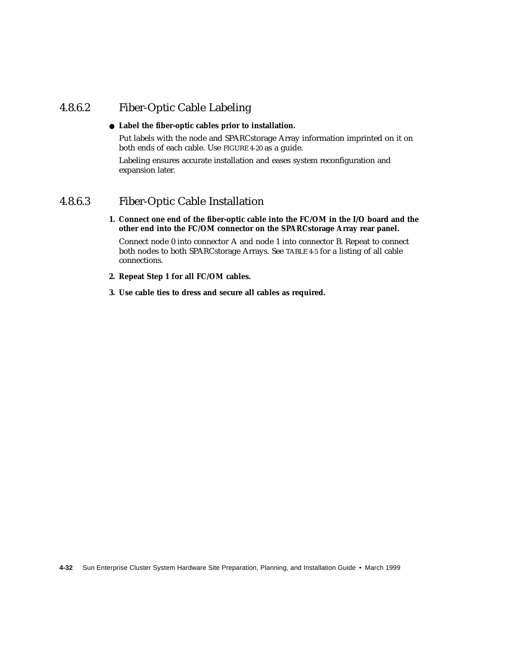#### 4.8.6.2 Fiber-Optic Cable Labeling

#### ● **Label the fiber-optic cables prior to installation.**

Put labels with the node and SPARCstorage Array information imprinted on it on both ends of each cable. Use FIGURE 4-20 as a guide.

Labeling ensures accurate installation and eases system reconfiguration and expansion later.

#### 4.8.6.3 Fiber-Optic Cable Installation

**1. Connect one end of the fiber-optic cable into the FC/OM in the I/O board and the other end into the FC/OM connector on the SPARCstorage Array rear panel.**

Connect node 0 into connector A and node 1 into connector B. Repeat to connect both nodes to both SPARCstorage Arrays. See TABLE 4-5 for a listing of all cable connections.

- **2. Repeat Step 1 for all FC/OM cables.**
- **3. Use cable ties to dress and secure all cables as required.**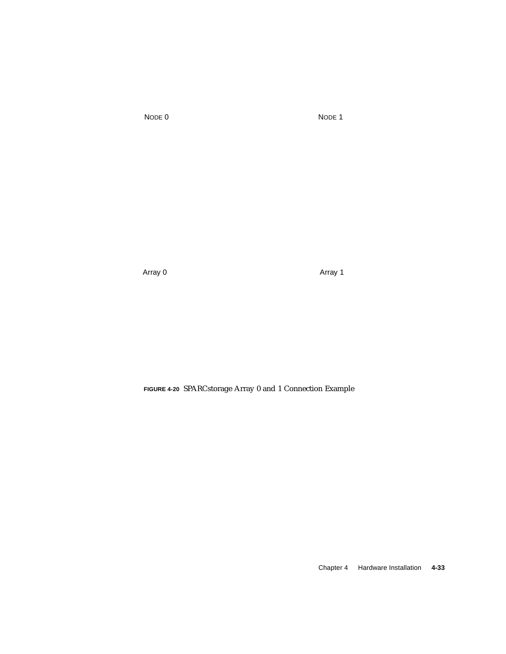NODE 0 NODE 1

Array 0 **Array 1** Array 1

**FIGURE 4-20** SPARCstorage Array 0 and 1 Connection Example

Chapter 4 Hardware Installation **4-33**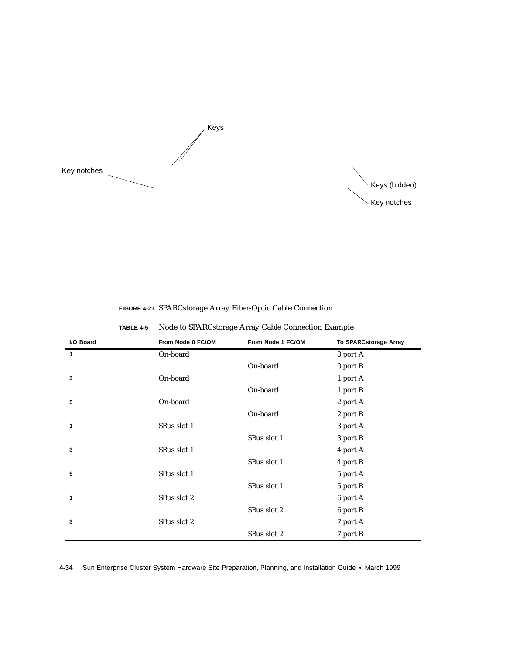

| FIGURE 4-21 SPARCstorage Array Fiber-Optic Cable Connection |  |  |
|-------------------------------------------------------------|--|--|
|                                                             |  |  |

| TABLE 4-5 | Node to SPARCStorage Array Cable Connection Example |                   |                       |  |  |  |  |
|-----------|-----------------------------------------------------|-------------------|-----------------------|--|--|--|--|
| I/O Board | From Node 0 FC/OM                                   | From Node 1 FC/OM | To SPARCstorage Array |  |  |  |  |
| 1         | On-board                                            |                   | 0 port A              |  |  |  |  |
|           |                                                     | On-board          | $0$ port $B$          |  |  |  |  |
| 3         | On-board                                            |                   | 1 port A              |  |  |  |  |
|           |                                                     | On-board          | 1 port B              |  |  |  |  |
| 5         | On-board                                            |                   | 2 port A              |  |  |  |  |
|           |                                                     | On-board          | 2 port B              |  |  |  |  |
| 1         | SBus slot 1                                         |                   | 3 port A              |  |  |  |  |
|           |                                                     | SBus slot 1       | 3 port B              |  |  |  |  |
| 3         | SBus slot 1                                         |                   | 4 port A              |  |  |  |  |
|           |                                                     | SBus slot 1       | 4 port B              |  |  |  |  |
| 5         | SBus slot 1                                         |                   | 5 port A              |  |  |  |  |
|           |                                                     | SBus slot 1       | 5 port B              |  |  |  |  |
| 1         | SBus slot 2                                         |                   | 6 port A              |  |  |  |  |
|           |                                                     | SBus slot 2       | 6 port B              |  |  |  |  |
| 3         | SBus slot 2                                         |                   | 7 port A              |  |  |  |  |
|           |                                                     | SBus slot 2       | 7 port B              |  |  |  |  |

**TABLE 4-5** Node to SPARCstorage Array Cable Connection Example

**4-34** Sun Enterprise Cluster System Hardware Site Preparation, Planning, and Installation Guide • March 1999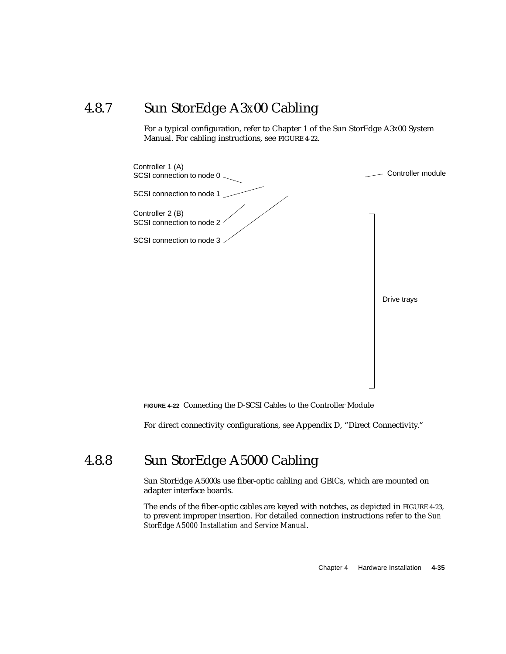## 4.8.7 Sun StorEdge A3*x*00 Cabling

For a typical configuration, refer to Chapter 1 of the Sun StorEdge A3*x*00 System Manual. For cabling instructions, see FIGURE 4-22.



#### **FIGURE 4-22** Connecting the D-SCSI Cables to the Controller Module

For direct connectivity configurations, see Appendix D, "Direct Connectivity."

## 4.8.8 Sun StorEdge A5000 Cabling

Sun StorEdge A5000s use fiber-optic cabling and GBICs, which are mounted on adapter interface boards.

The ends of the fiber-optic cables are keyed with notches, as depicted in FIGURE 4-23, to prevent improper insertion. For detailed connection instructions refer to the *Sun StorEdge A5000 Installation and Service Manual*.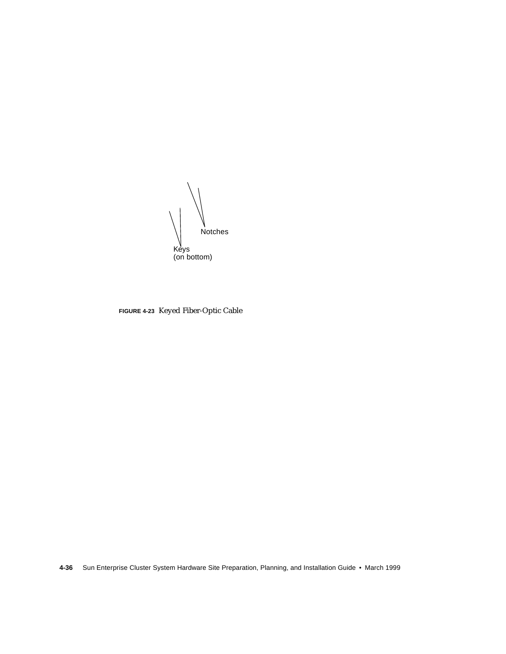Keys (on bottom) Notches

**FIGURE 4-23** Keyed Fiber-Optic Cable

**4-36** Sun Enterprise Cluster System Hardware Site Preparation, Planning, and Installation Guide • March 1999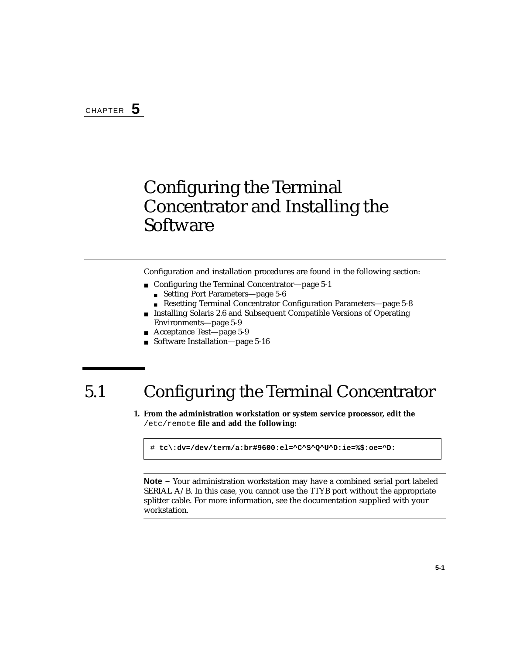#### CHAPTER **5**

## Configuring the Terminal Concentrator and Installing the Software

Configuration and installation procedures are found in the following section:

- Configuring the Terminal Concentrator—page 5-1 ■ Setting Port Parameters—page 5-6
	- Resetting Terminal Concentrator Configuration Parameters-page 5-8
- Installing Solaris 2.6 and Subsequent Compatible Versions of Operating
- Environments—page 5-9
- Acceptance Test—page 5-9
- Software Installation—page 5-16

## 5.1 Configuring the Terminal Concentrator

**1. From the administration workstation or system service processor, edit the** /etc/remote **file and add the following:**

# **tc\:dv=/dev/term/a:br#9600:el=^C^S^Q^U^D:ie=%\$:oe=^D:**

**Note –** Your administration workstation may have a combined serial port labeled SERIAL A/B. In this case, you cannot use the TTYB port without the appropriate splitter cable. For more information, see the documentation supplied with your workstation.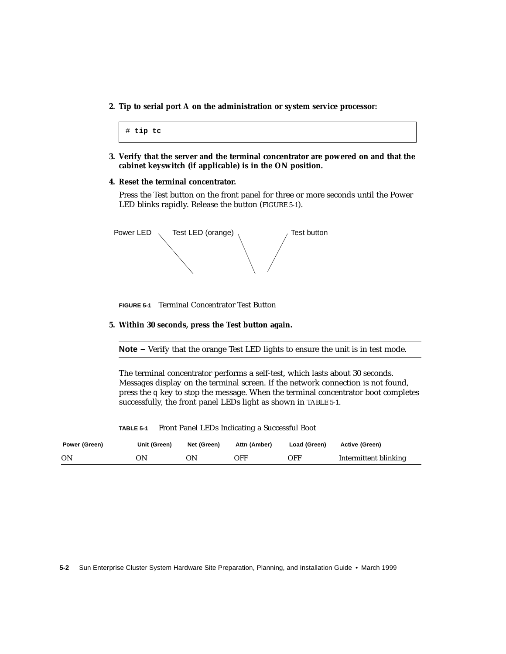**2. Tip to serial port A on the administration or system service processor:**

# **tip tc**

- **3. Verify that the server and the terminal concentrator are powered on and that the cabinet keyswitch (if applicable) is in the ON position.**
- **4. Reset the terminal concentrator.**

Press the Test button on the front panel for three or more seconds until the Power LED blinks rapidly. Release the button (FIGURE 5-1).



**FIGURE 5-1** Terminal Concentrator Test Button

**5. Within 30 seconds, press the Test button again.**

**Note –** Verify that the orange Test LED lights to ensure the unit is in test mode.

The terminal concentrator performs a self-test, which lasts about 30 seconds. Messages display on the terminal screen. If the network connection is not found, press the q key to stop the message. When the terminal concentrator boot completes successfully, the front panel LEDs light as shown in TABLE 5-1.

**TABLE 5-1** Front Panel LEDs Indicating a Successful Boot

| Power (Green) | Unit (Green) | Net (Green) | Attn (Amber) | Load (Green) | Active (Green)        |
|---------------|--------------|-------------|--------------|--------------|-----------------------|
| <b>ON</b>     | OΝ           | ЭN          | OFF          | OFF          | Intermittent blinking |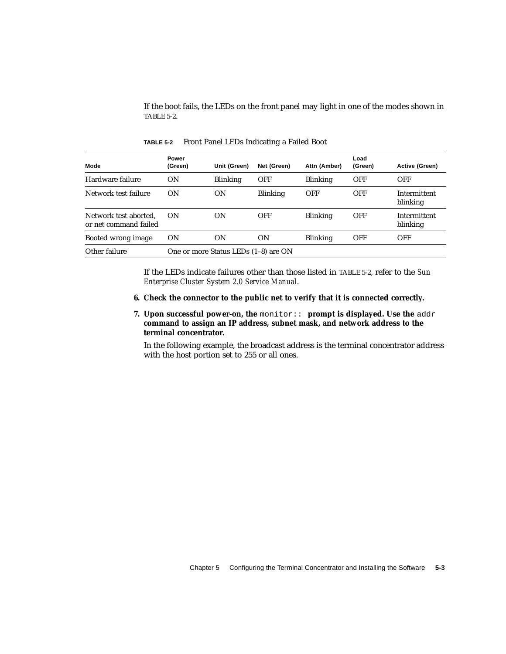If the boot fails, the LEDs on the front panel may light in one of the modes shown in TABLE 5-2.

| Mode                                           | Power<br>(Green)                     | Unit (Green) | Net (Green)     | Attn (Amber) | Load<br>(Green) | Active (Green)                  |
|------------------------------------------------|--------------------------------------|--------------|-----------------|--------------|-----------------|---------------------------------|
| Hardware failure                               | ON                                   | Blinking     | OFF             | Blinking     | OFF             | OFF                             |
| Network test failure                           | ON                                   | ON           | <b>Blinking</b> | OFF          | OFF             | <b>Intermittent</b><br>blinking |
| Network test aborted.<br>or net command failed | ON                                   | OΝ           | <b>OFF</b>      | Blinking     | OFF             | <b>Intermittent</b><br>blinking |
| Booted wrong image                             | ON                                   | ON           | ON              | Blinking     | OFF             | OFF                             |
| Other failure                                  | One or more Status LEDs (1–8) are ON |              |                 |              |                 |                                 |

**TABLE 5-2** Front Panel LEDs Indicating a Failed Boot

If the LEDs indicate failures other than those listed in TABLE 5-2, refer to the *Sun Enterprise Cluster System 2.0 Service Manual*.

**6. Check the connector to the public net to verify that it is connected correctly.**

#### **7. Upon successful power-on, the** monitor:: **prompt is displayed. Use the** addr **command to assign an IP address, subnet mask, and network address to the terminal concentrator.**

In the following example, the broadcast address is the terminal concentrator address with the host portion set to 255 or all ones.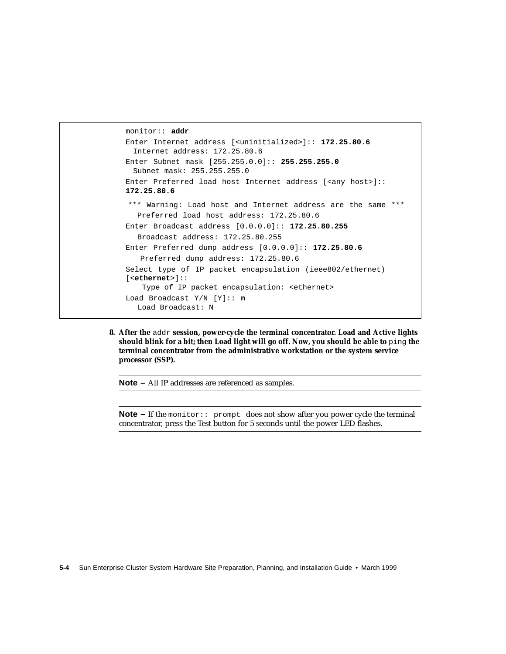```
monitor:: addr
Enter Internet address [<uninitialized>]:: 172.25.80.6
  Internet address: 172.25.80.6
Enter Subnet mask [255.255.0.0]:: 255.255.255.0
  Subnet mask: 255.255.255.0
Enter Preferred load host Internet address [<any host>]::
172.25.80.6
*** Warning: Load host and Internet address are the same ***
  Preferred load host address: 172.25.80.6
Enter Broadcast address [0.0.0.0]:: 172.25.80.255
  Broadcast address: 172.25.80.255
Enter Preferred dump address [0.0.0.0]:: 172.25.80.6
   Preferred dump address: 172.25.80.6
Select type of IP packet encapsulation (ieee802/ethernet)
[<ethernet>]::
   Type of IP packet encapsulation: <ethernet>
Load Broadcast Y/N [Y]:: n
   Load Broadcast: N
```
**8. After the** addr **session, power-cycle the terminal concentrator. Load and Active lights should blink for a bit; then Load light will go off. Now, you should be able to** ping **the terminal concentrator from the administrative workstation or the system service processor (SSP).**

**Note –** All IP addresses are referenced as samples.

**Note –** If the monitor:: prompt does not show after you power cycle the terminal concentrator, press the Test button for 5 seconds until the power LED flashes.

**5-4** Sun Enterprise Cluster System Hardware Site Preparation, Planning, and Installation Guide • March 1999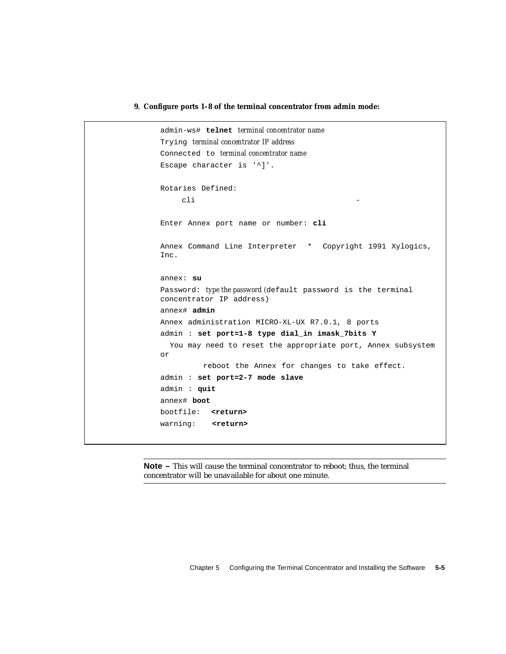#### **9. Configure ports 1–8 of the terminal concentrator from admin mode:**

```
admin-ws# telnet terminal concentrator name
Trying terminal concentrator IP address
Connected to terminal concentrator name
Escape character is '^]'.
Rotaries Defined:
     cli the contract of \simEnter Annex port name or number: cli
Annex Command Line Interpreter * Copyright 1991 Xylogics,
Inc.
annex: su
Password: type the password (default password is the terminal
concentrator IP address)
annex# admin
Annex administration MICRO-XL-UX R7.0.1, 8 ports
admin : set port=1-8 type dial_in imask_7bits Y
  You may need to reset the appropriate port, Annex subsystem
or
         reboot the Annex for changes to take effect.
admin : set port=2-7 mode slave
admin : quit
annex# boot
bootfile: <return>
warning: <return>
```
**Note –** This will cause the terminal concentrator to reboot; thus, the terminal concentrator will be unavailable for about one minute.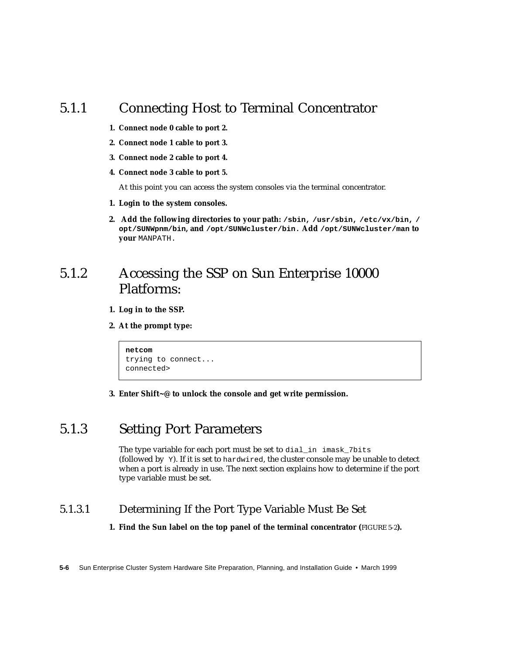### 5.1.1 Connecting Host to Terminal Concentrator

- **1. Connect node 0 cable to port 2.**
- **2. Connect node 1 cable to port 3.**
- **3. Connect node 2 cable to port 4.**
- **4. Connect node 3 cable to port 5.**

At this point you can access the system consoles via the terminal concentrator.

- **1. Login to the system consoles.**
- **2. Add the following directories to your path: /sbin, /usr/sbin, /etc/vx/bin, / opt/SUNWpnm/bin, and /opt/SUNWcluster/bin. Add /opt/SUNWcluster/man to your** MANPATH.

## 5.1.2 Accessing the SSP on Sun Enterprise 10000 Platforms:

- **1. Log in to the SSP.**
- **2. At the prompt type:**

```
netcom
trying to connect...
connected>
```
**3. Enter Shift~@ to unlock the console and get write permission.**

## 5.1.3 Setting Port Parameters

The type variable for each port must be set to dial\_in imask\_7bits (followed by  $Y$ ). If it is set to hardwired, the cluster console may be unable to detect when a port is already in use. The next section explains how to determine if the port type variable must be set.

#### 5.1.3.1 Determining If the Port Type Variable Must Be Set

**1. Find the Sun label on the top panel of the terminal concentrator (**FIGURE 5-2**).**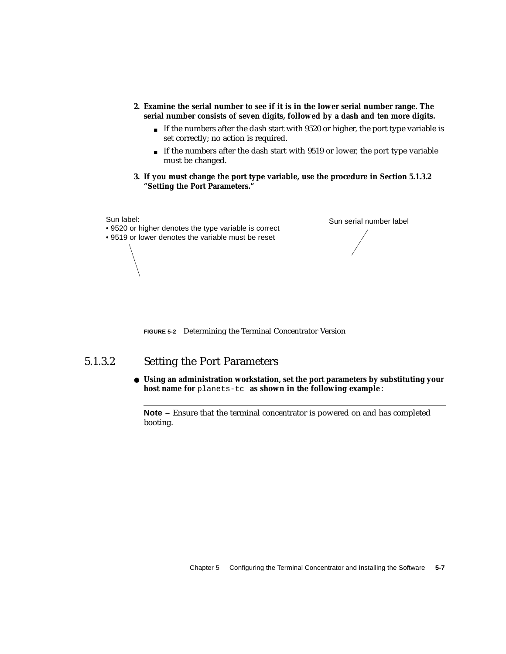- **2. Examine the serial number to see if it is in the lower serial number range. The serial number consists of seven digits, followed by a dash and ten more digits.**
	- If the numbers after the dash start with 9520 or higher, the port type variable is set correctly; no action is required.
	- If the numbers after the dash start with 9519 or lower, the port type variable must be changed.
- **3. If you must change the port type variable, use the procedure in Section 5.1.3.2 "Setting the Port Parameters."**

# Sun label: Sun serial number label • 9520 or higher denotes the type variable is correct • 9519 or lower denotes the variable must be reset

**FIGURE 5-2** Determining the Terminal Concentrator Version

#### 5.1.3.2 Setting the Port Parameters

● **Using an administration workstation, set the port parameters by substituting your host name for** planets-tc **as shown in the following example**:

**Note –** Ensure that the terminal concentrator is powered on and has completed booting.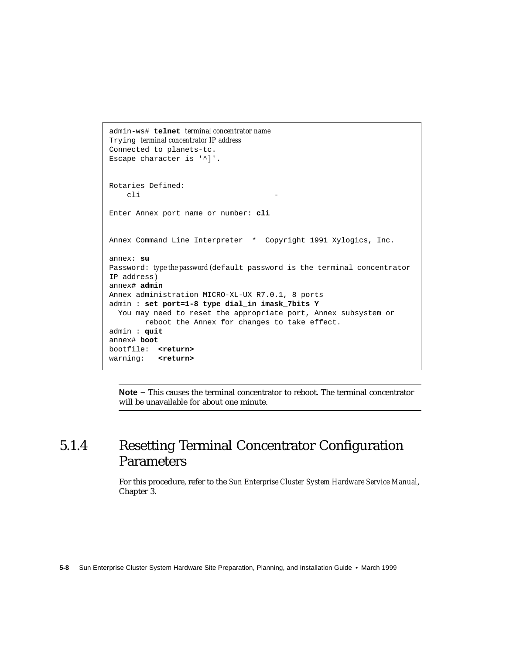```
admin-ws# telnet terminal concentrator name
Trying terminal concentrator IP address
Connected to planets-tc.
Escape character is '^]'.
Rotaries Defined:
 cli -
Enter Annex port name or number: cli
Annex Command Line Interpreter * Copyright 1991 Xylogics, Inc.
annex: su
Password: type the password (default password is the terminal concentrator
IP address)
annex# admin
Annex administration MICRO-XL-UX R7.0.1, 8 ports
admin : set port=1-8 type dial_in imask_7bits Y
  You may need to reset the appropriate port, Annex subsystem or
        reboot the Annex for changes to take effect.
admin : quit
annex# boot
bootfile: <return>
warning: <return>
```
**Note –** This causes the terminal concentrator to reboot. The terminal concentrator will be unavailable for about one minute.

## 5.1.4 Resetting Terminal Concentrator Configuration Parameters

For this procedure, refer to the *Sun Enterprise Cluster System Hardware Service Manual*, Chapter 3.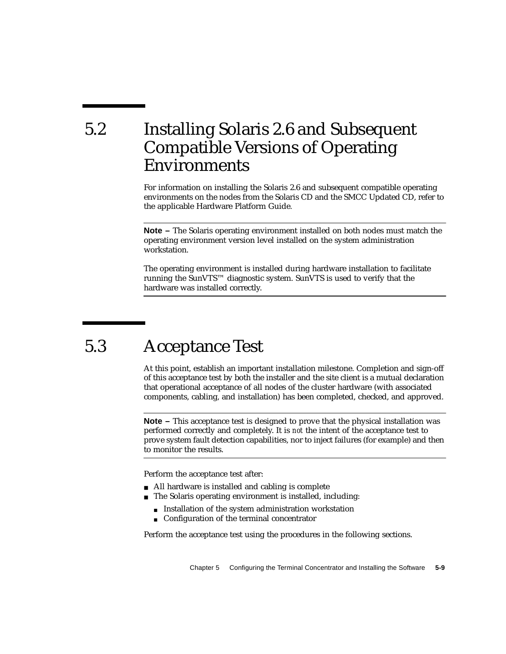## 5.2 Installing Solaris 2.6 and Subsequent Compatible Versions of Operating Environments

For information on installing the Solaris 2.6 and subsequent compatible operating environments on the nodes from the Solaris CD and the SMCC Updated CD, refer to the applicable Hardware Platform Guide*.*

**Note –** The Solaris operating environment installed on both nodes must match the operating environment version level installed on the system administration workstation.

The operating environment is installed during hardware installation to facilitate running the SunVTS™ diagnostic system. SunVTS is used to verify that the hardware was installed correctly.

## 5.3 Acceptance Test

At this point, establish an important installation milestone. Completion and sign-off of this acceptance test by both the installer and the site client is a mutual declaration that operational acceptance of all nodes of the cluster hardware (with associated components, cabling, and installation) has been completed, checked, and approved.

**Note –** This acceptance test is designed to prove that the physical installation was performed correctly and completely. It is *not* the intent of the acceptance test to prove system fault detection capabilities, nor to inject failures (for example) and then to monitor the results.

Perform the acceptance test after:

- All hardware is installed and cabling is complete
- The Solaris operating environment is installed, including:
	- Installation of the system administration workstation
	- Configuration of the terminal concentrator

Perform the acceptance test using the procedures in the following sections.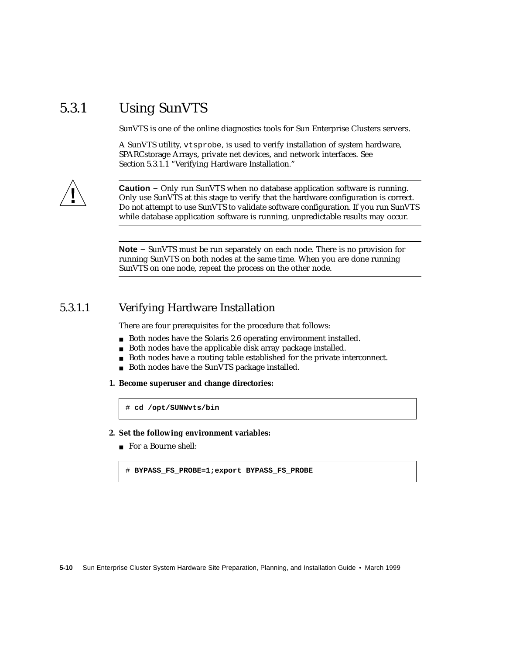## 5.3.1 Using SunVTS

SunVTS is one of the online diagnostics tools for Sun Enterprise Clusters servers.

A SunVTS utility, vtsprobe, is used to verify installation of system hardware, SPARCstorage Arrays, private net devices, and network interfaces. See Section 5.3.1.1 "Verifying Hardware Installation."



**Caution –** Only run SunVTS when no database application software is running. Only use SunVTS at this stage to verify that the hardware configuration is correct. Do not attempt to use SunVTS to validate software configuration. If you run SunVTS while database application software is running, unpredictable results may occur.

**Note –** SunVTS must be run separately on each node. There is no provision for running SunVTS on both nodes at the same time. When you are done running SunVTS on one node, repeat the process on the other node.

#### 5.3.1.1 Verifying Hardware Installation

There are four prerequisites for the procedure that follows:

- Both nodes have the Solaris 2.6 operating environment installed.
- Both nodes have the applicable disk array package installed.
- Both nodes have a routing table established for the private interconnect.
- Both nodes have the SunVTS package installed.
- **1. Become superuser and change directories:**

# **cd /opt/SUNWvts/bin**

- **2. Set the following environment variables:**
	- For a Bourne shell:

# **BYPASS\_FS\_PROBE=1;export BYPASS\_FS\_PROBE**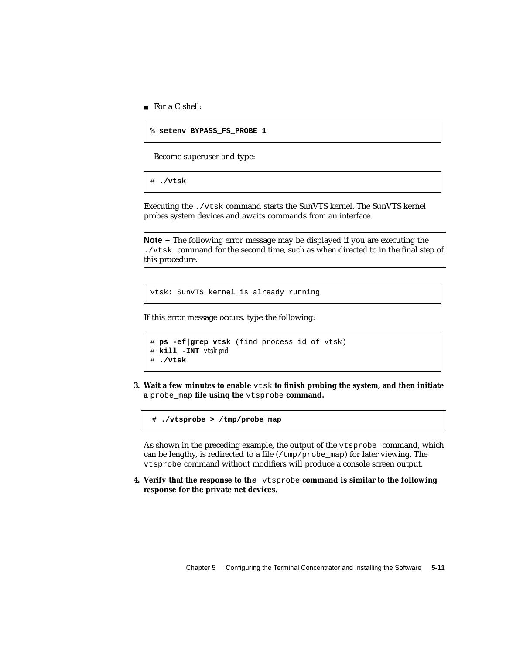■ For a C shell:

```
% setenv BYPASS_FS_PROBE 1
```
Become superuser and type:

# **./vtsk**

Executing the ./vtsk command starts the SunVTS kernel. The SunVTS kernel probes system devices and awaits commands from an interface.

**Note –** The following error message may be displayed if you are executing the ./vtsk command for the second time, such as when directed to in the final step of this procedure.

vtsk: SunVTS kernel is already running

If this error message occurs, type the following:

```
# ps -ef|grep vtsk (find process id of vtsk)
# kill -INT vtsk pid
# ./vtsk
```
**3. Wait a few minutes to enable** vtsk **to finish probing the system, and then initiate a** probe\_map **file using the** vtsprobe **command.**

# **./vtsprobe > /tmp/probe\_map**

As shown in the preceding example, the output of the vtsprobe command, which can be lengthy, is redirected to a file  $(\text{/tmp/probe\_map})$  for later viewing. The vtsprobe command without modifiers will produce a console screen output.

**4. Verify that the response to th<sup>e</sup>** vtsprobe **command is similar to the following response for the private net devices.**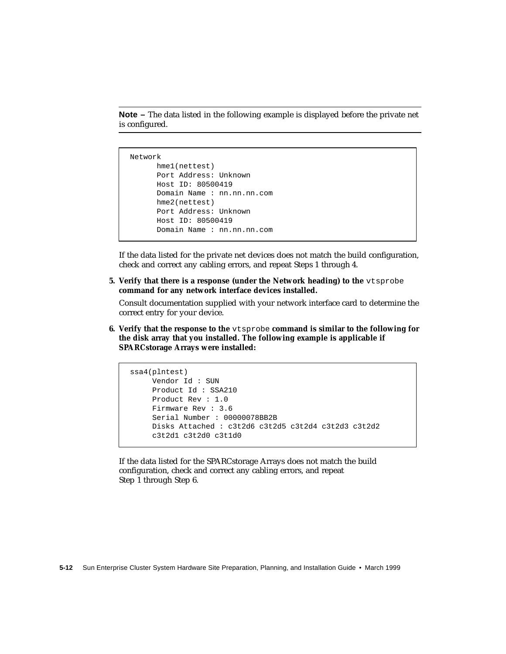**Note –** The data listed in the following example is displayed before the private net is configured.

```
 Network
      hme1(nettest)
      Port Address: Unknown
      Host ID: 80500419
     Domain Name : nn.nn.nn.com
      hme2(nettest)
       Port Address: Unknown
       Host ID: 80500419
      Domain Name : nn.nn.nn.com
```
If the data listed for the private net devices does not match the build configuration, check and correct any cabling errors, and repeat Steps 1 through 4.

**5. Verify that there is a response (under the Network heading) to the** vtsprobe **command for any network interface devices installed.**

Consult documentation supplied with your network interface card to determine the correct entry for your device.

**6. Verify that the response to the** vtsprobe **command is similar to the following for the disk array that you installed. The following example is applicable if SPARCstorage Arrays were installed:**

```
 ssa4(plntest)
     Vendor Id : SUN
     Product Id : SSA210
     Product Rev : 1.0
     Firmware Rev : 3.6
      Serial Number : 00000078BB2B
      Disks Attached : c3t2d6 c3t2d5 c3t2d4 c3t2d3 c3t2d2
      c3t2d1 c3t2d0 c3t1d0
```
If the data listed for the SPARCstorage Arrays does not match the build configuration, check and correct any cabling errors, and repeat Step 1 through Step 6.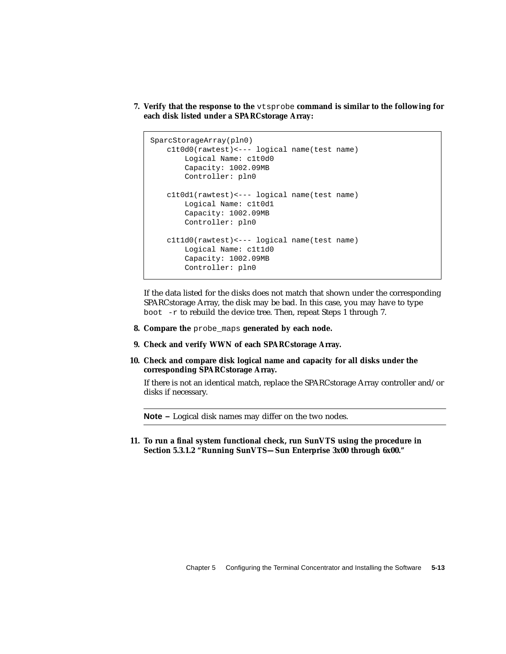**7. Verify that the response to the** vtsprobe **command is similar to the following for each disk listed under a SPARCstorage Array:**

```
SparcStorageArray(pln0)
   c1t0d0(rawtest)<--- logical name(test name)
        Logical Name: c1t0d0
        Capacity: 1002.09MB
        Controller: pln0
   c1t0d1(rawtest)<--- logical name(test name)
        Logical Name: c1t0d1
        Capacity: 1002.09MB
        Controller: pln0
   c1t1d0(rawtest)<--- logical name(test name)
        Logical Name: c1t1d0
        Capacity: 1002.09MB
        Controller: pln0
```
If the data listed for the disks does not match that shown under the corresponding SPARCstorage Array, the disk may be bad. In this case, you may have to type boot  $-r$  to rebuild the device tree. Then, repeat Steps 1 through 7.

- **8. Compare the** probe\_maps **generated by each node.**
- **9. Check and verify WWN of each SPARCstorage Array.**
- **10. Check and compare disk logical name and capacity for all disks under the corresponding SPARCstorage Array.**

If there is not an identical match, replace the SPARCstorage Array controller and/or disks if necessary.

**Note –** Logical disk names may differ on the two nodes.

**11. To run a final system functional check, run SunVTS using the procedure in Section 5.3.1.2 "Running SunVTS—Sun Enterprise 3x00 through 6x00."**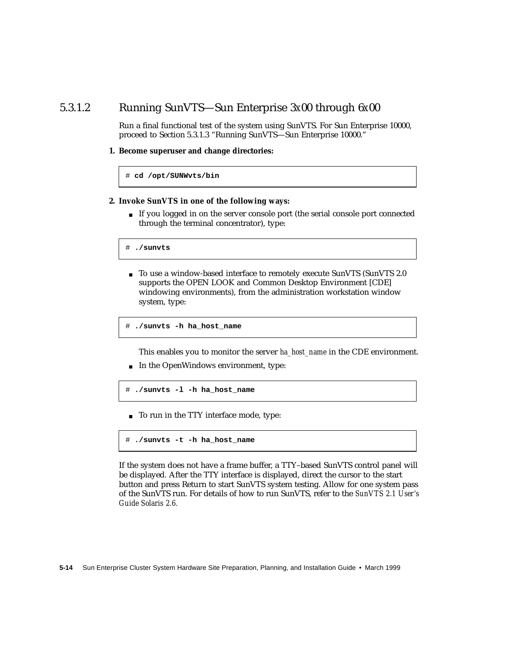### 5.3.1.2 Running SunVTS—Sun Enterprise 3*x*00 through 6*x*00

Run a final functional test of the system using SunVTS. For Sun Enterprise 10000, proceed to Section 5.3.1.3 "Running SunVTS—Sun Enterprise 10000."

#### **1. Become superuser and change directories:**

```
# cd /opt/SUNWvts/bin
```
#### **2. Invoke SunVTS in one of the following ways:**

■ If you logged in on the server console port (the serial console port connected through the terminal concentrator), type:

# **./sunvts**

■ To use a window-based interface to remotely execute SunVTS (SunVTS 2.0 supports the OPEN LOOK and Common Desktop Environment [CDE] windowing environments), from the administration workstation window system, type:

# **./sunvts -h ha\_host\_name**

This enables you to monitor the server *ha\_host\_name* in the CDE environment.

■ In the OpenWindows environment, type:

# **./sunvts -l -h ha\_host\_name**

■ To run in the TTY interface mode, type:

```
# ./sunvts -t -h ha_host_name
```
If the system does not have a frame buffer, a TTY–based SunVTS control panel will be displayed. After the TTY interface is displayed, direct the cursor to the start button and press Return to start SunVTS system testing. Allow for one system pass of the SunVTS run. For details of how to run SunVTS, refer to the *SunVTS 2.1 User's Guide Solaris 2.6.*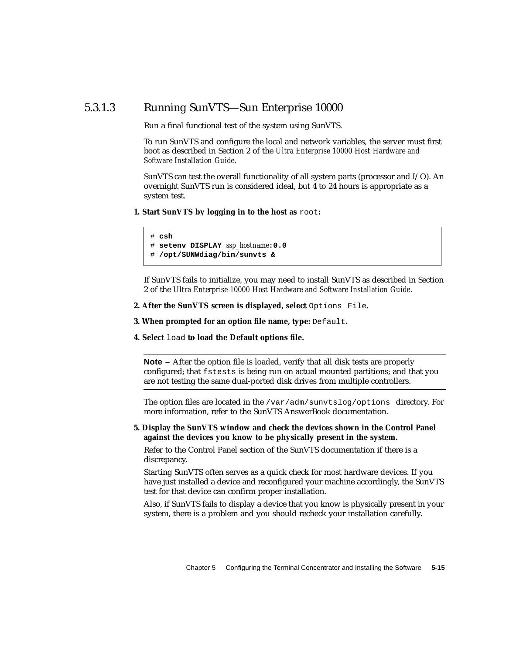### 5.3.1.3 Running SunVTS—Sun Enterprise 10000

Run a final functional test of the system using SunVTS.

To run SunVTS and configure the local and network variables, the server must first boot as described in Section 2 of the *Ultra Enterprise 10000 Host Hardware and Software Installation Guide*.

SunVTS can test the overall functionality of all system parts (processor and I/O). An overnight SunVTS run is considered ideal, but 4 to 24 hours is appropriate as a system test.

**1. Start SunVTS by logging in to the host as** root**:**

```
# csh
# setenv DISPLAY ssp_hostname:0.0
# /opt/SUNWdiag/bin/sunvts &
```
If SunVTS fails to initialize, you may need to install SunVTS as described in Section 2 of the *Ultra Enterprise 10000 Host Hardware and Software Installation Guide*.

- **2. After the SunVTS screen is displayed, select** Options File**.**
- **3. When prompted for an option file name, type:** Default**.**
- **4. Select** load **to load the Default options file.**

**Note –** After the option file is loaded, verify that all disk tests are properly configured; that fstests is being run on actual mounted partitions; and that you are not testing the same dual-ported disk drives from multiple controllers.

The option files are located in the /var/adm/sunvtslog/options directory. For more information, refer to the SunVTS AnswerBook documentation.

**5. Display the SunVTS window and check the devices shown in the Control Panel against the devices you know to be physically present in the system.**

Refer to the Control Panel section of the SunVTS documentation if there is a discrepancy.

Starting SunVTS often serves as a quick check for most hardware devices. If you have just installed a device and reconfigured your machine accordingly, the SunVTS test for that device can confirm proper installation.

Also, if SunVTS fails to display a device that you know is physically present in your system, there is a problem and you should recheck your installation carefully.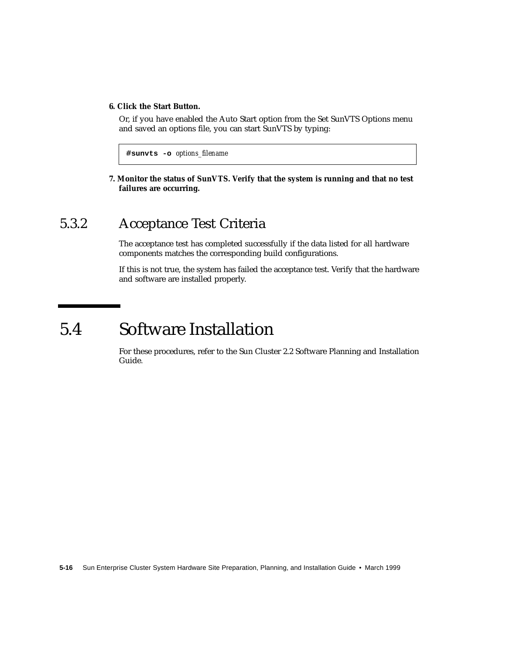#### **6. Click the Start Button.**

Or, if you have enabled the Auto Start option from the Set SunVTS Options menu and saved an options file, you can start SunVTS by typing:

# **sunvts -o** *options\_filename*

**7. Monitor the status of SunVTS. Verify that the system is running and that no test failures are occurring.**

## 5.3.2 Acceptance Test Criteria

The acceptance test has completed successfully if the data listed for all hardware components matches the corresponding build configurations.

If this is not true, the system has failed the acceptance test. Verify that the hardware and software are installed properly.

## 5.4 Software Installation

For these procedures, refer to the Sun Cluster 2.2 Software Planning and Installation Guide*.*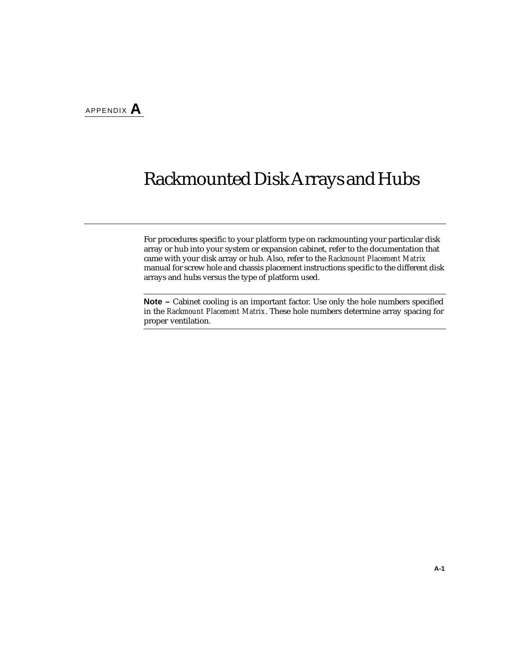### APPENDIX **A**

# Rackmounted Disk Arrays and Hubs

For procedures specific to your platform type on rackmounting your particular disk array or hub into your system or expansion cabinet, refer to the documentation that came with your disk array or hub. Also, refer to the *Rackmount Placement Matrix* manual for screw hole and chassis placement instructions specific to the different disk arrays and hubs versus the type of platform used.

**Note –** Cabinet cooling is an important factor. Use only the hole numbers specified in the *Rackmount Placement Matrix*. These hole numbers determine array spacing for proper ventilation.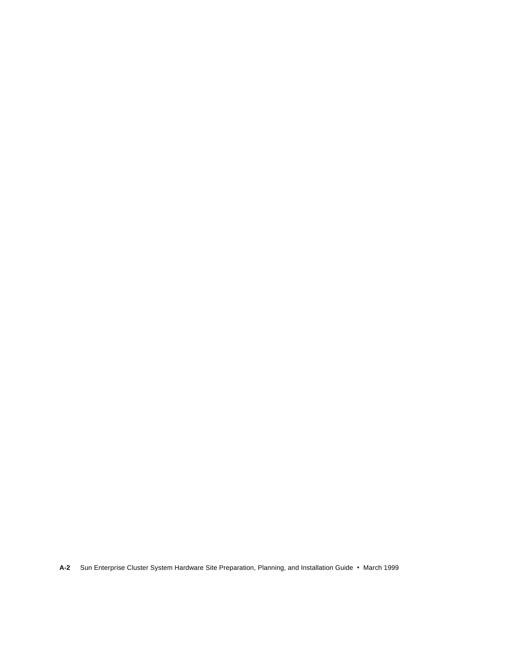**A-2** Sun Enterprise Cluster System Hardware Site Preparation, Planning, and Installation Guide *•* March 1999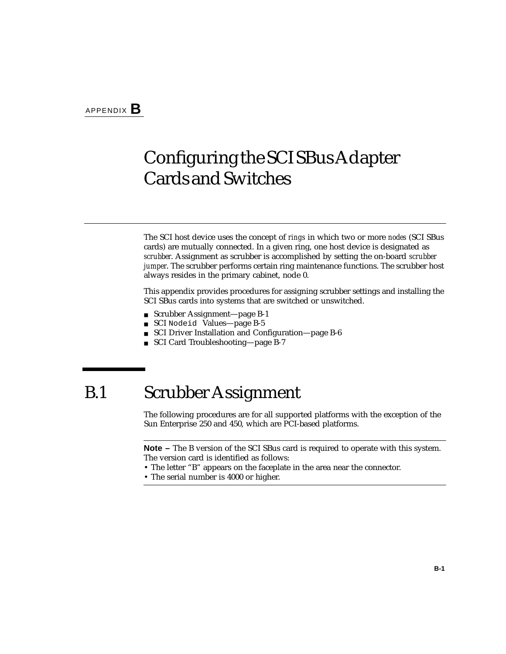### APPENDIX **B**

# Configuring the SCI SBus Adapter Cards and Switches

The SCI host device uses the concept of *rings* in which two or more *nodes* (SCI SBus cards) are mutually connected. In a given ring, one host device is designated as *scrubber*. Assignment as scrubber is accomplished by setting the on-board *scrubber jumper*. The scrubber performs certain ring maintenance functions. The scrubber host always resides in the primary cabinet, node 0.

This appendix provides procedures for assigning scrubber settings and installing the SCI SBus cards into systems that are switched or unswitched.

- Scrubber Assignment—page B-1
- SCI Nodeid Values—page B-5
- SCI Driver Installation and Configuration—page B-6
- SCI Card Troubleshooting—page B-7

## B.1 Scrubber Assignment

The following procedures are for all supported platforms with the exception of the Sun Enterprise 250 and 450, which are PCI-based platforms.

**Note –** The B version of the SCI SBus card is required to operate with this system. The version card is identified as follows:

- The letter "B" appears on the faceplate in the area near the connector.
- The serial number is 4000 or higher.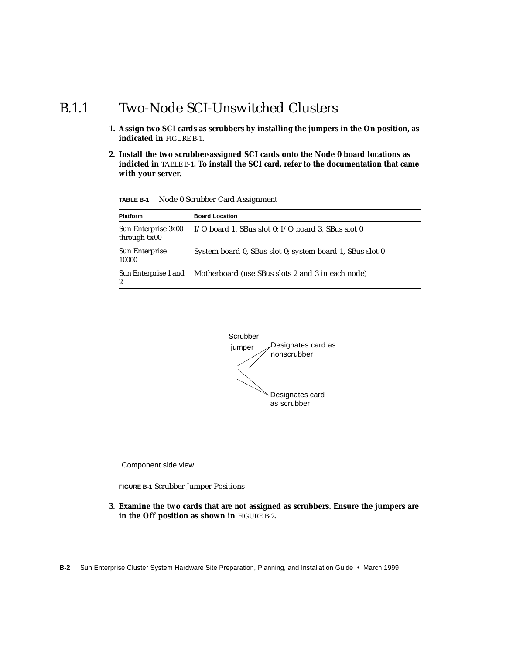## B.1.1 Two-Node SCI-Unswitched Clusters

- **1. Assign two SCI cards as scrubbers by installing the jumpers in the On position, as indicated in** FIGURE B-1**.**
- **2. Install the two scrubber-assigned SCI cards onto the Node 0 board locations as indicted in** TABLE B-1**. To install the SCI card, refer to the documentation that came with your server.**

**TABLE B-1** Node 0 Scrubber Card Assignment

| <b>Platform</b>                       | <b>Board Location</b>                                    |
|---------------------------------------|----------------------------------------------------------|
| Sun Enterprise 3x00<br>through $6x00$ | $I/O$ board 1, SBus slot 0; $I/O$ board 3, SBus slot 0   |
| Sun Enterprise<br>10000               | System board 0, SBus slot 0; system board 1, SBus slot 0 |
| Sun Enterprise 1 and<br>2             | Motherboard (use SBus slots 2 and 3 in each node)        |



Component side view

**FIGURE B-1** Scrubber Jumper Positions

**3. Examine the two cards that are** *not* **assigned as scrubbers. Ensure the jumpers are in the Off position as shown in** FIGURE B-2**.**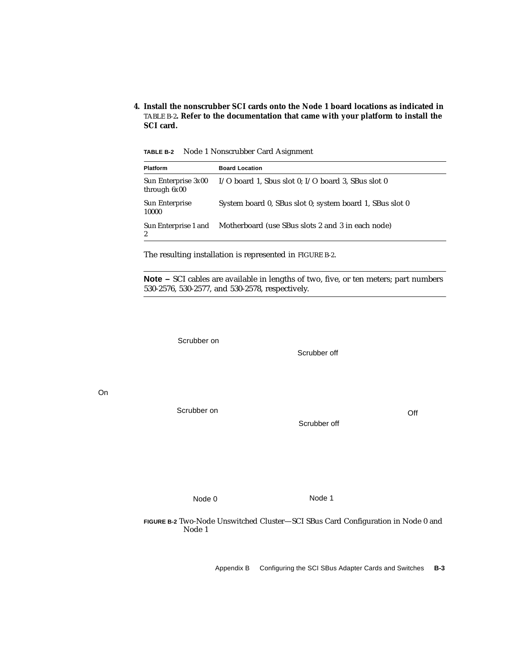**4. Install the nonscrubber SCI cards onto the Node 1 board locations as indicated in** TABLE B-2**. Refer to the documentation that came with your platform to install the SCI card.**

**TABLE B-2** Node 1 Nonscrubber Card Asignment

| <b>Platform</b>                       | <b>Board Location</b>                                    |
|---------------------------------------|----------------------------------------------------------|
| Sun Enterprise 3x00<br>through $6x00$ | $I/O$ board 1, Sbus slot 0; $I/O$ board 3, SBus slot 0   |
| Sun Enterprise<br>10000               | System board 0, SBus slot 0; system board 1, SBus slot 0 |
| Sun Enterprise 1 and<br>2             | Motherboard (use SBus slots 2 and 3 in each node)        |

The resulting installation is represented in FIGURE B-2.

**Note –** SCI cables are available in lengths of two, five, or ten meters; part numbers 530-2576, 530-2577, and 530-2578, respectively.

Scrubber on

Scrubber off

On

Scrubber on

Scrubber off

Off

Node 0 Node 1

**FIGURE B-2** Two-Node Unswitched Cluster—SCI SBus Card Configuration in Node 0 and Node 1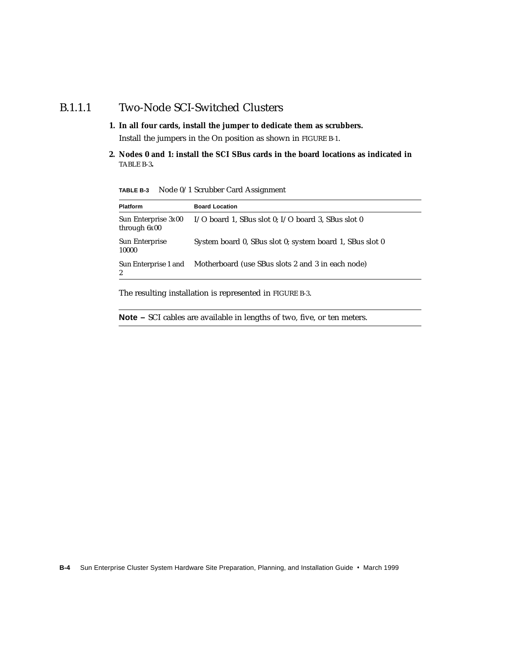### B.1.1.1 Two-Node SCI-Switched Clusters

- **1. In all four cards, install the jumper to dedicate them as scrubbers.** Install the jumpers in the On position as shown in FIGURE B-1.
- **2. Nodes 0 and 1: install the SCI SBus cards in the board locations as indicated in** TABLE B-3**.**

**TABLE B-3** Node 0/1 Scrubber Card Assignment

| <b>Platform</b>                       | <b>Board Location</b>                                    |
|---------------------------------------|----------------------------------------------------------|
| Sun Enterprise 3x00<br>through $6x00$ | $I/O$ board 1, SBus slot 0; $I/O$ board 3, SBus slot 0   |
| Sun Enterprise<br>10000               | System board 0, SBus slot 0; system board 1, SBus slot 0 |
| Sun Enterprise 1 and<br>2             | Motherboard (use SBus slots 2 and 3 in each node)        |

 $\overline{\phantom{a}}$ 

The resulting installation is represented in FIGURE B-3.

**Note –** SCI cables are available in lengths of two, five, or ten meters.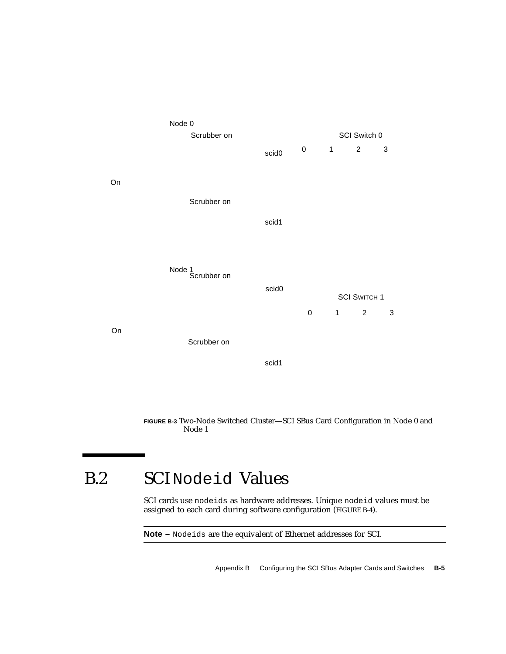

**FIGURE B-3** Two-Node Switched Cluster—SCI SBus Card Configuration in Node 0 and Node 1

# B.2 SCI Nodeid Values

SCI cards use nodeids as hardware addresses. Unique nodeid values must be assigned to each card during software configuration (FIGURE B-4).

**Note –** Nodeids are the equivalent of Ethernet addresses for SCI.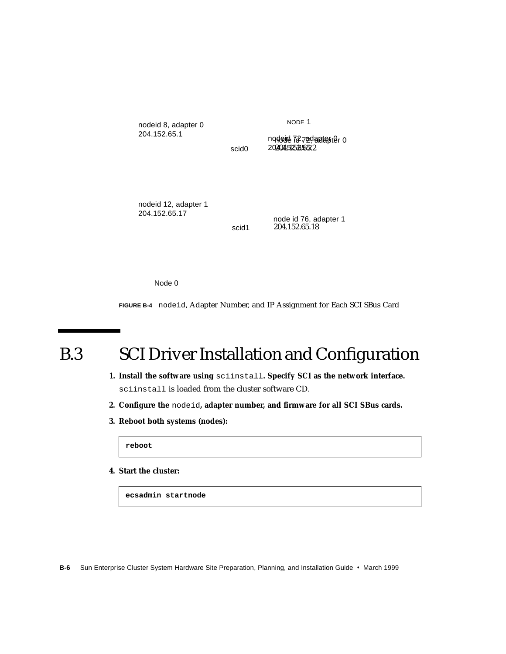nodeid 8, adapter 0 NODE 1 204.152.65.1

scid0

nodeide 7272 dantspielr o 2020451286522

nodeid 12, adapter 1 204.152.65.17

scid1

node id 76, adapter 1 204.152.65.18

Node 0

**FIGURE B-4** nodeid, Adapter Number, and IP Assignment for Each SCI SBus Card

# B.3 SCI Driver Installation and Configuration

- **1. Install the software using** sciinstall**. Specify SCI as the network interface.** sciinstall is loaded from the cluster software CD.
- **2. Configure the** nodeid**, adapter number, and firmware for all SCI SBus cards.**
- **3. Reboot both systems (nodes):**

**reboot**

**4. Start the cluster:**

**ecsadmin startnode**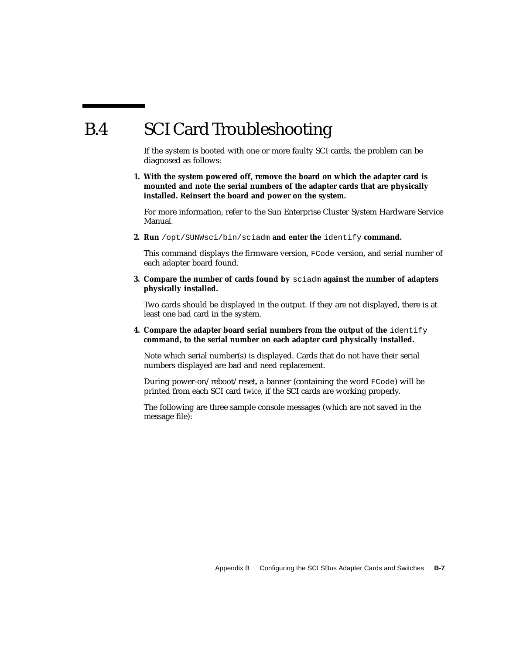## B.4 SCI Card Troubleshooting

If the system is booted with one or more faulty SCI cards, the problem can be diagnosed as follows:

**1. With the system powered off, remove the board on which the adapter card is mounted and note the serial numbers of the adapter cards that are physically installed. Reinsert the board and power on the system.**

For more information, refer to the Sun Enterprise Cluster System Hardware Service Manual*.*

**2. Run** /opt/SUNWsci/bin/sciadm **and enter the** identify **command.**

This command displays the firmware version, FCode version, and serial number of each adapter board found.

**3. Compare the number of cards found by** sciadm **against the number of adapters physically installed.**

Two cards should be displayed in the output. If they are not displayed, there is at least one bad card in the system.

**4. Compare the adapter board serial numbers from the output of the** identify **command, to the serial number on each adapter card physically installed.**

Note which serial number(s) is displayed. Cards that do not have their serial numbers displayed are bad and need replacement.

During power-on/reboot/reset, a banner (containing the word FCode) will be printed from each SCI card *twice*, if the SCI cards are working properly.

The following are three sample console messages (which are not saved in the message file):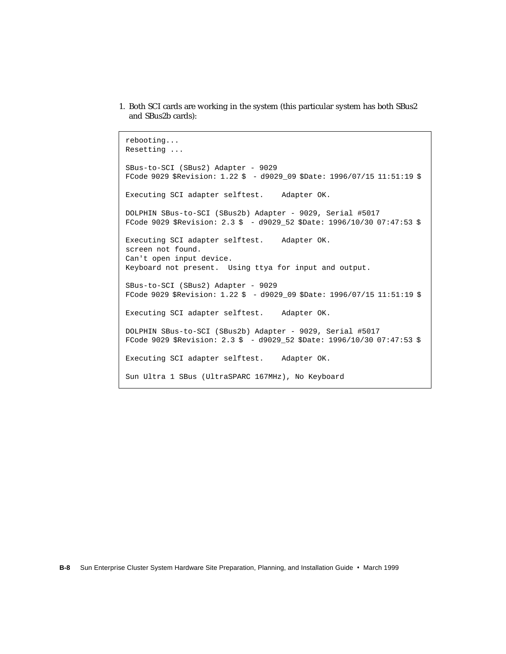1. Both SCI cards are working in the system (this particular system has both SBus2 and SBus2b cards):

```
rebooting...
Resetting ...
SBus-to-SCI (SBus2) Adapter - 9029
FCode 9029 $Revision: 1.22 $ - d9029_09 $Date: 1996/07/15 11:51:19 $
Executing SCI adapter selftest. Adapter OK.
DOLPHIN SBus-to-SCI (SBus2b) Adapter - 9029, Serial #5017
FCode 9029 $Revision: 2.3 $ - d9029_52 $Date: 1996/10/30 07:47:53 $
Executing SCI adapter selftest. Adapter OK.
screen not found.
Can't open input device.
Keyboard not present. Using ttya for input and output.
SBus-to-SCI (SBus2) Adapter - 9029
FCode 9029 $Revision: 1.22 $ - d9029_09 $Date: 1996/07/15 11:51:19 $
Executing SCI adapter selftest. Adapter OK.
DOLPHIN SBus-to-SCI (SBus2b) Adapter - 9029, Serial #5017
FCode 9029 $Revision: 2.3 $ - d9029_52 $Date: 1996/10/30 07:47:53 $
Executing SCI adapter selftest. Adapter OK.
Sun Ultra 1 SBus (UltraSPARC 167MHz), No Keyboard
```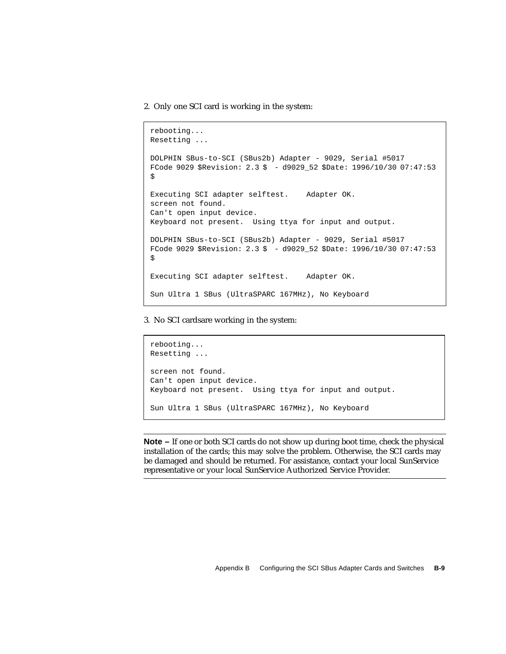2. Only one SCI card is working in the system:

```
rebooting...
Resetting ...
DOLPHIN SBus-to-SCI (SBus2b) Adapter - 9029, Serial #5017
FCode 9029 $Revision: 2.3 $ - d9029_52 $Date: 1996/10/30 07:47:53
\mathsf{S}Executing SCI adapter selftest. Adapter OK.
screen not found.
Can't open input device.
Keyboard not present. Using ttya for input and output.
DOLPHIN SBus-to-SCI (SBus2b) Adapter - 9029, Serial #5017
FCode 9029 $Revision: 2.3 $ - d9029_52 $Date: 1996/10/30 07:47:53
\mathsf{S}Executing SCI adapter selftest. Adapter OK.
Sun Ultra 1 SBus (UltraSPARC 167MHz), No Keyboard
```
3. No SCI cardsare working in the system:

```
rebooting...
Resetting ...
screen not found.
Can't open input device.
Keyboard not present. Using ttya for input and output.
Sun Ultra 1 SBus (UltraSPARC 167MHz), No Keyboard
```
**Note –** If one or both SCI cards do not show up during boot time, check the physical installation of the cards; this may solve the problem. Otherwise, the SCI cards may be damaged and should be returned. For assistance, contact your local SunService representative or your local SunService Authorized Service Provider.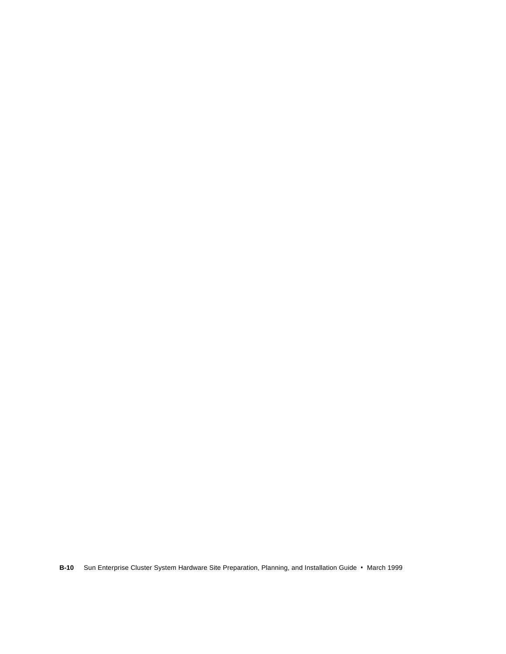**B-10** Sun Enterprise Cluster System Hardware Site Preparation, Planning, and Installation Guide *•* March 1999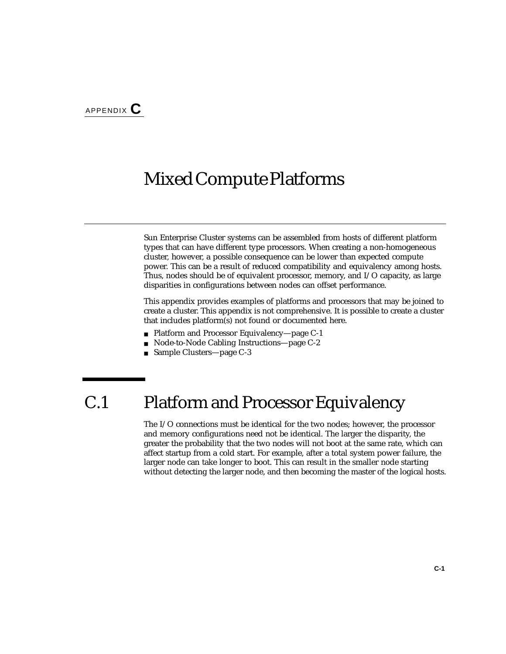## APPENDIX **C**

## Mixed Compute Platforms

Sun Enterprise Cluster systems can be assembled from hosts of different platform types that can have different type processors. When creating a non-homogeneous cluster, however, a possible consequence can be lower than expected compute power. This can be a result of reduced compatibility and equivalency among hosts. Thus, nodes should be of equivalent processor, memory, and I/O capacity, as large disparities in configurations between nodes can offset performance.

This appendix provides examples of platforms and processors that may be joined to create a cluster. This appendix is not comprehensive. It is possible to create a cluster that includes platform(s) not found or documented here.

- Platform and Processor Equivalency—page C-1
- Node-to-Node Cabling Instructions—page C-2
- Sample Clusters—page C-3

## C.1 Platform and Processor Equivalency

The I/O connections must be identical for the two nodes; however, the processor and memory configurations need not be identical. The larger the disparity, the greater the probability that the two nodes will not boot at the same rate, which can affect startup from a cold start. For example, after a total system power failure, the larger node can take longer to boot. This can result in the smaller node starting without detecting the larger node, and then becoming the master of the logical hosts.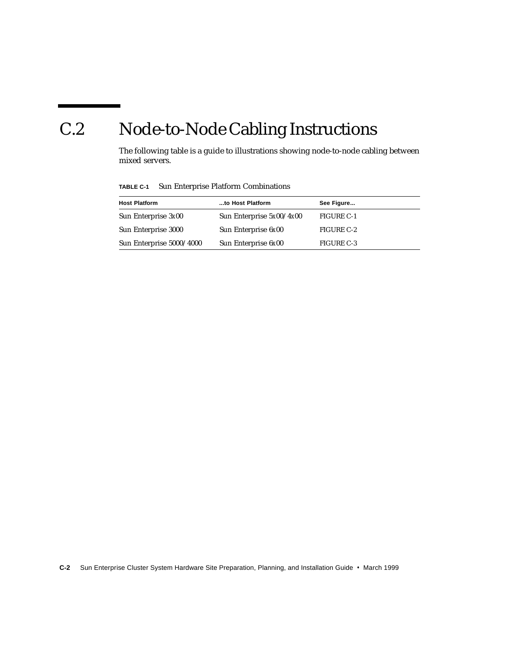# C.2 Node-to-Node Cabling Instructions

The following table is a guide to illustrations showing node-to-node cabling between mixed servers.

| <b>Host Platform</b>     | to Host Platform           | See Figure        |
|--------------------------|----------------------------|-------------------|
| Sun Enterprise 3x00      | Sun Enterprise $5x00/4x00$ | FIGURE C-1        |
| Sun Enterprise 3000      | Sun Enterprise 6x00        | <b>FIGURE C-2</b> |
| Sun Enterprise 5000/4000 | Sun Enterprise 6x00        | <b>FIGURE C-3</b> |

**TABLE C-1** Sun Enterprise Platform Combinations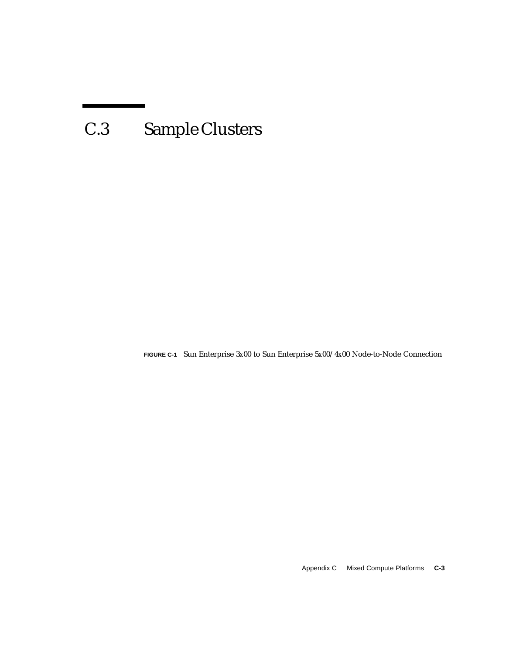C.3 Sample Clusters

**FIGURE C-1** Sun Enterprise 3*x*00 to Sun Enterprise 5*x*00/4*x*00 Node-to-Node Connection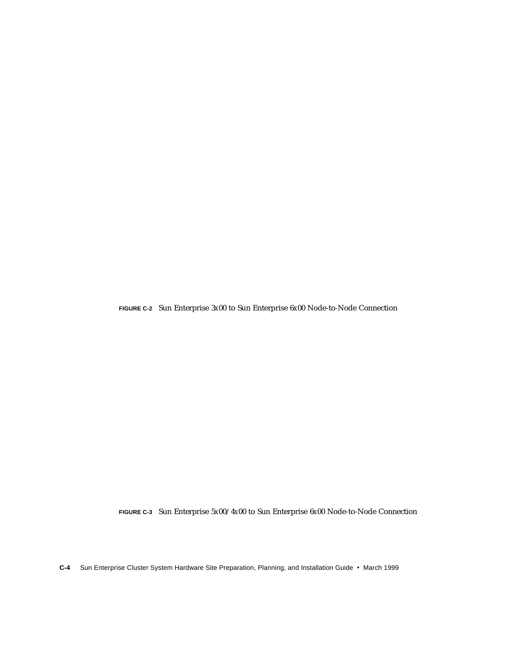**FIGURE C-2** Sun Enterprise 3*x*00 to Sun Enterprise 6*x*00 Node-to-Node Connection

**FIGURE C-3** Sun Enterprise 5*x*00/4*x*00 to Sun Enterprise 6*x*00 Node-to-Node Connection

**C-4** Sun Enterprise Cluster System Hardware Site Preparation, Planning, and Installation Guide *•* March 1999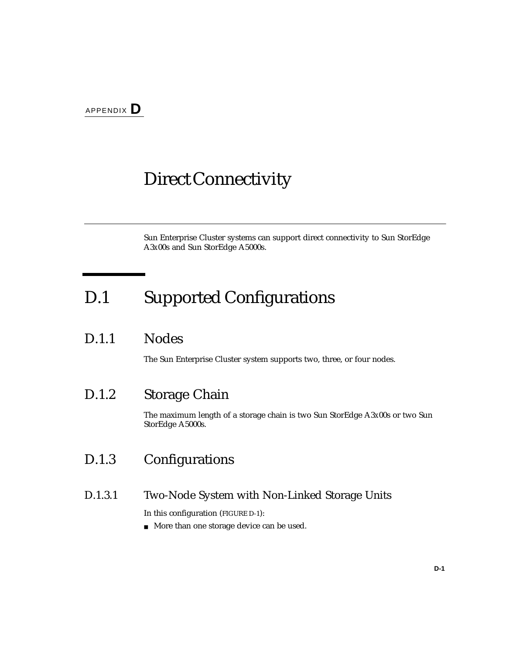## APPENDIX **D**

# Direct Connectivity

Sun Enterprise Cluster systems can support direct connectivity to Sun StorEdge A3*x*00s and Sun StorEdge A5000s.

## D.1 Supported Configurations

## D.1.1 Nodes

The Sun Enterprise Cluster system supports two, three, or four nodes.

## D.1.2 Storage Chain

The maximum length of a storage chain is two Sun StorEdge A3*x*00s or two Sun StorEdge A5000s.

## D.1.3 Configurations

### D.1.3.1 Two-Node System with Non-Linked Storage Units

In this configuration (FIGURE D-1):

■ More than one storage device can be used.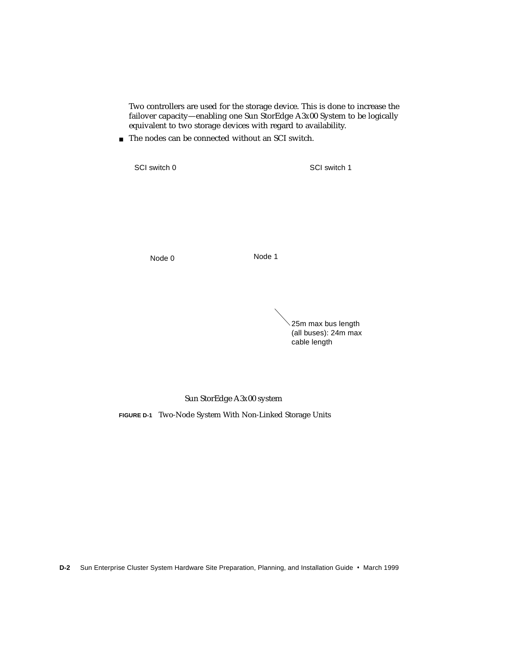Two controllers are used for the storage device. This is done to increase the failover capacity—enabling one Sun StorEdge A3*x*00 System to be logically equivalent to two storage devices with regard to availability.

■ The nodes can be connected without an SCI switch.

| SCI switch 0 | SCI switch 1 |
|--------------|--------------|
|              |              |
|              |              |

Node 0 Node 1

25m max bus length (all buses): 24m max cable length

Sun StorEdge A3*x*00 system

**FIGURE D-1** Two-Node System With Non-Linked Storage Units

**D-2** Sun Enterprise Cluster System Hardware Site Preparation, Planning, and Installation Guide *•* March 1999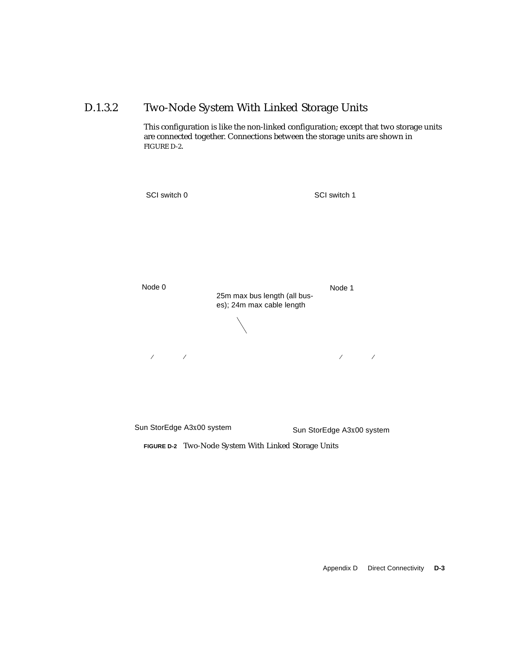### D.1.3.2 Two-Node System With Linked Storage Units

This configuration is like the non-linked configuration; except that two storage units are connected together. Connections between the storage units are shown in FIGURE D-2.

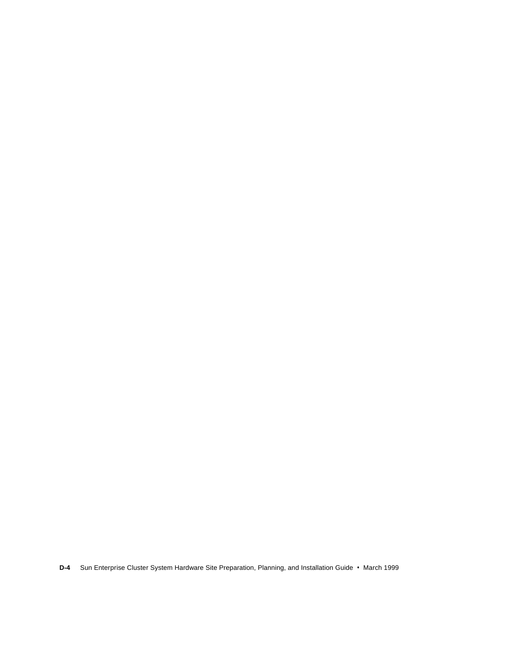**D-4** Sun Enterprise Cluster System Hardware Site Preparation, Planning, and Installation Guide *•* March 1999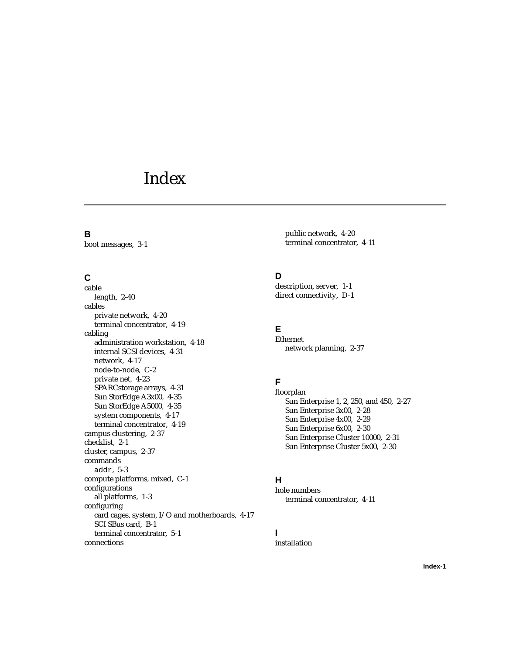## Index

### **B**

boot messages, 3-1

### **C**

cable length, 2-40 cables private network, 4-20 terminal concentrator, 4-19 cabling administration workstation, 4-18 internal SCSI devices, 4-31 network, 4-17 node-to-node, C-2 private net, 4-23 SPARCstorage arrays, 4-31 Sun StorEdge A3x00, 4-35 Sun StorEdge A5000, 4-35 system components, 4-17 terminal concentrator, 4-19 campus clustering, 2-37 checklist, 2-1 cluster, campus, 2-37 commands addr, 5-3 compute platforms, mixed, C-1 configurations all platforms, 1-3 configuring card cages, system, I/O and motherboards, 4-17 SCI SBus card, B-1 terminal concentrator, 5-1 connections

public network, 4-20 terminal concentrator, 4-11

### **D**

description, server, 1-1 direct connectivity, D-1

## **E**

Ethernet network planning, 2-37

### **F**

floorplan Sun Enterprise 1, 2, 250, and 450, 2-27 Sun Enterprise 3x00, 2-28 Sun Enterprise 4x00, 2-29 Sun Enterprise 6x00, 2-30 Sun Enterprise Cluster 10000, 2-31 Sun Enterprise Cluster 5x00, 2-30

### **H**

hole numbers terminal concentrator, 4-11

## **I**

installation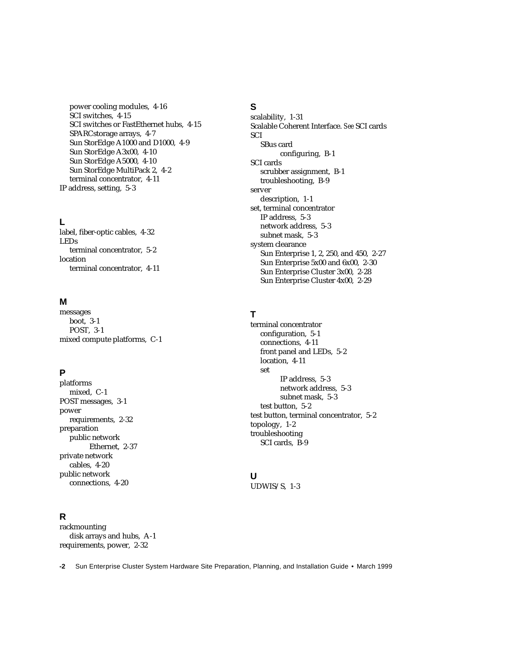power cooling modules, 4-16 SCI switches, 4-15 SCI switches or FastEthernet hubs, 4-15 SPARCstorage arrays, 4-7 Sun StorEdge A1000 and D1000, 4-9 Sun StorEdge A3x00, 4-10 Sun StorEdge A5000, 4-10 Sun StorEdge MultiPack 2, 4-2 terminal concentrator, 4-11 IP address, setting, 5-3

#### **L**

label, fiber-optic cables, 4-32 LEDs terminal concentrator, 5-2 location terminal concentrator, 4-11

#### **M**

messages boot, 3-1 POST, 3-1 mixed compute platforms, C-1

### **P**

platforms mixed, C-1 POST messages, 3-1 power requirements, 2-32 preparation public network Ethernet, 2-37 private network cables, 4-20 public network connections, 4-20

#### **R**

rackmounting disk arrays and hubs, A-1 requirements, power, 2-32

#### **S**

scalability, 1-31 Scalable Coherent Interface. *See* SCI cards SCI SBus card configuring, B-1 SCI cards scrubber assignment, B-1 troubleshooting, B-9 server description, 1-1 set, terminal concentrator IP address, 5-3 network address, 5-3 subnet mask, 5-3 system clearance Sun Enterprise 1, 2, 250, and 450, 2-27 Sun Enterprise 5x00 and 6x00, 2-30 Sun Enterprise Cluster 3x00, 2-28 Sun Enterprise Cluster 4x00, 2-29

#### **T**

terminal concentrator configuration, 5-1 connections, 4-11 front panel and LEDs, 5-2 location, 4-11 set IP address, 5-3 network address, 5-3 subnet mask, 5-3 test button, 5-2 test button, terminal concentrator, 5-2 topology, 1-2 troubleshooting SCI cards, B-9

#### **U**

UDWIS/S, 1-3

**-2** Sun Enterprise Cluster System Hardware Site Preparation, Planning, and Installation Guide • March 1999